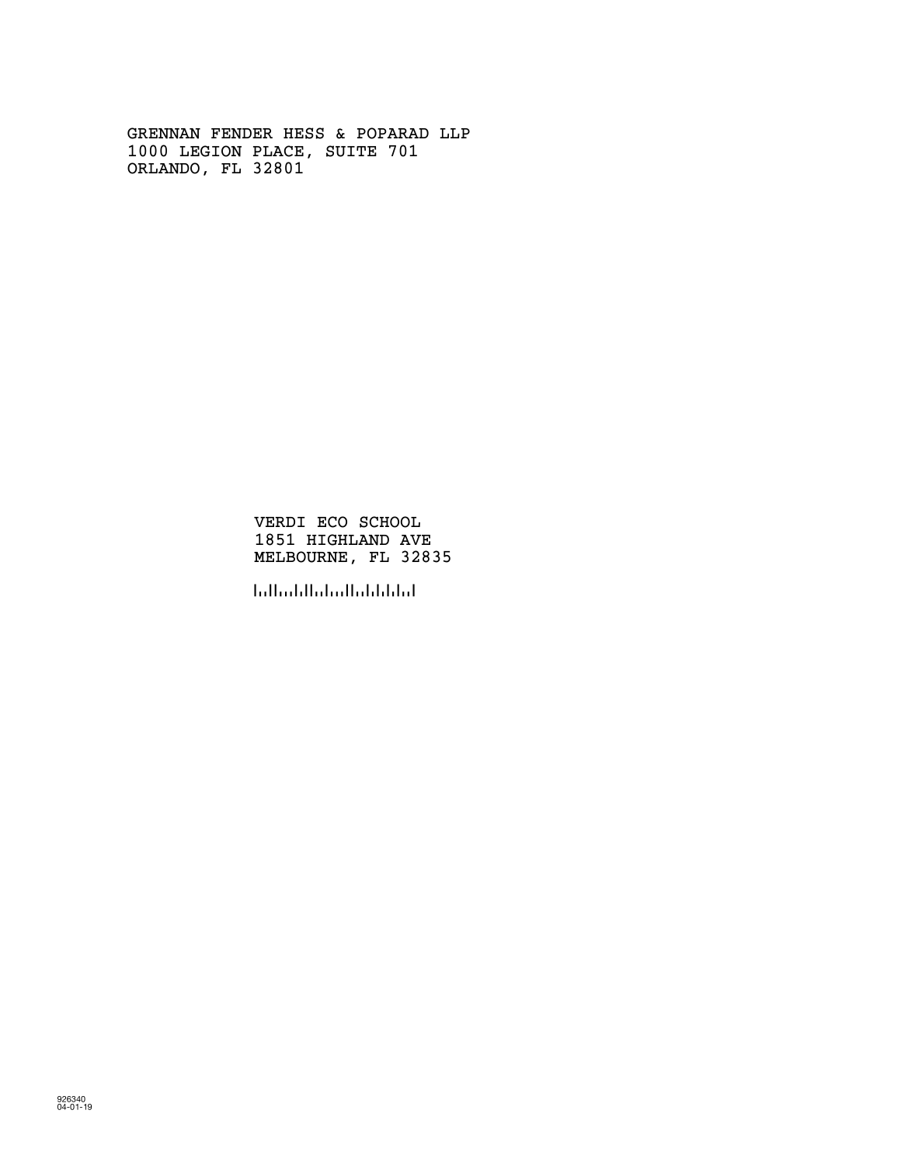GRENNAN FENDER HESS & POPARAD LLP 1000 LEGION PLACE, SUITE 701 ORLANDO, FL 32801

> VERDI ECO SCHOOL 1851 HIGHLAND AVE MELBOURNE, FL 32835

!328359!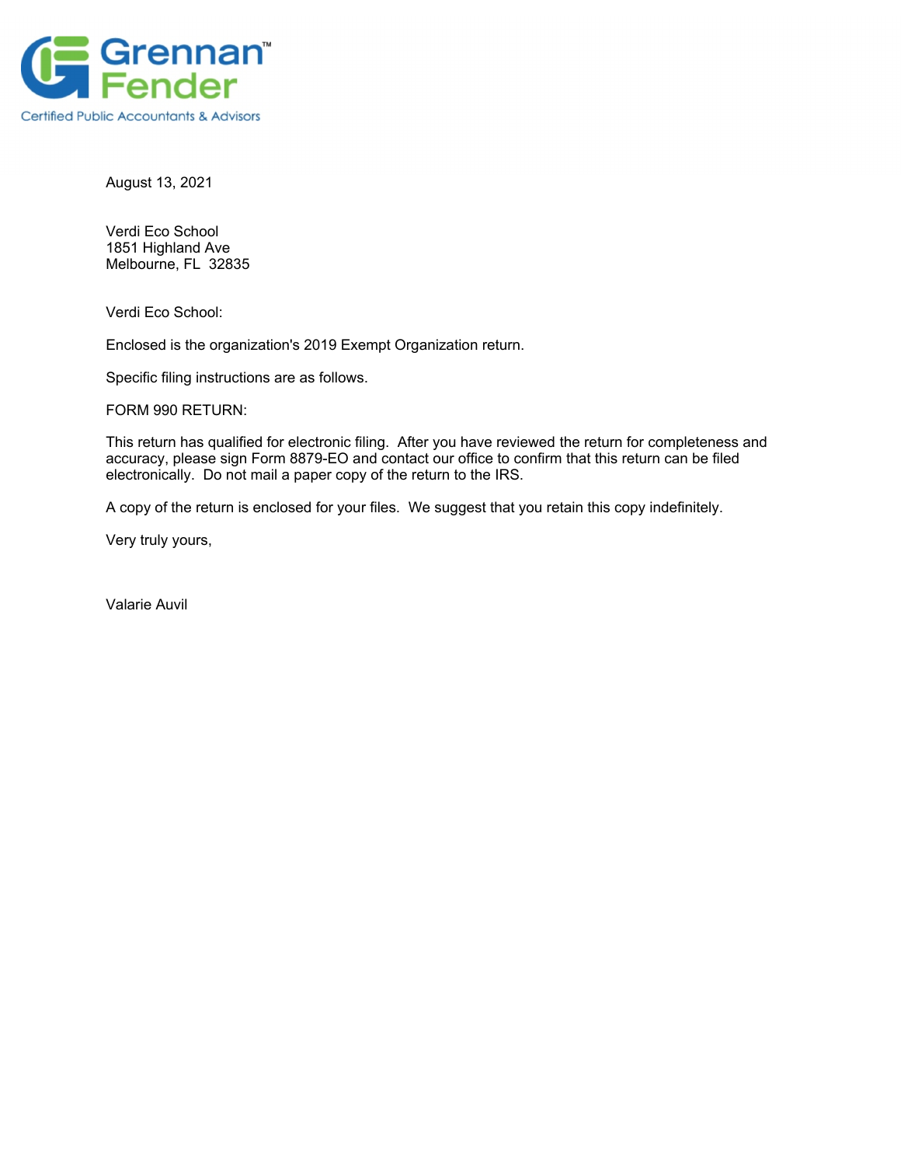

August 13, 2021

Verdi Eco School 1851 Highland Ave Melbourne, FL 32835

Verdi Eco School:

Enclosed is the organization's 2019 Exempt Organization return.

Specific filing instructions are as follows.

FORM 990 RETURN:

This return has qualified for electronic filing. After you have reviewed the return for completeness and accuracy, please sign Form 8879-EO and contact our office to confirm that this return can be filed electronically. Do not mail a paper copy of the return to the IRS.

A copy of the return is enclosed for your files. We suggest that you retain this copy indefinitely.

Very truly yours,

Valarie Auvil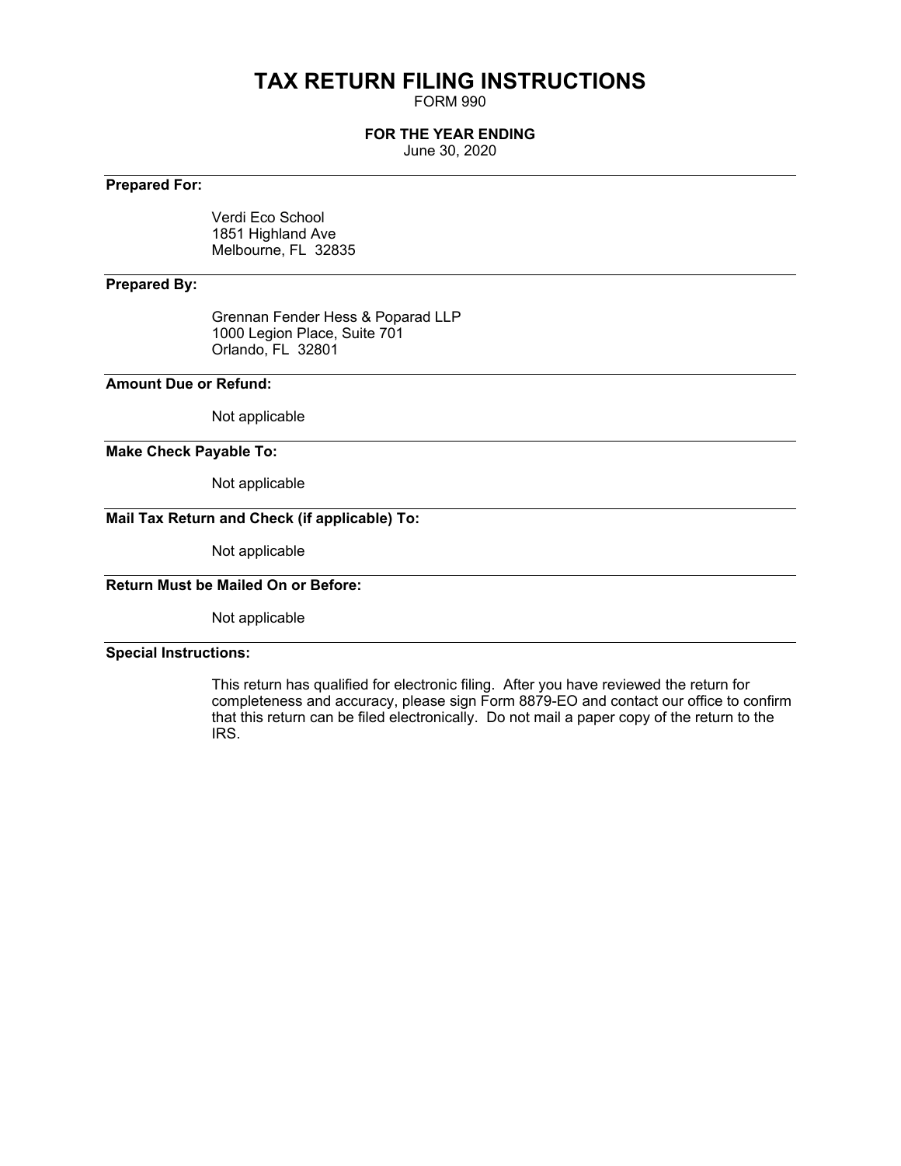## **TAX RETURN FILING INSTRUCTIONS**

FORM 990

### **FOR THE YEAR ENDING**

June 30, 2020

### **Prepared For:**

Verdi Eco School 1851 Highland Ave Melbourne, FL 32835

### **Prepared By:**

Grennan Fender Hess & Poparad LLP 1000 Legion Place, Suite 701 Orlando, FL 32801

### **Amount Due or Refund:**

Not applicable

### **Make Check Payable To:**

Not applicable

### **Mail Tax Return and Check (if applicable) To:**

Not applicable

### **Return Must be Mailed On or Before:**

Not applicable

### **Special Instructions:**

This return has qualified for electronic filing. After you have reviewed the return for completeness and accuracy, please sign Form 8879-EO and contact our office to confirm that this return can be filed electronically. Do not mail a paper copy of the return to the IRS.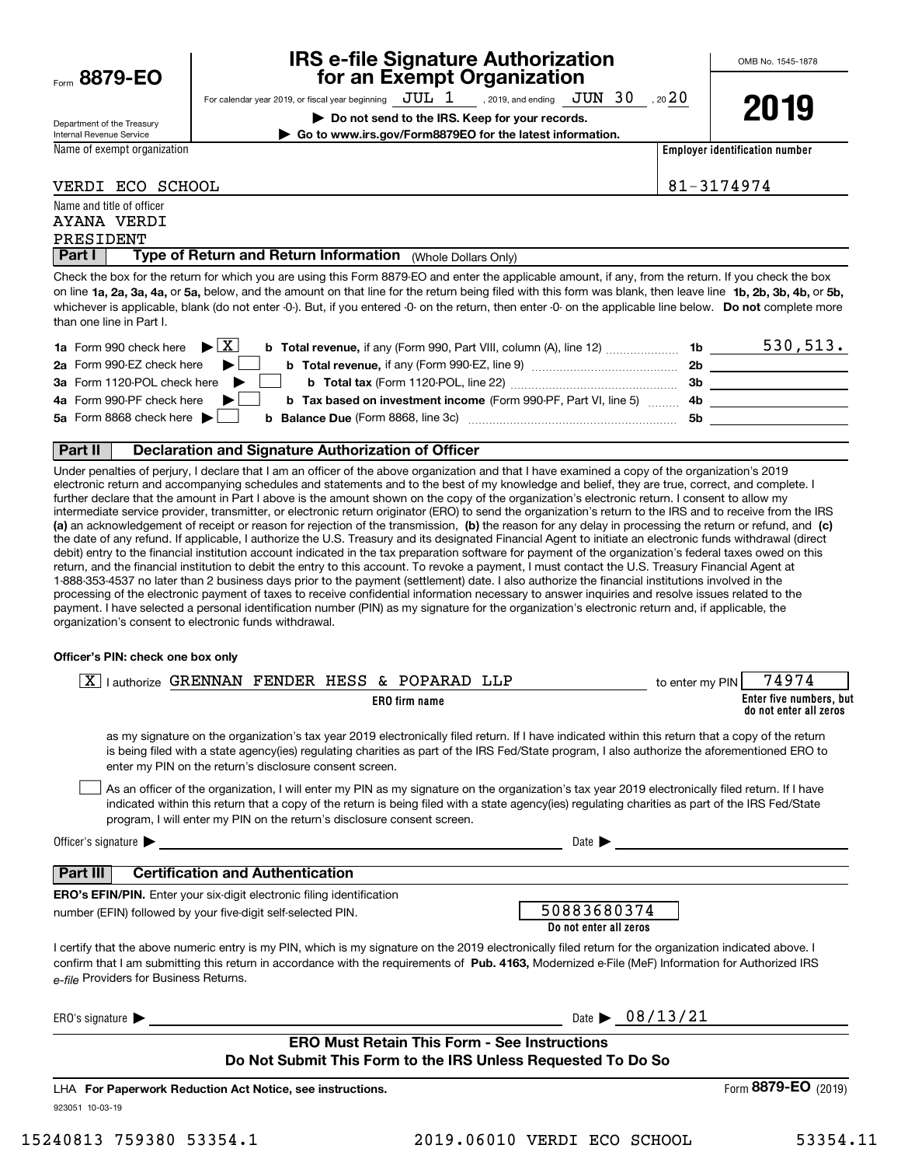|      | 8879-EO |  |
|------|---------|--|
| Form |         |  |

### **IRS e-file Signature Authorization for an Exempt Organization**

OMB No. 1545-1878

**2019**

Department of the Treasury Internal Revenue Service

For calendar year 2019, or fiscal year beginning  $\rm\,JUL~$   $1$   $\rm\,$  , 2019, and ending  $\rm\,JUN~$   $30$   $\rm\,$  , 20  $20$ **| Do not send to the IRS. Keep for your records.**

**| Go to www.irs.gov/Form8879EO for the latest information.**

Name of exempt organization

**Employer identification number**

VERDI ECO SCHOOL 81-3174974

|                           | VANDI BCO SCHOOD |  |
|---------------------------|------------------|--|
| Name and title of officer |                  |  |

| AYANA VERDI                                                                                                                                           |
|-------------------------------------------------------------------------------------------------------------------------------------------------------|
| PRESIDENT                                                                                                                                             |
| Part I<br>Type of Return and Return Information<br>(Whole Dollars Only)                                                                               |
| Check the box for the return for which you are using this Form 8879-EO and enter the applicable amount, if any, from the return. If you check the box |

on line **1a, 2a, 3a, 4a,** or **5a,** below, and the amount on that line for the return being filed with this form was blank, then leave line **1b, 2b, 3b, 4b,** or **5b,** whichever is applicable, blank (do not enter -0-). But, if you entered -0- on the return, then enter -0- on the applicable line below. **Do not** complete more than one line in Part I.

| <b>1a</b> Form 990 check here $\triangleright \boxed{X}$<br><b>b</b> Total revenue, if any (Form 990, Part VIII, column (A), line 12) <i></i> | 1b  | 530, 513. |
|-----------------------------------------------------------------------------------------------------------------------------------------------|-----|-----------|
| 2a Form 990-EZ check here $\blacktriangleright$<br><b>b</b> Total revenue, if any (Form 990-EZ, line 9)                                       | 2b  |           |
| 3a Form 1120-POL check here $\blacktriangleright$<br><b>b</b> Total tax (Form 1120-POL, line 22) <b>Constant Contract Constant Constant</b>   | 3b  |           |
| 4a Form 990-PF check here $\blacktriangleright$<br><b>b Tax based on investment income</b> (Form 990-PF, Part VI, line 5)                     | -4b |           |
| 5a Form 8868 check here $\blacktriangleright$<br><b>b</b> Balance Due (Form 8868, line 3c)                                                    | 5b  |           |
|                                                                                                                                               |     |           |

### **Part II Declaration and Signature Authorization of Officer**

**(a)** an acknowledgement of receipt or reason for rejection of the transmission, (b) the reason for any delay in processing the return or refund, and (c) Under penalties of perjury, I declare that I am an officer of the above organization and that I have examined a copy of the organization's 2019 electronic return and accompanying schedules and statements and to the best of my knowledge and belief, they are true, correct, and complete. I further declare that the amount in Part I above is the amount shown on the copy of the organization's electronic return. I consent to allow my intermediate service provider, transmitter, or electronic return originator (ERO) to send the organization's return to the IRS and to receive from the IRS the date of any refund. If applicable, I authorize the U.S. Treasury and its designated Financial Agent to initiate an electronic funds withdrawal (direct debit) entry to the financial institution account indicated in the tax preparation software for payment of the organization's federal taxes owed on this return, and the financial institution to debit the entry to this account. To revoke a payment, I must contact the U.S. Treasury Financial Agent at 1-888-353-4537 no later than 2 business days prior to the payment (settlement) date. I also authorize the financial institutions involved in the processing of the electronic payment of taxes to receive confidential information necessary to answer inquiries and resolve issues related to the payment. I have selected a personal identification number (PIN) as my signature for the organization's electronic return and, if applicable, the organization's consent to electronic funds withdrawal.

### **Officer's PIN: check one box only**

| lauthorize GRENNAN FENDER HESS & POPARAD LLP<br><b>ERO</b> firm name                                                                                                                                                                                                                                                                                   | 74974<br>to enter my PIN<br>Enter five numbers, but<br>do not enter all zeros                                                                                                                                                                                                                         |
|--------------------------------------------------------------------------------------------------------------------------------------------------------------------------------------------------------------------------------------------------------------------------------------------------------------------------------------------------------|-------------------------------------------------------------------------------------------------------------------------------------------------------------------------------------------------------------------------------------------------------------------------------------------------------|
| enter my PIN on the return's disclosure consent screen.                                                                                                                                                                                                                                                                                                | as my signature on the organization's tax year 2019 electronically filed return. If I have indicated within this return that a copy of the return<br>is being filed with a state agency(ies) regulating charities as part of the IRS Fed/State program, I also authorize the aforementioned ERO to    |
| program, I will enter my PIN on the return's disclosure consent screen.                                                                                                                                                                                                                                                                                | As an officer of the organization, I will enter my PIN as my signature on the organization's tax year 2019 electronically filed return. If I have<br>indicated within this return that a copy of the return is being filed with a state agency(ies) regulating charities as part of the IRS Fed/State |
|                                                                                                                                                                                                                                                                                                                                                        | Date $\blacktriangleright$                                                                                                                                                                                                                                                                            |
| <b>Certification and Authentication</b><br>Part III I                                                                                                                                                                                                                                                                                                  |                                                                                                                                                                                                                                                                                                       |
| <b>ERO's EFIN/PIN.</b> Enter your six-digit electronic filing identification                                                                                                                                                                                                                                                                           |                                                                                                                                                                                                                                                                                                       |
| number (EFIN) followed by your five-digit self-selected PIN.                                                                                                                                                                                                                                                                                           | 50883680374<br>Do not enter all zeros                                                                                                                                                                                                                                                                 |
| I certify that the above numeric entry is my PIN, which is my signature on the 2019 electronically filed return for the organization indicated above. I<br>confirm that I am submitting this return in accordance with the requirements of Pub. 4163, Modernized e-File (MeF) Information for Authorized IRS<br>e-file Providers for Business Returns. |                                                                                                                                                                                                                                                                                                       |
| ERO's signature $\blacktriangleright$                                                                                                                                                                                                                                                                                                                  | Date $\triangleright$ 08/13/21                                                                                                                                                                                                                                                                        |
| <b>ERO Must Retain This Form - See Instructions</b>                                                                                                                                                                                                                                                                                                    |                                                                                                                                                                                                                                                                                                       |
| Do Not Submit This Form to the IRS Unless Requested To Do So                                                                                                                                                                                                                                                                                           |                                                                                                                                                                                                                                                                                                       |
| LHA For Paperwork Reduction Act Notice, see instructions.                                                                                                                                                                                                                                                                                              | Form 8879-EO<br>(2019)                                                                                                                                                                                                                                                                                |
| 923051 10-03-19                                                                                                                                                                                                                                                                                                                                        |                                                                                                                                                                                                                                                                                                       |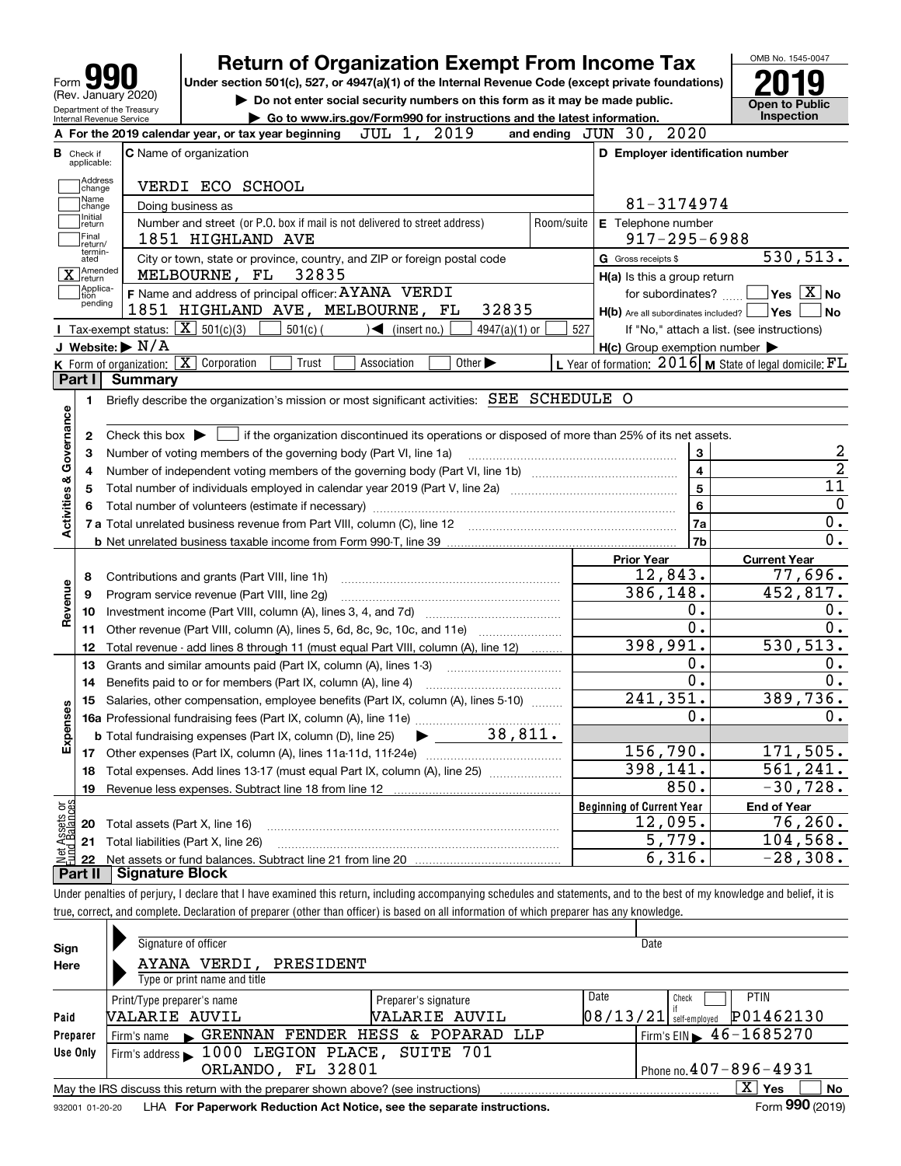| Form 990<br>(Rev. January 2020)                        | Ret<br><b>Under sectio</b> |  |  |  |  |
|--------------------------------------------------------|----------------------------|--|--|--|--|
| Department of the Treasury<br>Internal Revenue Service |                            |  |  |  |  |
| A For the 2019 calendar year, or tax                   |                            |  |  |  |  |

## **Return of Organization Exempt From Income Tax**

**Under section 501(c), 527, or 4947(a)(1) of the Internal Revenue Code (except private foundations) 2019**

**| Do not enter social security numbers on this form as it may be made public.**



|  |  | ► Do not enter social security numbers on this form as it may be made public |  |  |  |  |  |
|--|--|------------------------------------------------------------------------------|--|--|--|--|--|
|  |  |                                                                              |  |  |  |  |  |

| Internal Revenue Service     | Go to www.irs.gov/Form990 for instructions and the latest information.                                                                      |            |                                                     | <b>Inspection</b>                                           |
|------------------------------|---------------------------------------------------------------------------------------------------------------------------------------------|------------|-----------------------------------------------------|-------------------------------------------------------------|
|                              | 2019<br>JUL 1,<br>A For the 2019 calendar year, or tax year beginning                                                                       |            | 2020<br>and ending $JUN$ $30$ ,                     |                                                             |
| в<br>Check if<br>applicable: | <b>C</b> Name of organization                                                                                                               |            | D Employer identification number                    |                                                             |
| Address                      |                                                                                                                                             |            |                                                     |                                                             |
| change<br>Name<br>Change     | VERDI ECO SCHOOL                                                                                                                            |            | 81-3174974                                          |                                                             |
| Initial                      | Doing business as                                                                                                                           |            |                                                     |                                                             |
| return<br>Final              | Number and street (or P.O. box if mail is not delivered to street address)<br>1851 HIGHLAND AVE                                             | Room/suite | E Telephone number<br>$917 - 295 - 6988$            |                                                             |
| return/<br>termin-           | City or town, state or province, country, and ZIP or foreign postal code                                                                    |            | G Gross receipts \$                                 | 530,513.                                                    |
| ated<br>X Amended            | MELBOURNE, FL<br>32835                                                                                                                      |            |                                                     |                                                             |
| Applica-                     | F Name and address of principal officer: AYANA VERDI                                                                                        |            | H(a) Is this a group return<br>for subordinates?    | $\sqrt{}$ Yes $\sqrt{}$ X $\sqrt{}$ No                      |
| tion<br>pending              | 1851 HIGHLAND AVE, MELBOURNE, FL<br>32835                                                                                                   |            | H(b) Are all subordinates included?   Yes           | <b>No</b>                                                   |
|                              | Tax-exempt status: $\boxed{\mathbf{X}}$ 501(c)(3) $\boxed{\phantom{1}}$<br>$501(c)$ (<br>$\sqrt{\frac{1}{1}}$ (insert no.)<br>4947(a)(1) or | 527        |                                                     | If "No," attach a list. (see instructions)                  |
|                              | J Website: $\blacktriangleright$ $\mathrm{N}/\mathrm{A}$                                                                                    |            | $H(c)$ Group exemption number $\blacktriangleright$ |                                                             |
|                              | K Form of organization: X Corporation<br>Other $\blacktriangleright$<br>Trust<br>Association                                                |            |                                                     | L Year of formation: $2016$ M State of legal domicile: $FL$ |
| Part I                       | <b>Summary</b>                                                                                                                              |            |                                                     |                                                             |
| 1                            | Briefly describe the organization's mission or most significant activities: SEE SCHEDULE O                                                  |            |                                                     |                                                             |
|                              |                                                                                                                                             |            |                                                     |                                                             |
| 2                            |                                                                                                                                             |            |                                                     |                                                             |
| з                            | Number of voting members of the governing body (Part VI, line 1a)                                                                           |            | 3                                                   | $\boldsymbol{2}$                                            |
| 4                            |                                                                                                                                             |            | $\overline{\mathbf{4}}$                             | $\overline{2}$                                              |
| 5                            |                                                                                                                                             |            | $\overline{5}$                                      | $\overline{11}$                                             |
| Activities & Governance      |                                                                                                                                             |            | 6                                                   | $\mathbf 0$                                                 |
|                              | 7 a Total unrelated business revenue from Part VIII, column (C), line 12 [11] [12] [11] [12] [11] [11] [12] [1                              |            | 7a                                                  | $0$ .                                                       |
|                              |                                                                                                                                             |            | 7b                                                  | $\overline{0}$ .                                            |
|                              |                                                                                                                                             |            | <b>Prior Year</b>                                   | <b>Current Year</b>                                         |
| 8                            | Contributions and grants (Part VIII, line 1h)                                                                                               |            | 12,843.                                             | 77,696.                                                     |
| 9                            | Program service revenue (Part VIII, line 2g)                                                                                                |            | 386, 148.                                           | 452,817.                                                    |
| Revenue<br>10                |                                                                                                                                             |            | Ο.                                                  | $\mathbf 0$ .                                               |
| 11                           | Other revenue (Part VIII, column (A), lines 5, 6d, 8c, 9c, 10c, and 11e)                                                                    |            | О.                                                  | 0.                                                          |
| 12                           | Total revenue - add lines 8 through 11 (must equal Part VIII, column (A), line 12)                                                          |            | 398,991.                                            | 530, 513.                                                   |
| 13                           | Grants and similar amounts paid (Part IX, column (A), lines 1-3)                                                                            |            | Ο.                                                  | 0.                                                          |
| 14                           |                                                                                                                                             |            | о.                                                  | 0.                                                          |
| 15                           | Salaries, other compensation, employee benefits (Part IX, column (A), lines 5-10)                                                           |            | 241,351.                                            | 389,736.                                                    |
|                              |                                                                                                                                             |            | 0.                                                  | 0.                                                          |
| Expenses                     | $\blacktriangleright$ 38,811.<br><b>b</b> Total fundraising expenses (Part IX, column (D), line 25)                                         |            |                                                     |                                                             |
|                              |                                                                                                                                             |            | 156,790.<br>398, 141.                               | 171,505.<br>$\overline{561,241}$ .                          |
| 18                           | Total expenses. Add lines 13-17 (must equal Part IX, column (A), line 25) [                                                                 |            |                                                     | $-30,728.$                                                  |
| 19                           |                                                                                                                                             |            | 850.                                                |                                                             |
| ăğ                           |                                                                                                                                             |            | <b>Beginning of Current Year</b>                    | <b>End of Year</b><br>76, 260.                              |
| ssets<br>20                  | Total assets (Part X, line 16)                                                                                                              |            | 12,095.<br>5,779.                                   | 104,568.                                                    |
| 21                           | Total liabilities (Part X, line 26)                                                                                                         |            | 6,316.                                              | $-28,308.$                                                  |
| 22<br>Part II                | <b>Signature Block</b>                                                                                                                      |            |                                                     |                                                             |

Under penalties of perjury, I declare that I have examined this return, including accompanying schedules and statements, and to the best of my knowledge and belief, it is true, correct, and complete. Declaration of preparer (other than officer) is based on all information of which preparer has any knowledge.

| Sign     | Signature of officer                                                                                            |                              | Date                     |                                             |  |  |  |  |  |  |
|----------|-----------------------------------------------------------------------------------------------------------------|------------------------------|--------------------------|---------------------------------------------|--|--|--|--|--|--|
| Here     | AYANA VERDI, PRESIDENT                                                                                          |                              |                          |                                             |  |  |  |  |  |  |
|          | Type or print name and title                                                                                    |                              |                          |                                             |  |  |  |  |  |  |
|          | Print/Type preparer's name                                                                                      | Date<br>Preparer's signature | Check                    | <b>PTIN</b>                                 |  |  |  |  |  |  |
| Paid     | NALARIE AUVIL                                                                                                   | <b><i>NALARIE AUVIL</i></b>  | $08/13/21$ self-employed | P01462130                                   |  |  |  |  |  |  |
| Preparer | Firm's name GRENNAN FENDER HESS & POPARAD LLP                                                                   |                              |                          | Firm's EIN $\blacktriangleright$ 46-1685270 |  |  |  |  |  |  |
| Use Only | Firm's address 1000 LEGION PLACE, SUITE 701                                                                     |                              |                          |                                             |  |  |  |  |  |  |
|          | ORLANDO, FL 32801                                                                                               |                              |                          | Phone no. $407 - 896 - 4931$                |  |  |  |  |  |  |
|          | $X \mid Y$ es<br><b>No</b><br>May the IRS discuss this return with the preparer shown above? (see instructions) |                              |                          |                                             |  |  |  |  |  |  |
|          | Form 990 (2019)<br>LHA For Paperwork Reduction Act Notice, see the separate instructions.<br>932001 01-20-20    |                              |                          |                                             |  |  |  |  |  |  |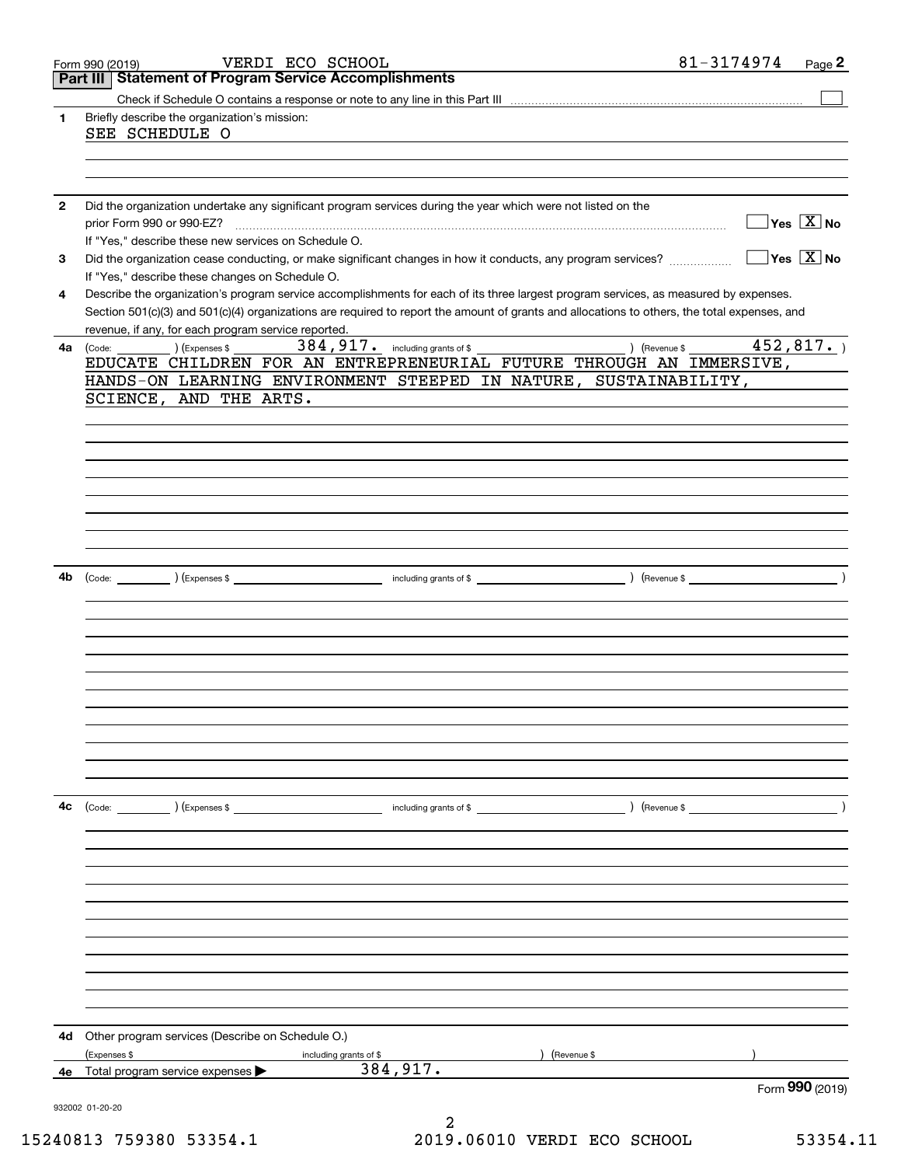| Page 2                                                | 81-3174974 |                                                                                                                                              |                                  | VERDI ECO SCHOOL                                               | Form 990 (2019)           |                       |
|-------------------------------------------------------|------------|----------------------------------------------------------------------------------------------------------------------------------------------|----------------------------------|----------------------------------------------------------------|---------------------------|-----------------------|
|                                                       |            |                                                                                                                                              |                                  | <b>Statement of Program Service Accomplishments</b>            |                           | Part III              |
|                                                       |            |                                                                                                                                              |                                  |                                                                |                           |                       |
|                                                       |            |                                                                                                                                              |                                  | Briefly describe the organization's mission:                   | SEE SCHEDULE O            | 1                     |
|                                                       |            |                                                                                                                                              |                                  |                                                                |                           |                       |
|                                                       |            | Did the organization undertake any significant program services during the year which were not listed on the                                 |                                  |                                                                |                           | $\mathbf{2}$          |
| $\overline{\ }$ Yes $\overline{\rm X}$ No             |            |                                                                                                                                              |                                  |                                                                | prior Form 990 or 990-EZ? |                       |
| $\overline{\mathsf{Y}}$ es $\overline{\mathsf{X}}$ No |            | Did the organization cease conducting, or make significant changes in how it conducts, any program services?                                 |                                  | If "Yes," describe these new services on Schedule O.           |                           | 3                     |
|                                                       |            |                                                                                                                                              |                                  | If "Yes," describe these changes on Schedule O.                |                           |                       |
|                                                       |            | Describe the organization's program service accomplishments for each of its three largest program services, as measured by expenses.         |                                  |                                                                |                           | 4                     |
|                                                       |            | Section 501(c)(3) and 501(c)(4) organizations are required to report the amount of grants and allocations to others, the total expenses, and |                                  |                                                                |                           |                       |
| 452,817.                                              |            |                                                                                                                                              | 384, 917. including grants of \$ | revenue, if any, for each program service reported.            |                           |                       |
|                                                       |            | ) (Revenue \$<br>EDUCATE CHILDREN FOR AN ENTREPRENEURIAL FUTURE THROUGH AN IMMERSIVE,                                                        |                                  | (Expenses \$                                                   | (Code:                    | 4a                    |
|                                                       |            | HANDS-ON LEARNING ENVIRONMENT STEEPED IN NATURE, SUSTAINABILITY,                                                                             |                                  |                                                                |                           |                       |
|                                                       |            |                                                                                                                                              |                                  | SCIENCE, AND THE ARTS.                                         |                           |                       |
|                                                       |            |                                                                                                                                              |                                  |                                                                |                           |                       |
|                                                       |            |                                                                                                                                              |                                  |                                                                |                           |                       |
|                                                       |            |                                                                                                                                              |                                  |                                                                |                           |                       |
|                                                       |            |                                                                                                                                              |                                  |                                                                |                           |                       |
|                                                       |            |                                                                                                                                              |                                  |                                                                |                           |                       |
|                                                       |            |                                                                                                                                              |                                  |                                                                |                           |                       |
|                                                       |            |                                                                                                                                              |                                  |                                                                |                           |                       |
|                                                       |            |                                                                                                                                              |                                  |                                                                |                           |                       |
|                                                       |            |                                                                                                                                              |                                  |                                                                |                           | 4b                    |
|                                                       |            |                                                                                                                                              |                                  |                                                                |                           |                       |
|                                                       |            |                                                                                                                                              |                                  |                                                                |                           |                       |
|                                                       |            |                                                                                                                                              |                                  |                                                                |                           |                       |
|                                                       |            |                                                                                                                                              |                                  |                                                                |                           |                       |
|                                                       |            |                                                                                                                                              |                                  |                                                                |                           |                       |
|                                                       |            |                                                                                                                                              |                                  |                                                                |                           |                       |
|                                                       |            |                                                                                                                                              |                                  |                                                                |                           |                       |
|                                                       |            |                                                                                                                                              |                                  |                                                                |                           |                       |
|                                                       |            |                                                                                                                                              |                                  |                                                                |                           |                       |
|                                                       |            |                                                                                                                                              |                                  |                                                                |                           |                       |
|                                                       |            |                                                                                                                                              |                                  |                                                                | (Code: ) (Expenses \$     | 4c                    |
|                                                       |            |                                                                                                                                              |                                  |                                                                |                           |                       |
|                                                       |            |                                                                                                                                              |                                  |                                                                |                           |                       |
|                                                       |            |                                                                                                                                              |                                  |                                                                |                           |                       |
|                                                       |            |                                                                                                                                              |                                  |                                                                |                           |                       |
|                                                       |            |                                                                                                                                              |                                  |                                                                |                           |                       |
|                                                       |            |                                                                                                                                              |                                  |                                                                |                           |                       |
|                                                       |            |                                                                                                                                              |                                  |                                                                |                           |                       |
|                                                       |            |                                                                                                                                              |                                  |                                                                |                           |                       |
|                                                       |            |                                                                                                                                              |                                  |                                                                |                           |                       |
|                                                       |            |                                                                                                                                              |                                  |                                                                |                           |                       |
|                                                       |            |                                                                                                                                              |                                  | Other program services (Describe on Schedule O.)               |                           |                       |
|                                                       |            | (Revenue \$                                                                                                                                  | including grants of \$           |                                                                | (Expenses \$              |                       |
| Form 990 (2019)                                       |            |                                                                                                                                              |                                  |                                                                |                           |                       |
|                                                       |            |                                                                                                                                              |                                  |                                                                |                           |                       |
|                                                       |            |                                                                                                                                              | 384, 917.<br>2                   | <b>4e</b> Total program service expenses $\blacktriangleright$ |                           | 4d<br>932002 01-20-20 |

15240813 759380 53354.1 2019.06010 VERDI ECO SCHOOL 53354.11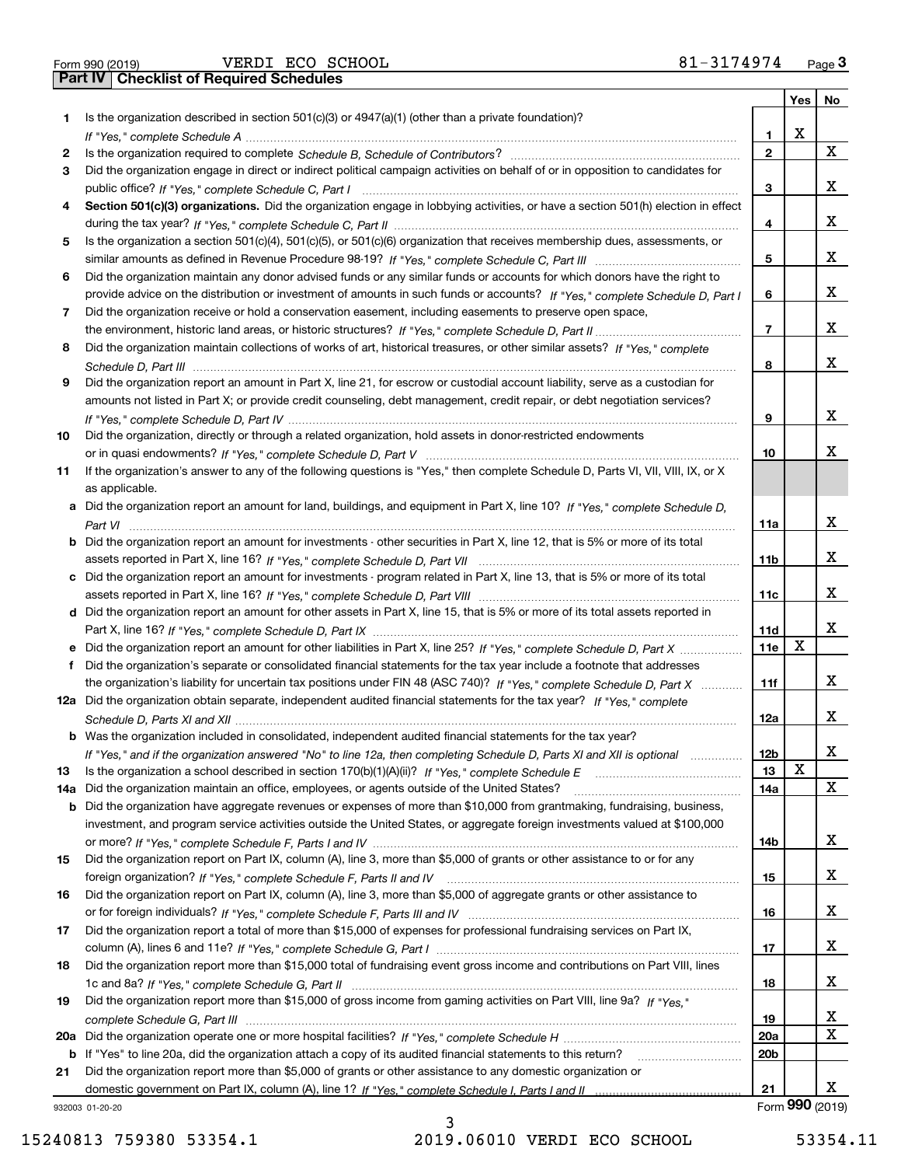| Form 990 (2019) |  |  |
|-----------------|--|--|

|     |                                                                                                                                                                                                                                                            |                 | Yes | No              |
|-----|------------------------------------------------------------------------------------------------------------------------------------------------------------------------------------------------------------------------------------------------------------|-----------------|-----|-----------------|
| 1.  | Is the organization described in section $501(c)(3)$ or $4947(a)(1)$ (other than a private foundation)?                                                                                                                                                    |                 |     |                 |
|     |                                                                                                                                                                                                                                                            | 1               | x   |                 |
| 2   |                                                                                                                                                                                                                                                            | $\mathbf{2}$    |     | x               |
| 3   | Did the organization engage in direct or indirect political campaign activities on behalf of or in opposition to candidates for                                                                                                                            |                 |     |                 |
|     |                                                                                                                                                                                                                                                            | 3               |     | х               |
| 4   | Section 501(c)(3) organizations. Did the organization engage in lobbying activities, or have a section 501(h) election in effect                                                                                                                           |                 |     |                 |
|     |                                                                                                                                                                                                                                                            | 4               |     | x               |
| 5   | Is the organization a section 501(c)(4), 501(c)(5), or 501(c)(6) organization that receives membership dues, assessments, or                                                                                                                               |                 |     |                 |
|     |                                                                                                                                                                                                                                                            | 5               |     | x               |
| 6   | Did the organization maintain any donor advised funds or any similar funds or accounts for which donors have the right to                                                                                                                                  |                 |     |                 |
|     | provide advice on the distribution or investment of amounts in such funds or accounts? If "Yes," complete Schedule D, Part I                                                                                                                               | 6               |     | x               |
| 7   | Did the organization receive or hold a conservation easement, including easements to preserve open space,                                                                                                                                                  |                 |     | x               |
|     |                                                                                                                                                                                                                                                            | 7               |     |                 |
| 8   | Did the organization maintain collections of works of art, historical treasures, or other similar assets? If "Yes," complete                                                                                                                               |                 |     | x               |
|     |                                                                                                                                                                                                                                                            | 8               |     |                 |
| 9   | Did the organization report an amount in Part X, line 21, for escrow or custodial account liability, serve as a custodian for<br>amounts not listed in Part X; or provide credit counseling, debt management, credit repair, or debt negotiation services? |                 |     |                 |
|     |                                                                                                                                                                                                                                                            | 9               |     | x               |
| 10  | Did the organization, directly or through a related organization, hold assets in donor-restricted endowments                                                                                                                                               |                 |     |                 |
|     |                                                                                                                                                                                                                                                            | 10              |     | x               |
| 11  | If the organization's answer to any of the following questions is "Yes," then complete Schedule D, Parts VI, VII, VIII, IX, or X                                                                                                                           |                 |     |                 |
|     | as applicable.                                                                                                                                                                                                                                             |                 |     |                 |
|     | a Did the organization report an amount for land, buildings, and equipment in Part X, line 10? If "Yes," complete Schedule D,                                                                                                                              |                 |     |                 |
|     |                                                                                                                                                                                                                                                            | 11a             |     | x               |
|     | <b>b</b> Did the organization report an amount for investments - other securities in Part X, line 12, that is 5% or more of its total                                                                                                                      |                 |     |                 |
|     |                                                                                                                                                                                                                                                            | 11 <sub>b</sub> |     | x               |
|     | c Did the organization report an amount for investments - program related in Part X, line 13, that is 5% or more of its total                                                                                                                              |                 |     |                 |
|     |                                                                                                                                                                                                                                                            | 11c             |     | x               |
|     | d Did the organization report an amount for other assets in Part X, line 15, that is 5% or more of its total assets reported in                                                                                                                            |                 |     |                 |
|     |                                                                                                                                                                                                                                                            | 11d             |     | х               |
|     | Did the organization report an amount for other liabilities in Part X, line 25? If "Yes," complete Schedule D, Part X                                                                                                                                      | 11e             | x   |                 |
| f   | Did the organization's separate or consolidated financial statements for the tax year include a footnote that addresses                                                                                                                                    |                 |     |                 |
|     | the organization's liability for uncertain tax positions under FIN 48 (ASC 740)? If "Yes," complete Schedule D, Part X                                                                                                                                     | 11f             |     | х               |
|     | 12a Did the organization obtain separate, independent audited financial statements for the tax year? If "Yes," complete                                                                                                                                    |                 |     |                 |
|     |                                                                                                                                                                                                                                                            | 12a             |     | х               |
|     | <b>b</b> Was the organization included in consolidated, independent audited financial statements for the tax year?                                                                                                                                         |                 |     |                 |
|     | If "Yes," and if the organization answered "No" to line 12a, then completing Schedule D, Parts XI and XII is optional                                                                                                                                      | 12 <sub>b</sub> |     | х               |
| 13  | Is the organization a school described in section $170(b)(1)(A)(ii)?$ If "Yes," complete Schedule E                                                                                                                                                        | 13              | X   |                 |
| 14a | Did the organization maintain an office, employees, or agents outside of the United States?                                                                                                                                                                | 14a             |     | x               |
|     | <b>b</b> Did the organization have aggregate revenues or expenses of more than \$10,000 from grantmaking, fundraising, business,                                                                                                                           |                 |     |                 |
|     | investment, and program service activities outside the United States, or aggregate foreign investments valued at \$100,000                                                                                                                                 |                 |     |                 |
|     |                                                                                                                                                                                                                                                            | 14b             |     | x               |
| 15  | Did the organization report on Part IX, column (A), line 3, more than \$5,000 of grants or other assistance to or for any                                                                                                                                  |                 |     |                 |
|     |                                                                                                                                                                                                                                                            | 15              |     | x               |
| 16  | Did the organization report on Part IX, column (A), line 3, more than \$5,000 of aggregate grants or other assistance to                                                                                                                                   |                 |     |                 |
|     |                                                                                                                                                                                                                                                            | 16              |     | x               |
| 17  | Did the organization report a total of more than \$15,000 of expenses for professional fundraising services on Part IX,                                                                                                                                    |                 |     | X.              |
|     |                                                                                                                                                                                                                                                            | 17              |     |                 |
| 18  | Did the organization report more than \$15,000 total of fundraising event gross income and contributions on Part VIII, lines                                                                                                                               | 18              |     | X.              |
| 19  | Did the organization report more than \$15,000 of gross income from gaming activities on Part VIII, line 9a? If "Yes."                                                                                                                                     |                 |     |                 |
|     |                                                                                                                                                                                                                                                            | 19              |     | x               |
| 20a |                                                                                                                                                                                                                                                            | 20a             |     | x               |
|     | b If "Yes" to line 20a, did the organization attach a copy of its audited financial statements to this return?                                                                                                                                             | 20 <sub>b</sub> |     |                 |
| 21  | Did the organization report more than \$5,000 of grants or other assistance to any domestic organization or                                                                                                                                                |                 |     |                 |
|     |                                                                                                                                                                                                                                                            | 21              |     | x               |
|     | 932003 01-20-20                                                                                                                                                                                                                                            |                 |     | Form 990 (2019) |

932003 01-20-20

15240813 759380 53354.1 2019.06010 VERDI ECO SCHOOL 53354.11

3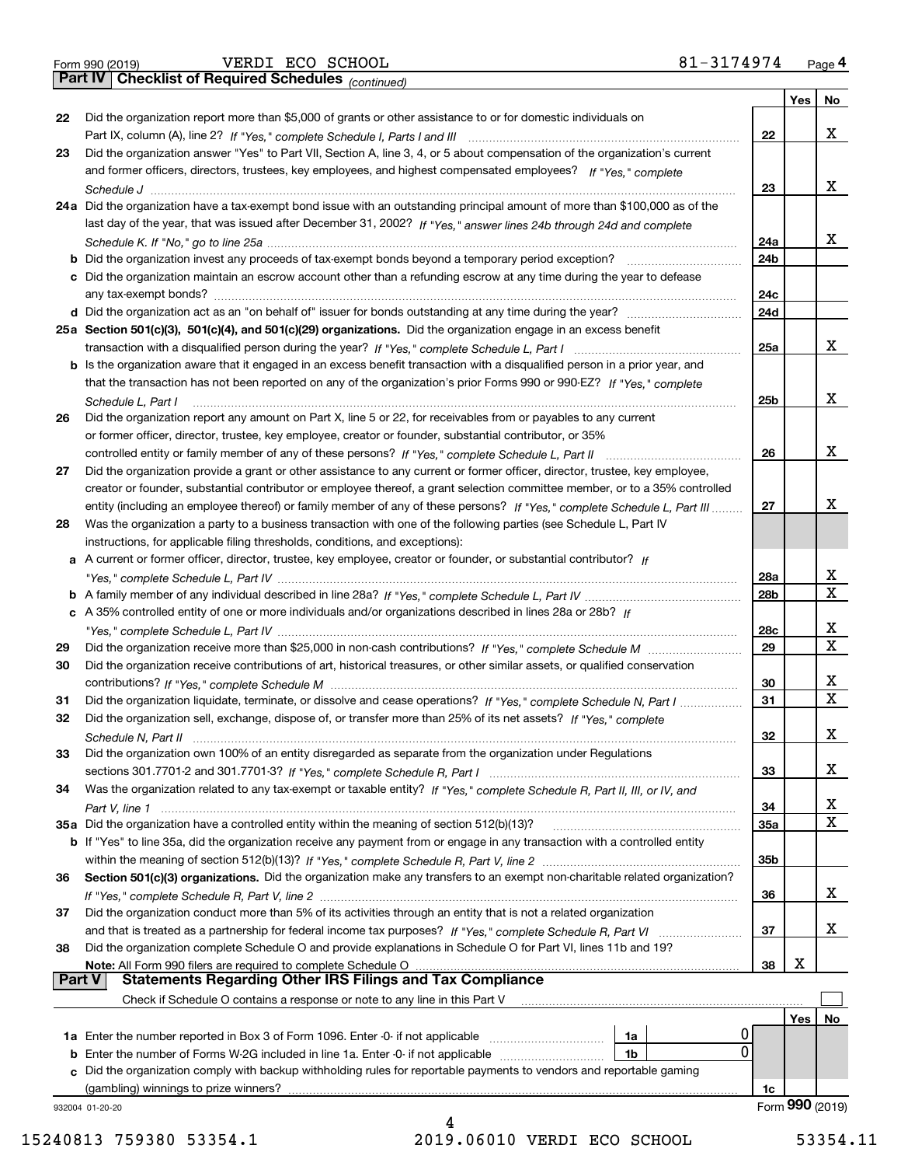|  | Form 990 (2019) |
|--|-----------------|
|  |                 |

*(continued)*

|               |                                                                                                                                    |                 | Yes        | No              |
|---------------|------------------------------------------------------------------------------------------------------------------------------------|-----------------|------------|-----------------|
| 22            | Did the organization report more than \$5,000 of grants or other assistance to or for domestic individuals on                      |                 |            |                 |
|               |                                                                                                                                    | 22              |            | x               |
| 23            | Did the organization answer "Yes" to Part VII, Section A, line 3, 4, or 5 about compensation of the organization's current         |                 |            |                 |
|               | and former officers, directors, trustees, key employees, and highest compensated employees? If "Yes," complete                     |                 |            |                 |
|               |                                                                                                                                    | 23              |            | x               |
|               | 24a Did the organization have a tax-exempt bond issue with an outstanding principal amount of more than \$100,000 as of the        |                 |            |                 |
|               | last day of the year, that was issued after December 31, 2002? If "Yes," answer lines 24b through 24d and complete                 |                 |            |                 |
|               |                                                                                                                                    | 24a             |            | x               |
|               | <b>b</b> Did the organization invest any proceeds of tax-exempt bonds beyond a temporary period exception?                         | 24 <sub>b</sub> |            |                 |
|               | c Did the organization maintain an escrow account other than a refunding escrow at any time during the year to defease             |                 |            |                 |
|               |                                                                                                                                    | 24c             |            |                 |
|               |                                                                                                                                    | 24d             |            |                 |
|               | 25a Section 501(c)(3), 501(c)(4), and 501(c)(29) organizations. Did the organization engage in an excess benefit                   |                 |            |                 |
|               |                                                                                                                                    | 25a             |            | x               |
|               | b Is the organization aware that it engaged in an excess benefit transaction with a disqualified person in a prior year, and       |                 |            |                 |
|               | that the transaction has not been reported on any of the organization's prior Forms 990 or 990-EZ? If "Yes," complete              |                 |            |                 |
|               | Schedule L, Part I                                                                                                                 | 25b             |            | x               |
| 26            | Did the organization report any amount on Part X, line 5 or 22, for receivables from or payables to any current                    |                 |            |                 |
|               | or former officer, director, trustee, key employee, creator or founder, substantial contributor, or 35%                            |                 |            |                 |
|               |                                                                                                                                    | 26              |            | х               |
| 27            | Did the organization provide a grant or other assistance to any current or former officer, director, trustee, key employee,        |                 |            |                 |
|               | creator or founder, substantial contributor or employee thereof, a grant selection committee member, or to a 35% controlled        |                 |            |                 |
|               | entity (including an employee thereof) or family member of any of these persons? If "Yes," complete Schedule L, Part III           | 27              |            | x               |
| 28            | Was the organization a party to a business transaction with one of the following parties (see Schedule L, Part IV                  |                 |            |                 |
|               | instructions, for applicable filing thresholds, conditions, and exceptions):                                                       |                 |            |                 |
|               | a A current or former officer, director, trustee, key employee, creator or founder, or substantial contributor? If                 |                 |            |                 |
|               |                                                                                                                                    | 28a             |            | х               |
|               |                                                                                                                                    | 28 <sub>b</sub> |            | х               |
|               | c A 35% controlled entity of one or more individuals and/or organizations described in lines 28a or 28b? If                        |                 |            |                 |
|               |                                                                                                                                    | 28c             |            | х               |
| 29            |                                                                                                                                    | 29              |            | X               |
| 30            | Did the organization receive contributions of art, historical treasures, or other similar assets, or qualified conservation        |                 |            |                 |
|               |                                                                                                                                    | 30              |            | х               |
| 31            | Did the organization liquidate, terminate, or dissolve and cease operations? If "Yes," complete Schedule N, Part I                 | 31              |            | $\mathbf X$     |
| 32            | Did the organization sell, exchange, dispose of, or transfer more than 25% of its net assets? If "Yes," complete                   |                 |            |                 |
|               |                                                                                                                                    | 32              |            | х               |
| 33            | Did the organization own 100% of an entity disregarded as separate from the organization under Regulations                         |                 |            |                 |
|               |                                                                                                                                    | 33              |            | х               |
| 34            | Was the organization related to any tax-exempt or taxable entity? If "Yes," complete Schedule R, Part II, III, or IV, and          |                 |            |                 |
|               |                                                                                                                                    | 34              |            | x               |
|               | 35a Did the organization have a controlled entity within the meaning of section 512(b)(13)?                                        | 35a             |            | X               |
|               | <b>b</b> If "Yes" to line 35a, did the organization receive any payment from or engage in any transaction with a controlled entity |                 |            |                 |
|               |                                                                                                                                    | 35b             |            |                 |
| 36            | Section 501(c)(3) organizations. Did the organization make any transfers to an exempt non-charitable related organization?         |                 |            |                 |
|               |                                                                                                                                    | 36              |            | x               |
| 37            | Did the organization conduct more than 5% of its activities through an entity that is not a related organization                   |                 |            |                 |
|               |                                                                                                                                    | 37              |            | х               |
| 38            | Did the organization complete Schedule O and provide explanations in Schedule O for Part VI, lines 11b and 19?                     |                 |            |                 |
|               | Note: All Form 990 filers are required to complete Schedule O                                                                      | 38              | X          |                 |
| <b>Part V</b> | <b>Statements Regarding Other IRS Filings and Tax Compliance</b>                                                                   |                 |            |                 |
|               | Check if Schedule O contains a response or note to any line in this Part V                                                         |                 |            |                 |
|               |                                                                                                                                    |                 | <b>Yes</b> | No              |
|               | 1a                                                                                                                                 |                 |            |                 |
|               | 0<br><b>b</b> Enter the number of Forms W-2G included in line 1a. Enter -0- if not applicable<br>1b                                |                 |            |                 |
| c             | Did the organization comply with backup withholding rules for reportable payments to vendors and reportable gaming                 |                 |            |                 |
|               | (gambling) winnings to prize winners?                                                                                              | 1c              |            |                 |
|               | 932004 01-20-20                                                                                                                    |                 |            | Form 990 (2019) |
|               |                                                                                                                                    |                 |            |                 |

15240813 759380 53354.1 2019.06010 VERDI ECO SCHOOL 53354.11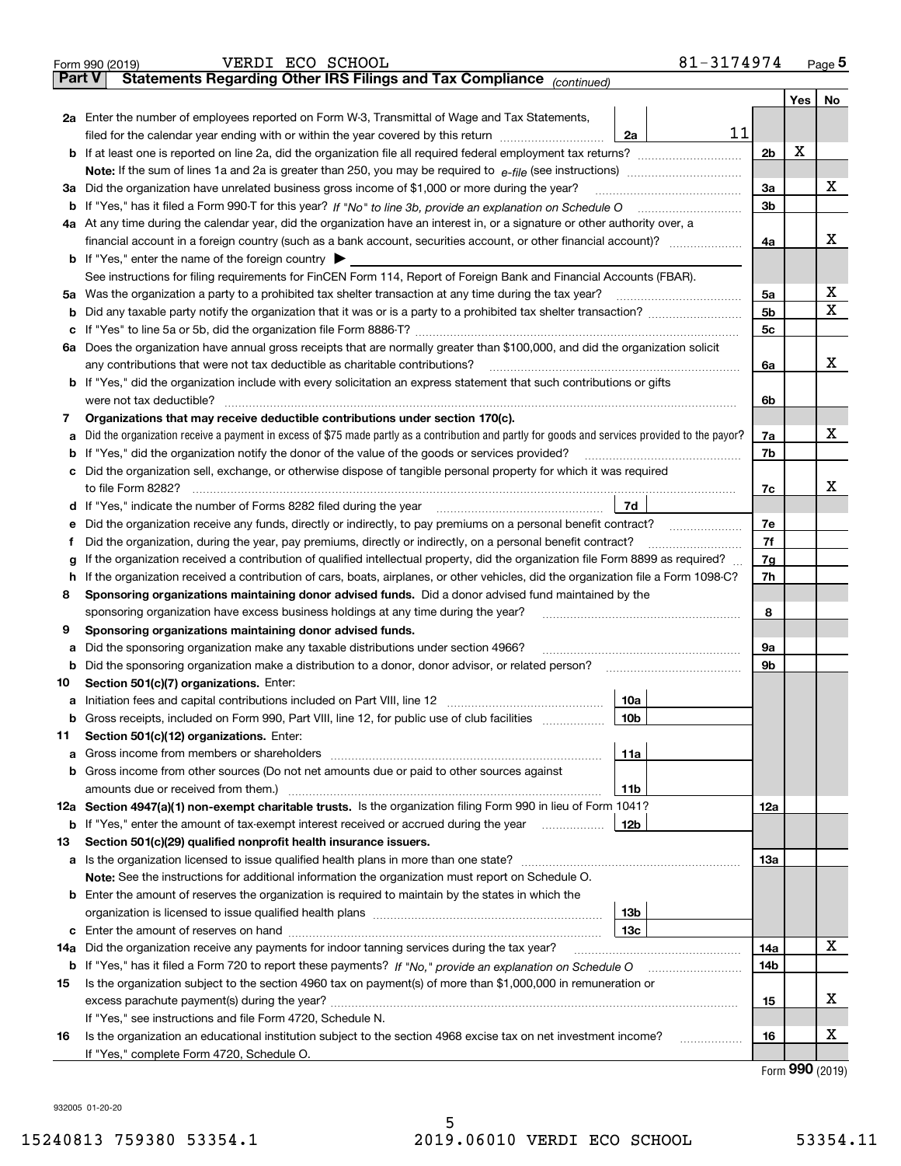| Part V | 81-3174974<br>VERDI ECO SCHOOL<br>Form 990 (2019)<br>Statements Regarding Other IRS Filings and Tax Compliance (continued)                                                                |                |       | Page 5 |
|--------|-------------------------------------------------------------------------------------------------------------------------------------------------------------------------------------------|----------------|-------|--------|
|        |                                                                                                                                                                                           |                | Yes l | No     |
|        | 2a Enter the number of employees reported on Form W-3, Transmittal of Wage and Tax Statements,                                                                                            |                |       |        |
|        | 11<br>filed for the calendar year ending with or within the year covered by this return [11] [11] filed for the calendar year ending with or within the year covered by this return<br>2a |                |       |        |
|        |                                                                                                                                                                                           | 2 <sub>b</sub> | х     |        |
|        |                                                                                                                                                                                           |                |       |        |
|        | 3a Did the organization have unrelated business gross income of \$1,000 or more during the year?                                                                                          | 3a             |       | x      |
|        |                                                                                                                                                                                           | 3b             |       |        |
|        | 4a At any time during the calendar year, did the organization have an interest in, or a signature or other authority over, a                                                              |                |       |        |
|        |                                                                                                                                                                                           | 4a             |       | x      |
|        | <b>b</b> If "Yes," enter the name of the foreign country $\triangleright$                                                                                                                 |                |       |        |
|        | See instructions for filing requirements for FinCEN Form 114, Report of Foreign Bank and Financial Accounts (FBAR).                                                                       |                |       |        |
|        | 5a Was the organization a party to a prohibited tax shelter transaction at any time during the tax year?                                                                                  | 5a             |       | х      |
|        |                                                                                                                                                                                           | 5 <sub>b</sub> |       | X      |
|        |                                                                                                                                                                                           | 5c             |       |        |
|        | 6a Does the organization have annual gross receipts that are normally greater than \$100,000, and did the organization solicit                                                            |                |       |        |
|        | any contributions that were not tax deductible as charitable contributions?                                                                                                               | 6a             |       | x      |
|        | b If "Yes," did the organization include with every solicitation an express statement that such contributions or gifts                                                                    |                |       |        |
|        | were not tax deductible?                                                                                                                                                                  | 6b             |       |        |
| 7      | Organizations that may receive deductible contributions under section 170(c).                                                                                                             |                |       |        |
| a      | Did the organization receive a payment in excess of \$75 made partly as a contribution and partly for goods and services provided to the payor?                                           | 7a             |       | x      |
|        | <b>b</b> If "Yes," did the organization notify the donor of the value of the goods or services provided?                                                                                  | 7b             |       |        |
|        | c Did the organization sell, exchange, or otherwise dispose of tangible personal property for which it was required                                                                       |                |       |        |
|        | to file Form 8282?                                                                                                                                                                        | 7c             |       | x      |
|        | 7d<br>d If "Yes," indicate the number of Forms 8282 filed during the year                                                                                                                 |                |       |        |
| е      | Did the organization receive any funds, directly or indirectly, to pay premiums on a personal benefit contract?                                                                           | 7e             |       |        |
| f      | Did the organization, during the year, pay premiums, directly or indirectly, on a personal benefit contract?                                                                              | 7f             |       |        |
| g      | If the organization received a contribution of qualified intellectual property, did the organization file Form 8899 as required?                                                          | 7g             |       |        |
|        | h If the organization received a contribution of cars, boats, airplanes, or other vehicles, did the organization file a Form 1098-C?                                                      | 7h             |       |        |
| 8      | Sponsoring organizations maintaining donor advised funds. Did a donor advised fund maintained by the                                                                                      |                |       |        |
|        | sponsoring organization have excess business holdings at any time during the year?                                                                                                        | 8              |       |        |
| 9      | Sponsoring organizations maintaining donor advised funds.                                                                                                                                 |                |       |        |
| а      | Did the sponsoring organization make any taxable distributions under section 4966?                                                                                                        | 9a             |       |        |
|        | <b>b</b> Did the sponsoring organization make a distribution to a donor, donor advisor, or related person?                                                                                | 9b             |       |        |
| 10     | Section 501(c)(7) organizations. Enter:                                                                                                                                                   |                |       |        |
|        | a Initiation fees and capital contributions included on Part VIII, line 12<br>10a                                                                                                         |                |       |        |
|        | b Gross receipts, included on Form 990, Part VIII, line 12, for public use of club facilities<br>10b                                                                                      |                |       |        |
| 11     | Section 501(c)(12) organizations. Enter:                                                                                                                                                  |                |       |        |
| а      | 11a                                                                                                                                                                                       |                |       |        |
|        | <b>b</b> Gross income from other sources (Do not net amounts due or paid to other sources against                                                                                         |                |       |        |
|        | 11b<br>12a Section 4947(a)(1) non-exempt charitable trusts. Is the organization filing Form 990 in lieu of Form 1041?                                                                     | 12a            |       |        |
|        | <b>b</b> If "Yes," enter the amount of tax-exempt interest received or accrued during the year<br>12b                                                                                     |                |       |        |
| 13     | Section 501(c)(29) qualified nonprofit health insurance issuers.                                                                                                                          |                |       |        |
|        |                                                                                                                                                                                           | <b>13a</b>     |       |        |
|        | Note: See the instructions for additional information the organization must report on Schedule O.                                                                                         |                |       |        |
|        | <b>b</b> Enter the amount of reserves the organization is required to maintain by the states in which the                                                                                 |                |       |        |
|        | 13 <sub>b</sub>                                                                                                                                                                           |                |       |        |
|        | 13c                                                                                                                                                                                       |                |       |        |
| 14a    | Did the organization receive any payments for indoor tanning services during the tax year?                                                                                                | 14a            |       | х      |
|        |                                                                                                                                                                                           | 14b            |       |        |
| 15     | Is the organization subject to the section 4960 tax on payment(s) of more than \$1,000,000 in remuneration or                                                                             |                |       |        |
|        |                                                                                                                                                                                           | 15             |       | х      |
|        | If "Yes," see instructions and file Form 4720, Schedule N.                                                                                                                                |                |       |        |
| 16     | Is the organization an educational institution subject to the section 4968 excise tax on net investment income?<br>.                                                                      | 16             |       | х      |
|        | If "Yes," complete Form 4720, Schedule O.                                                                                                                                                 |                |       |        |
|        |                                                                                                                                                                                           |                |       |        |

Form (2019) **990**

932005 01-20-20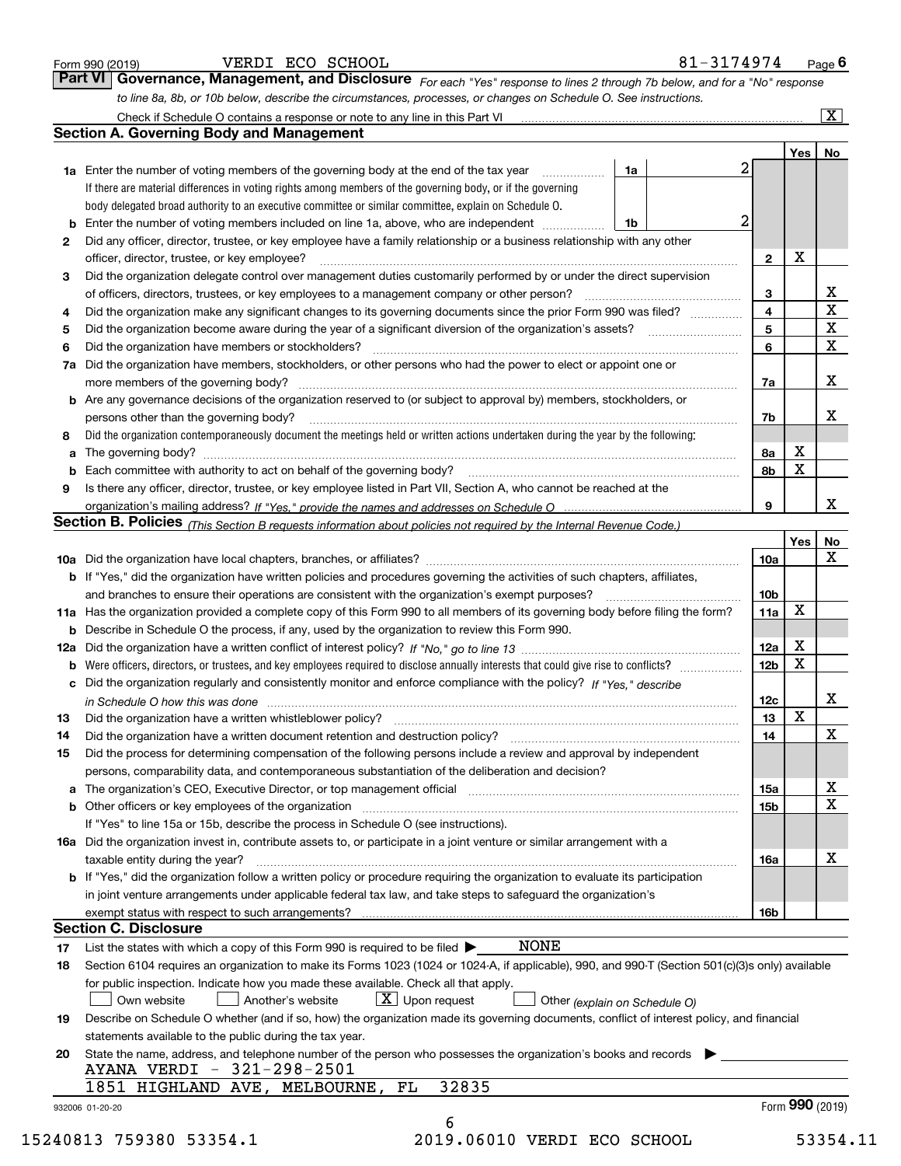|    |                                                                                                                                                  |                 |                 | $\overline{\mathbf{x}}$   |
|----|--------------------------------------------------------------------------------------------------------------------------------------------------|-----------------|-----------------|---------------------------|
|    | <b>Section A. Governing Body and Management</b>                                                                                                  |                 |                 |                           |
|    |                                                                                                                                                  |                 | Yes   No        |                           |
|    | <b>1a</b> Enter the number of voting members of the governing body at the end of the tax year<br>1a                                              | 2               |                 |                           |
|    | If there are material differences in voting rights among members of the governing body, or if the governing                                      |                 |                 |                           |
|    | body delegated broad authority to an executive committee or similar committee, explain on Schedule O.                                            |                 |                 |                           |
|    | Enter the number of voting members included on line 1a, above, who are independent<br>1b                                                         | 2               |                 |                           |
| 2  | Did any officer, director, trustee, or key employee have a family relationship or a business relationship with any other                         |                 |                 |                           |
|    | officer, director, trustee, or key employee?                                                                                                     | $\mathbf{2}$    | х               |                           |
| 3  | Did the organization delegate control over management duties customarily performed by or under the direct supervision                            |                 |                 |                           |
|    | of officers, directors, trustees, or key employees to a management company or other person?                                                      | 3               |                 | $rac{\text{X}}{\text{X}}$ |
| 4  | Did the organization make any significant changes to its governing documents since the prior Form 990 was filed?                                 | 4               |                 |                           |
| 5  |                                                                                                                                                  | 5               |                 | $\overline{\mathbf{x}}$   |
| 6  | Did the organization have members or stockholders?                                                                                               | 6               |                 | $\overline{\mathbf{x}}$   |
| 7a | Did the organization have members, stockholders, or other persons who had the power to elect or appoint one or                                   |                 |                 |                           |
|    |                                                                                                                                                  | 7a              |                 | X                         |
|    | <b>b</b> Are any governance decisions of the organization reserved to (or subject to approval by) members, stockholders, or                      |                 |                 |                           |
|    | persons other than the governing body?                                                                                                           | 7b              |                 | х                         |
| 8  | Did the organization contemporaneously document the meetings held or written actions undertaken during the year by the following:                |                 |                 |                           |
| а  |                                                                                                                                                  | 8а              | х               |                           |
| b  |                                                                                                                                                  | 8b              | X               |                           |
| 9  | Is there any officer, director, trustee, or key employee listed in Part VII, Section A, who cannot be reached at the                             |                 |                 |                           |
|    |                                                                                                                                                  | 9               |                 | x                         |
|    | Section B. Policies (This Section B requests information about policies not required by the Internal Revenue Code.)                              |                 |                 |                           |
|    |                                                                                                                                                  |                 | Yes             | No                        |
|    |                                                                                                                                                  | 10a             |                 | X                         |
|    | <b>b</b> If "Yes," did the organization have written policies and procedures governing the activities of such chapters, affiliates,              |                 |                 |                           |
|    |                                                                                                                                                  | 10 <sub>b</sub> |                 |                           |
|    | 11a Has the organization provided a complete copy of this Form 990 to all members of its governing body before filing the form?                  | 11a             | x               |                           |
|    | <b>b</b> Describe in Schedule O the process, if any, used by the organization to review this Form 990.                                           |                 |                 |                           |
|    |                                                                                                                                                  | 12a             | x               |                           |
| b  |                                                                                                                                                  | 12 <sub>b</sub> | x               |                           |
|    | c Did the organization regularly and consistently monitor and enforce compliance with the policy? If "Yes," describe                             |                 |                 |                           |
|    | in Schedule O how this was done measured and contain an account of the state of the state of the state of the                                    | 12c             |                 | X                         |
| 13 |                                                                                                                                                  | 13              | $\mathbf X$     |                           |
| 14 | Did the organization have a written document retention and destruction policy? [11] manufaction policy?                                          | 14              |                 | $\mathbf X$               |
| 15 | Did the process for determining compensation of the following persons include a review and approval by independent                               |                 |                 |                           |
|    | persons, comparability data, and contemporaneous substantiation of the deliberation and decision?                                                |                 |                 |                           |
|    | a The organization's CEO, Executive Director, or top management official [111] [11] manument material manument                                   | 15a             |                 | х                         |
|    |                                                                                                                                                  | 15b             |                 | X                         |
|    | If "Yes" to line 15a or 15b, describe the process in Schedule O (see instructions).                                                              |                 |                 |                           |
|    | 16a Did the organization invest in, contribute assets to, or participate in a joint venture or similar arrangement with a                        |                 |                 |                           |
|    | taxable entity during the year?                                                                                                                  | 16a             |                 | х                         |
|    | b If "Yes," did the organization follow a written policy or procedure requiring the organization to evaluate its participation                   |                 |                 |                           |
|    | in joint venture arrangements under applicable federal tax law, and take steps to safeguard the organization's                                   |                 |                 |                           |
|    |                                                                                                                                                  | 16b             |                 |                           |
|    | <b>Section C. Disclosure</b>                                                                                                                     |                 |                 |                           |
| 17 | <b>NONE</b><br>List the states with which a copy of this Form 990 is required to be filed $\blacktriangleright$                                  |                 |                 |                           |
| 18 | Section 6104 requires an organization to make its Forms 1023 (1024 or 1024-A, if applicable), 990, and 990-T (Section 501(c)(3)s only) available |                 |                 |                           |
|    | for public inspection. Indicate how you made these available. Check all that apply.                                                              |                 |                 |                           |
|    | $\lfloor X \rfloor$ Upon request<br>Another's website<br>Own website<br>Other (explain on Schedule O)                                            |                 |                 |                           |
|    | Describe on Schedule O whether (and if so, how) the organization made its governing documents, conflict of interest policy, and financial        |                 |                 |                           |
| 19 |                                                                                                                                                  |                 |                 |                           |
|    | statements available to the public during the tax year.                                                                                          |                 |                 |                           |
|    | State the name, address, and telephone number of the person who possesses the organization's books and records                                   |                 |                 |                           |
|    | AYANA VERDI - 321-298-2501                                                                                                                       |                 |                 |                           |
| 20 | 32835<br>1851 HIGHLAND AVE, MELBOURNE,<br>FL                                                                                                     |                 | Form 990 (2019) |                           |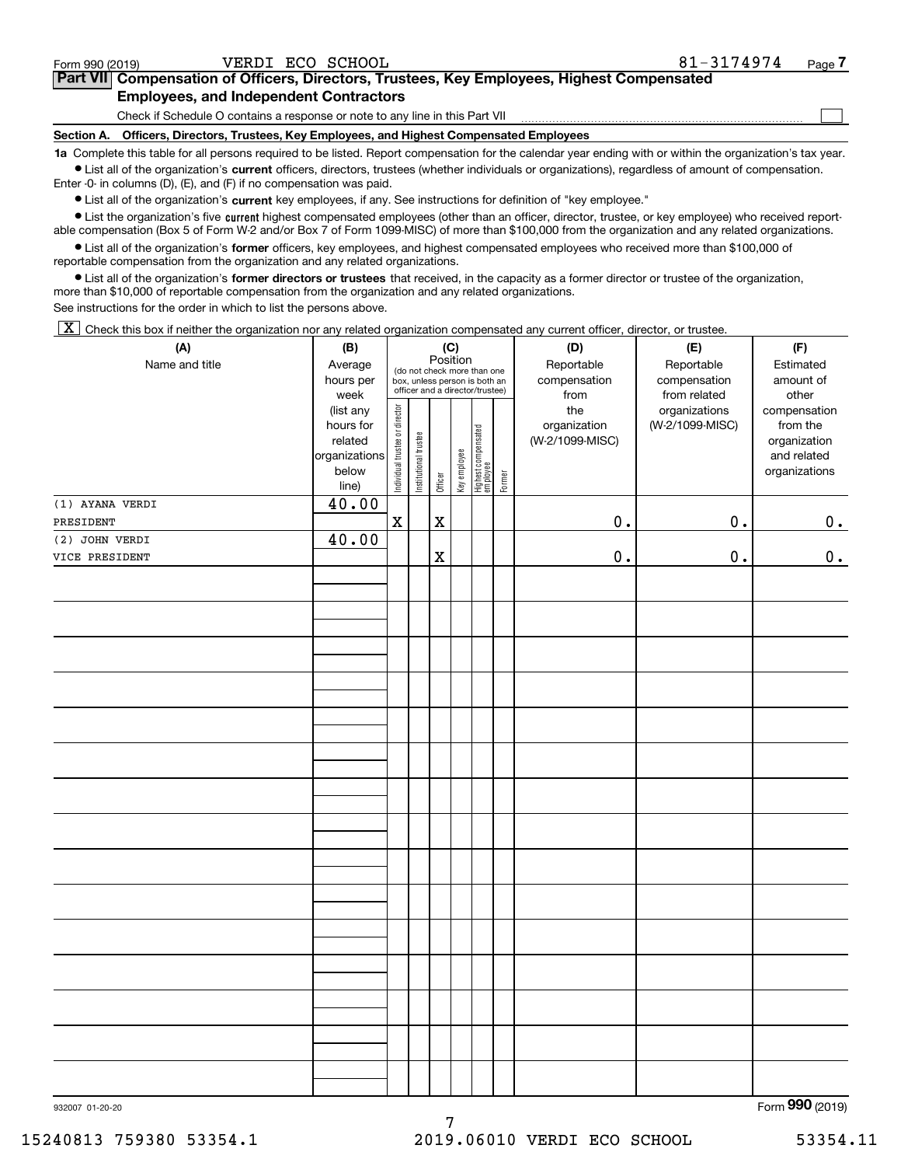| Form 990 (2019) |  |  |
|-----------------|--|--|
|                 |  |  |

 $\mathcal{L}^{\text{max}}$ 

| orm 990 (2019) <sup>.</sup> | VERDI ECO SCHOOL                              | 81-3174974                                                                                 | Page <i>I</i> |
|-----------------------------|-----------------------------------------------|--------------------------------------------------------------------------------------------|---------------|
|                             |                                               | Part VII Compensation of Officers, Directors, Trustees, Key Employees, Highest Compensated |               |
|                             | <b>Employees, and Independent Contractors</b> |                                                                                            |               |

Check if Schedule O contains a response or note to any line in this Part VII

**Section A. Officers, Directors, Trustees, Key Employees, and Highest Compensated Employees**

**1a**  Complete this table for all persons required to be listed. Report compensation for the calendar year ending with or within the organization's tax year. **•** List all of the organization's current officers, directors, trustees (whether individuals or organizations), regardless of amount of compensation.

Enter -0- in columns (D), (E), and (F) if no compensation was paid.

 $\bullet$  List all of the organization's  $\,$ current key employees, if any. See instructions for definition of "key employee."

**•** List the organization's five current highest compensated employees (other than an officer, director, trustee, or key employee) who received reportable compensation (Box 5 of Form W-2 and/or Box 7 of Form 1099-MISC) of more than \$100,000 from the organization and any related organizations.

**•** List all of the organization's former officers, key employees, and highest compensated employees who received more than \$100,000 of reportable compensation from the organization and any related organizations.

**former directors or trustees**  ¥ List all of the organization's that received, in the capacity as a former director or trustee of the organization, more than \$10,000 of reportable compensation from the organization and any related organizations.

See instructions for the order in which to list the persons above.

 $\boxed{\textbf{X}}$  Check this box if neither the organization nor any related organization compensated any current officer, director, or trustee.

| (A)             | (B)                      | (C)<br>(D)                     |                                                                                                                                                                         |             |              |                                   |        | (E)             | (F)             |                             |
|-----------------|--------------------------|--------------------------------|-------------------------------------------------------------------------------------------------------------------------------------------------------------------------|-------------|--------------|-----------------------------------|--------|-----------------|-----------------|-----------------------------|
| Name and title  | Average<br>hours per     |                                | Position<br>Reportable<br>Reportable<br>(do not check more than one<br>compensation<br>compensation<br>box, unless person is both an<br>officer and a director/trustee) |             |              |                                   |        |                 |                 | Estimated<br>amount of      |
|                 | week                     |                                |                                                                                                                                                                         |             |              |                                   |        | from            | from related    | other                       |
|                 | (list any                |                                |                                                                                                                                                                         |             |              |                                   |        | the             | organizations   | compensation                |
|                 | hours for                |                                |                                                                                                                                                                         |             |              |                                   |        | organization    | (W-2/1099-MISC) | from the                    |
|                 | related<br>organizations |                                |                                                                                                                                                                         |             |              |                                   |        | (W-2/1099-MISC) |                 | organization<br>and related |
|                 | below                    |                                |                                                                                                                                                                         |             |              |                                   |        |                 |                 | organizations               |
|                 | line)                    | Individual trustee or director | Institutional trustee                                                                                                                                                   | Officer     | Key employee | Highest compensated<br>  employee | Former |                 |                 |                             |
| (1) AYANA VERDI | 40.00                    |                                |                                                                                                                                                                         |             |              |                                   |        |                 |                 |                             |
| PRESIDENT       |                          | $\mathbf X$                    |                                                                                                                                                                         | $\mathbf X$ |              |                                   |        | $0$ .           | $0$ .           | 0.                          |
| (2) JOHN VERDI  | 40.00                    |                                |                                                                                                                                                                         |             |              |                                   |        |                 |                 |                             |
| VICE PRESIDENT  |                          |                                |                                                                                                                                                                         | $\mathbf X$ |              |                                   |        | $\mathbf 0$ .   | 0.              | 0.                          |
|                 |                          |                                |                                                                                                                                                                         |             |              |                                   |        |                 |                 |                             |
|                 |                          |                                |                                                                                                                                                                         |             |              |                                   |        |                 |                 |                             |
|                 |                          |                                |                                                                                                                                                                         |             |              |                                   |        |                 |                 |                             |
|                 |                          |                                |                                                                                                                                                                         |             |              |                                   |        |                 |                 |                             |
|                 |                          |                                |                                                                                                                                                                         |             |              |                                   |        |                 |                 |                             |
|                 |                          |                                |                                                                                                                                                                         |             |              |                                   |        |                 |                 |                             |
|                 |                          |                                |                                                                                                                                                                         |             |              |                                   |        |                 |                 |                             |
|                 |                          |                                |                                                                                                                                                                         |             |              |                                   |        |                 |                 |                             |
|                 |                          |                                |                                                                                                                                                                         |             |              |                                   |        |                 |                 |                             |
|                 |                          |                                |                                                                                                                                                                         |             |              |                                   |        |                 |                 |                             |
|                 |                          |                                |                                                                                                                                                                         |             |              |                                   |        |                 |                 |                             |
|                 |                          |                                |                                                                                                                                                                         |             |              |                                   |        |                 |                 |                             |
|                 |                          |                                |                                                                                                                                                                         |             |              |                                   |        |                 |                 |                             |
|                 |                          |                                |                                                                                                                                                                         |             |              |                                   |        |                 |                 |                             |
|                 |                          |                                |                                                                                                                                                                         |             |              |                                   |        |                 |                 |                             |
|                 |                          |                                |                                                                                                                                                                         |             |              |                                   |        |                 |                 |                             |
|                 |                          |                                |                                                                                                                                                                         |             |              |                                   |        |                 |                 |                             |
|                 |                          |                                |                                                                                                                                                                         |             |              |                                   |        |                 |                 |                             |
|                 |                          |                                |                                                                                                                                                                         |             |              |                                   |        |                 |                 |                             |
|                 |                          |                                |                                                                                                                                                                         |             |              |                                   |        |                 |                 |                             |
|                 |                          |                                |                                                                                                                                                                         |             |              |                                   |        |                 |                 |                             |
|                 |                          |                                |                                                                                                                                                                         |             |              |                                   |        |                 |                 |                             |
|                 |                          |                                |                                                                                                                                                                         |             |              |                                   |        |                 |                 |                             |
|                 |                          |                                |                                                                                                                                                                         |             |              |                                   |        |                 |                 |                             |
|                 |                          |                                |                                                                                                                                                                         |             |              |                                   |        |                 |                 |                             |
|                 |                          |                                |                                                                                                                                                                         |             |              |                                   |        |                 |                 |                             |
|                 |                          |                                |                                                                                                                                                                         |             |              |                                   |        |                 |                 |                             |
|                 |                          |                                |                                                                                                                                                                         |             |              |                                   |        |                 |                 |                             |
|                 |                          |                                |                                                                                                                                                                         |             |              |                                   |        |                 |                 |                             |
| 932007 01-20-20 |                          |                                |                                                                                                                                                                         |             |              |                                   |        |                 |                 | Form 990 (2019)             |

7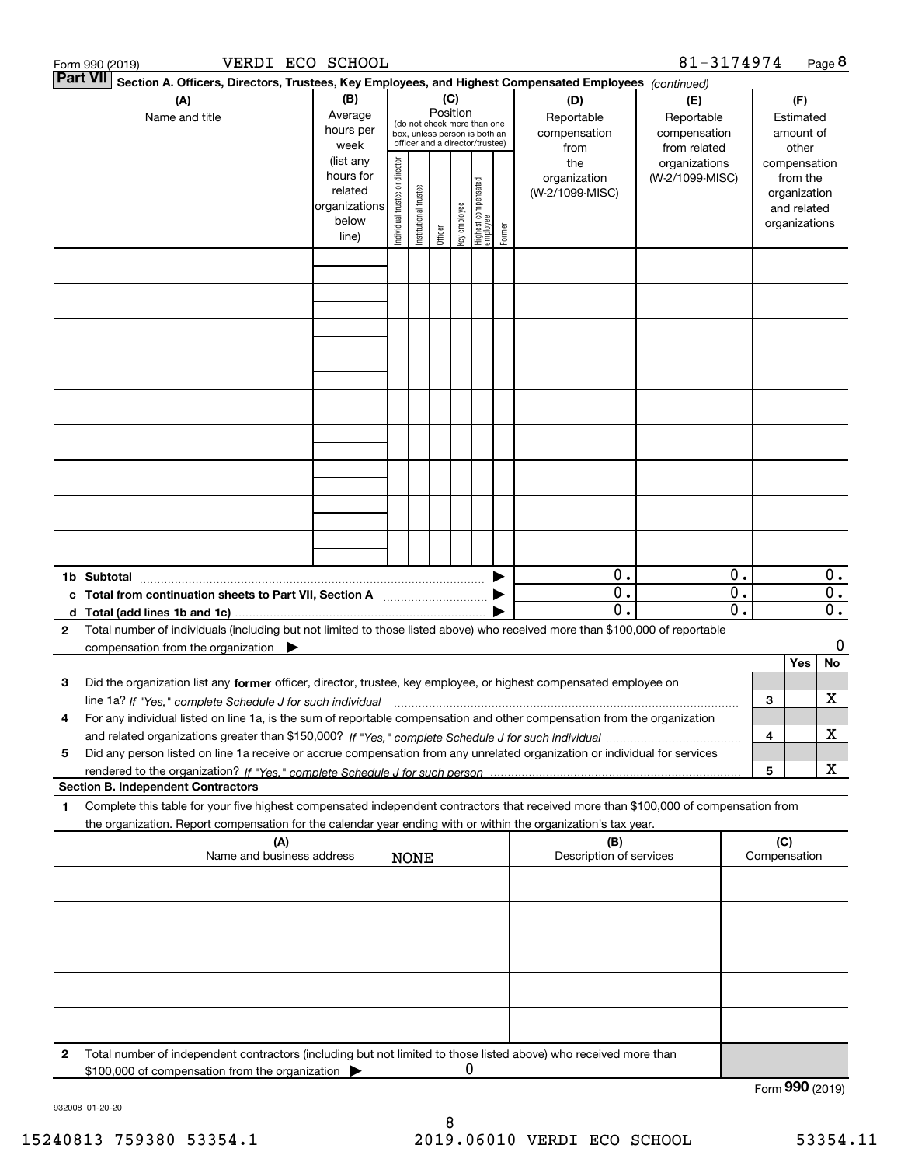|              | VERDI ECO SCHOOL<br>Form 990 (2019)                                                                                                                                                                                                                                 |                                                                      |                                |                       |                 |              |                                                                                                 |        |                                           | 81-3174974                                        |                                               |     |                                                                          | Page 8                                        |
|--------------|---------------------------------------------------------------------------------------------------------------------------------------------------------------------------------------------------------------------------------------------------------------------|----------------------------------------------------------------------|--------------------------------|-----------------------|-----------------|--------------|-------------------------------------------------------------------------------------------------|--------|-------------------------------------------|---------------------------------------------------|-----------------------------------------------|-----|--------------------------------------------------------------------------|-----------------------------------------------|
|              | <b>Part VII</b><br>Section A. Officers, Directors, Trustees, Key Employees, and Highest Compensated Employees (continued)                                                                                                                                           |                                                                      |                                |                       |                 |              |                                                                                                 |        |                                           |                                                   |                                               |     |                                                                          |                                               |
|              | (A)<br>Name and title                                                                                                                                                                                                                                               | (B)<br>Average<br>hours per<br>week                                  |                                |                       | (C)<br>Position |              | (do not check more than one<br>box, unless person is both an<br>officer and a director/trustee) |        | (D)<br>Reportable<br>compensation<br>from | (E)<br>Reportable<br>compensation<br>from related |                                               |     | (F)<br>Estimated<br>amount of<br>other                                   |                                               |
|              |                                                                                                                                                                                                                                                                     | (list any<br>hours for<br>related<br>organizations<br>below<br>line) | Individual trustee or director | Institutional trustee | Officer         | key employee | Highest compensated<br>employee                                                                 | Former | the<br>organization<br>(W-2/1099-MISC)    | organizations<br>(W-2/1099-MISC)                  |                                               |     | compensation<br>from the<br>organization<br>and related<br>organizations |                                               |
|              |                                                                                                                                                                                                                                                                     |                                                                      |                                |                       |                 |              |                                                                                                 |        |                                           |                                                   |                                               |     |                                                                          |                                               |
|              |                                                                                                                                                                                                                                                                     |                                                                      |                                |                       |                 |              |                                                                                                 |        |                                           |                                                   |                                               |     |                                                                          |                                               |
|              |                                                                                                                                                                                                                                                                     |                                                                      |                                |                       |                 |              |                                                                                                 |        |                                           |                                                   |                                               |     |                                                                          |                                               |
|              |                                                                                                                                                                                                                                                                     |                                                                      |                                |                       |                 |              |                                                                                                 |        |                                           |                                                   |                                               |     |                                                                          |                                               |
|              |                                                                                                                                                                                                                                                                     |                                                                      |                                |                       |                 |              |                                                                                                 |        |                                           |                                                   |                                               |     |                                                                          |                                               |
|              |                                                                                                                                                                                                                                                                     |                                                                      |                                |                       |                 |              |                                                                                                 |        |                                           |                                                   |                                               |     |                                                                          |                                               |
|              |                                                                                                                                                                                                                                                                     |                                                                      |                                |                       |                 |              |                                                                                                 |        |                                           |                                                   |                                               |     |                                                                          |                                               |
|              |                                                                                                                                                                                                                                                                     |                                                                      |                                |                       |                 |              |                                                                                                 |        |                                           |                                                   |                                               |     |                                                                          |                                               |
|              |                                                                                                                                                                                                                                                                     |                                                                      |                                |                       |                 |              |                                                                                                 |        |                                           |                                                   |                                               |     |                                                                          |                                               |
|              | 1b Subtotal                                                                                                                                                                                                                                                         |                                                                      |                                |                       |                 |              |                                                                                                 |        | 0.                                        |                                                   | 0.                                            |     |                                                                          | $0$ .                                         |
|              | c Total from continuation sheets to Part VII, Section A                                                                                                                                                                                                             |                                                                      |                                |                       |                 |              |                                                                                                 |        | $\overline{0}$ .<br>$\overline{0}$ .      |                                                   | $\overline{\mathbf{0}}$ .<br>$\overline{0}$ . |     |                                                                          | $\overline{0}$ .<br>$\overline{\mathbf{0}}$ . |
| $\mathbf{2}$ | Total number of individuals (including but not limited to those listed above) who received more than \$100,000 of reportable<br>compensation from the organization $\blacktriangleright$                                                                            |                                                                      |                                |                       |                 |              |                                                                                                 |        |                                           |                                                   |                                               |     |                                                                          | 0                                             |
|              |                                                                                                                                                                                                                                                                     |                                                                      |                                |                       |                 |              |                                                                                                 |        |                                           |                                                   |                                               |     | Yes                                                                      | No                                            |
| з            | Did the organization list any former officer, director, trustee, key employee, or highest compensated employee on                                                                                                                                                   |                                                                      |                                |                       |                 |              |                                                                                                 |        |                                           |                                                   |                                               |     |                                                                          | х                                             |
| 4            | line 1a? If "Yes," complete Schedule J for such individual manufactured contained and the Yes," complete Schedule J for such individual<br>For any individual listed on line 1a, is the sum of reportable compensation and other compensation from the organization |                                                                      |                                |                       |                 |              |                                                                                                 |        |                                           |                                                   |                                               | 3   |                                                                          |                                               |
| 5            | Did any person listed on line 1a receive or accrue compensation from any unrelated organization or individual for services                                                                                                                                          |                                                                      |                                |                       |                 |              |                                                                                                 |        |                                           |                                                   |                                               | 4   |                                                                          | х                                             |
|              |                                                                                                                                                                                                                                                                     |                                                                      |                                |                       |                 |              |                                                                                                 |        |                                           |                                                   |                                               | 5   |                                                                          | X                                             |
| 1            | <b>Section B. Independent Contractors</b><br>Complete this table for your five highest compensated independent contractors that received more than \$100,000 of compensation from                                                                                   |                                                                      |                                |                       |                 |              |                                                                                                 |        |                                           |                                                   |                                               |     |                                                                          |                                               |
|              | the organization. Report compensation for the calendar year ending with or within the organization's tax year.                                                                                                                                                      |                                                                      |                                |                       |                 |              |                                                                                                 |        |                                           |                                                   |                                               |     |                                                                          |                                               |
|              | (A)<br>Name and business address                                                                                                                                                                                                                                    |                                                                      |                                | <b>NONE</b>           |                 |              |                                                                                                 |        | (B)<br>Description of services            |                                                   |                                               | (C) | Compensation                                                             |                                               |
|              |                                                                                                                                                                                                                                                                     |                                                                      |                                |                       |                 |              |                                                                                                 |        |                                           |                                                   |                                               |     |                                                                          |                                               |
|              |                                                                                                                                                                                                                                                                     |                                                                      |                                |                       |                 |              |                                                                                                 |        |                                           |                                                   |                                               |     |                                                                          |                                               |
|              |                                                                                                                                                                                                                                                                     |                                                                      |                                |                       |                 |              |                                                                                                 |        |                                           |                                                   |                                               |     |                                                                          |                                               |
|              |                                                                                                                                                                                                                                                                     |                                                                      |                                |                       |                 |              |                                                                                                 |        |                                           |                                                   |                                               |     |                                                                          |                                               |
|              |                                                                                                                                                                                                                                                                     |                                                                      |                                |                       |                 |              |                                                                                                 |        |                                           |                                                   |                                               |     |                                                                          |                                               |
| 2            | Total number of independent contractors (including but not limited to those listed above) who received more than<br>\$100,000 of compensation from the organization                                                                                                 |                                                                      |                                |                       |                 | 0            |                                                                                                 |        |                                           |                                                   |                                               |     |                                                                          |                                               |
|              |                                                                                                                                                                                                                                                                     |                                                                      |                                |                       |                 |              |                                                                                                 |        |                                           |                                                   |                                               |     | Form 990 (2019)                                                          |                                               |

932008 01-20-20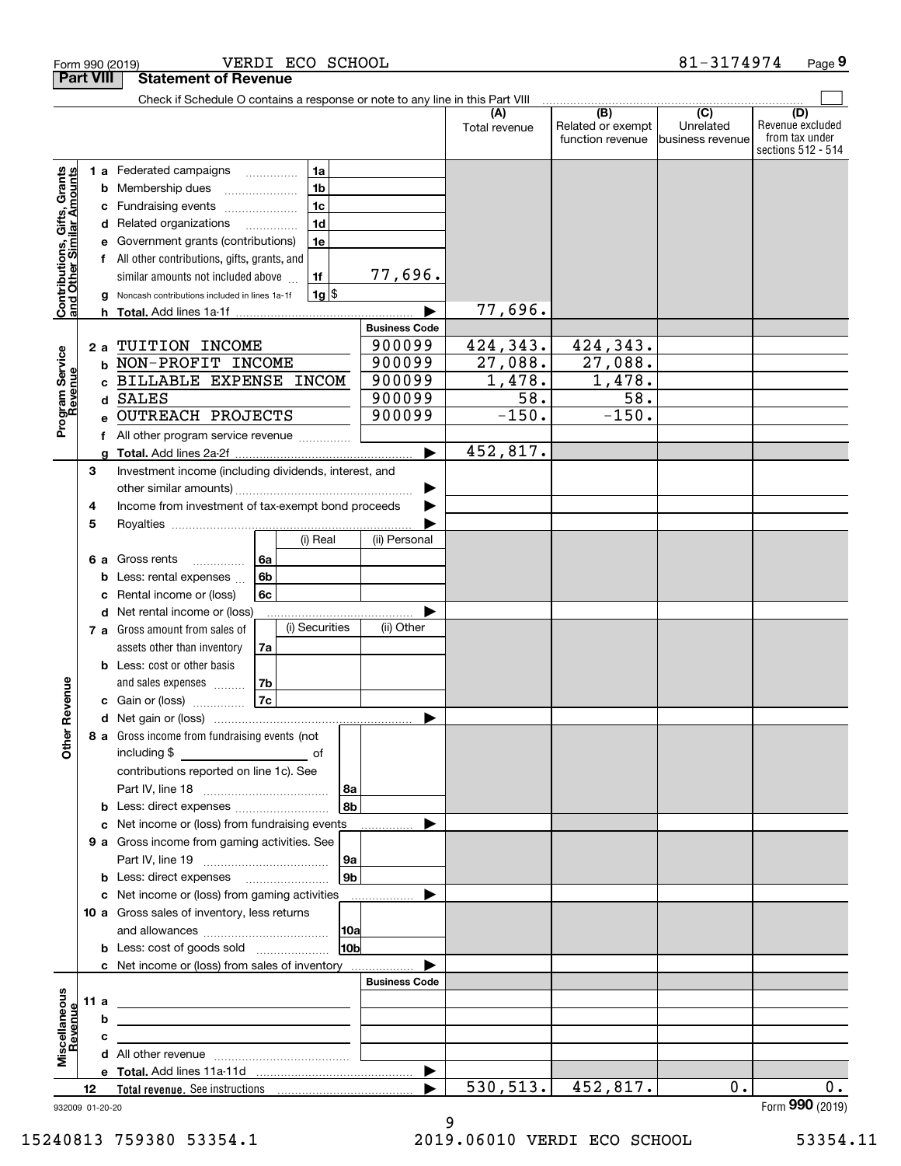| Check if Schedule O contains a response or note to any line in this Part VIII<br>(B)<br>$\overline{C}$<br>(D)<br>(A)<br>Related or exempt<br>Unrelated<br>Total revenue<br>function revenue<br> business revenue<br>Contributions, Gifts, Grants<br>and Other Similar Amounts<br>Federated campaigns<br>1a<br>1а<br>1 <sub>b</sub><br>Membership dues<br>b<br>1 <sub>c</sub><br>Fundraising events<br>с<br>1 <sub>d</sub><br>Related organizations<br>d<br>1e<br>Government grants (contributions)<br>е<br>All other contributions, gifts, grants, and<br>f<br>77,696.<br>1f<br>similar amounts not included above<br>$1g$ \$<br>Noncash contributions included in lines 1a-1f<br>77,696.<br>h.<br><b>Business Code</b><br>424,343.<br>424,343.<br>900099<br>TUITION INCOME<br>2a<br>Program Service<br>Revenue<br>900099<br>27,088.<br>27,088.<br>NON-PROFIT INCOME<br>b<br>1,478.<br>1,478.<br>900099<br>BILLABLE EXPENSE INCOM<br>C<br>$\overline{58}$ .<br>$\overline{58}$ .<br>900099<br><b>SALES</b><br>d<br>$-150.$<br>$-150.$<br>900099<br><b>OUTREACH PROJECTS</b><br>f<br>452,817.<br>$\blacktriangleright$<br>Investment income (including dividends, interest, and<br>3<br>Income from investment of tax-exempt bond proceeds<br>4<br>5<br>(i) Real<br>(ii) Personal<br>Gross rents<br>6a<br>6а<br>.<br>6b<br>Less: rental expenses<br>b<br>6c<br>Rental income or (loss)<br>с<br>Net rental income or (loss)<br>d<br>(i) Securities<br>(ii) Other<br>7 a Gross amount from sales of<br>assets other than inventory<br>7a<br>Less: cost or other basis<br>b<br>Revenue<br>and sales expenses<br>7b<br>7c<br>c Gain or (loss)<br>▶<br>8 a Gross income from fundraising events (not<br><b>Other</b><br>including \$<br>contributions reported on line 1c). See<br>8a<br>8b<br><b>b</b> Less: direct expenses <i>manually contained</i><br>Net income or (loss) from fundraising events<br>c<br>9 a Gross income from gaming activities. See<br> 9a<br>9 <sub>b</sub><br><b>b</b> Less: direct expenses <b>manually</b><br>c Net income or (loss) from gaming activities<br>.<br>10 a Gross sales of inventory, less returns<br> 10a<br>10bl<br><b>b</b> Less: cost of goods sold<br>c Net income or (loss) from sales of inventory<br><b>Business Code</b><br>Miscellaneous<br>11 a<br><u> 1989 - Johann Barbara, martin amerikan basar dan berasal dalam basar dalam basar dalam basar dalam basar dala</u><br>Revenue<br>b<br>the control of the control of the control of the control of the control of the control of<br>с<br>the contract of the contract of the contract of the contract of the contract of<br>▶<br>530, 513.<br>452,817.<br>0.<br>12 | <b>Part VIII</b> |  | <b>Statement of Revenue</b> |  |  |  |                                                          |
|------------------------------------------------------------------------------------------------------------------------------------------------------------------------------------------------------------------------------------------------------------------------------------------------------------------------------------------------------------------------------------------------------------------------------------------------------------------------------------------------------------------------------------------------------------------------------------------------------------------------------------------------------------------------------------------------------------------------------------------------------------------------------------------------------------------------------------------------------------------------------------------------------------------------------------------------------------------------------------------------------------------------------------------------------------------------------------------------------------------------------------------------------------------------------------------------------------------------------------------------------------------------------------------------------------------------------------------------------------------------------------------------------------------------------------------------------------------------------------------------------------------------------------------------------------------------------------------------------------------------------------------------------------------------------------------------------------------------------------------------------------------------------------------------------------------------------------------------------------------------------------------------------------------------------------------------------------------------------------------------------------------------------------------------------------------------------------------------------------------------------------------------------------------------------------------------------------------------------------------------------------------------------------------------------------------------------------------------------------------------------------------------------------------------------------------------------------------------------------------------------------------------------------------------------------------------------------------------------------------------------------------------------------------------|------------------|--|-----------------------------|--|--|--|----------------------------------------------------------|
|                                                                                                                                                                                                                                                                                                                                                                                                                                                                                                                                                                                                                                                                                                                                                                                                                                                                                                                                                                                                                                                                                                                                                                                                                                                                                                                                                                                                                                                                                                                                                                                                                                                                                                                                                                                                                                                                                                                                                                                                                                                                                                                                                                                                                                                                                                                                                                                                                                                                                                                                                                                                                                                                        |                  |  |                             |  |  |  |                                                          |
|                                                                                                                                                                                                                                                                                                                                                                                                                                                                                                                                                                                                                                                                                                                                                                                                                                                                                                                                                                                                                                                                                                                                                                                                                                                                                                                                                                                                                                                                                                                                                                                                                                                                                                                                                                                                                                                                                                                                                                                                                                                                                                                                                                                                                                                                                                                                                                                                                                                                                                                                                                                                                                                                        |                  |  |                             |  |  |  | Revenue excluded<br>from tax under<br>sections 512 - 514 |
|                                                                                                                                                                                                                                                                                                                                                                                                                                                                                                                                                                                                                                                                                                                                                                                                                                                                                                                                                                                                                                                                                                                                                                                                                                                                                                                                                                                                                                                                                                                                                                                                                                                                                                                                                                                                                                                                                                                                                                                                                                                                                                                                                                                                                                                                                                                                                                                                                                                                                                                                                                                                                                                                        |                  |  |                             |  |  |  |                                                          |
|                                                                                                                                                                                                                                                                                                                                                                                                                                                                                                                                                                                                                                                                                                                                                                                                                                                                                                                                                                                                                                                                                                                                                                                                                                                                                                                                                                                                                                                                                                                                                                                                                                                                                                                                                                                                                                                                                                                                                                                                                                                                                                                                                                                                                                                                                                                                                                                                                                                                                                                                                                                                                                                                        |                  |  |                             |  |  |  |                                                          |
|                                                                                                                                                                                                                                                                                                                                                                                                                                                                                                                                                                                                                                                                                                                                                                                                                                                                                                                                                                                                                                                                                                                                                                                                                                                                                                                                                                                                                                                                                                                                                                                                                                                                                                                                                                                                                                                                                                                                                                                                                                                                                                                                                                                                                                                                                                                                                                                                                                                                                                                                                                                                                                                                        |                  |  |                             |  |  |  |                                                          |
|                                                                                                                                                                                                                                                                                                                                                                                                                                                                                                                                                                                                                                                                                                                                                                                                                                                                                                                                                                                                                                                                                                                                                                                                                                                                                                                                                                                                                                                                                                                                                                                                                                                                                                                                                                                                                                                                                                                                                                                                                                                                                                                                                                                                                                                                                                                                                                                                                                                                                                                                                                                                                                                                        |                  |  |                             |  |  |  |                                                          |
|                                                                                                                                                                                                                                                                                                                                                                                                                                                                                                                                                                                                                                                                                                                                                                                                                                                                                                                                                                                                                                                                                                                                                                                                                                                                                                                                                                                                                                                                                                                                                                                                                                                                                                                                                                                                                                                                                                                                                                                                                                                                                                                                                                                                                                                                                                                                                                                                                                                                                                                                                                                                                                                                        |                  |  |                             |  |  |  |                                                          |
|                                                                                                                                                                                                                                                                                                                                                                                                                                                                                                                                                                                                                                                                                                                                                                                                                                                                                                                                                                                                                                                                                                                                                                                                                                                                                                                                                                                                                                                                                                                                                                                                                                                                                                                                                                                                                                                                                                                                                                                                                                                                                                                                                                                                                                                                                                                                                                                                                                                                                                                                                                                                                                                                        |                  |  |                             |  |  |  |                                                          |
|                                                                                                                                                                                                                                                                                                                                                                                                                                                                                                                                                                                                                                                                                                                                                                                                                                                                                                                                                                                                                                                                                                                                                                                                                                                                                                                                                                                                                                                                                                                                                                                                                                                                                                                                                                                                                                                                                                                                                                                                                                                                                                                                                                                                                                                                                                                                                                                                                                                                                                                                                                                                                                                                        |                  |  |                             |  |  |  |                                                          |
|                                                                                                                                                                                                                                                                                                                                                                                                                                                                                                                                                                                                                                                                                                                                                                                                                                                                                                                                                                                                                                                                                                                                                                                                                                                                                                                                                                                                                                                                                                                                                                                                                                                                                                                                                                                                                                                                                                                                                                                                                                                                                                                                                                                                                                                                                                                                                                                                                                                                                                                                                                                                                                                                        |                  |  |                             |  |  |  |                                                          |
|                                                                                                                                                                                                                                                                                                                                                                                                                                                                                                                                                                                                                                                                                                                                                                                                                                                                                                                                                                                                                                                                                                                                                                                                                                                                                                                                                                                                                                                                                                                                                                                                                                                                                                                                                                                                                                                                                                                                                                                                                                                                                                                                                                                                                                                                                                                                                                                                                                                                                                                                                                                                                                                                        |                  |  |                             |  |  |  |                                                          |
|                                                                                                                                                                                                                                                                                                                                                                                                                                                                                                                                                                                                                                                                                                                                                                                                                                                                                                                                                                                                                                                                                                                                                                                                                                                                                                                                                                                                                                                                                                                                                                                                                                                                                                                                                                                                                                                                                                                                                                                                                                                                                                                                                                                                                                                                                                                                                                                                                                                                                                                                                                                                                                                                        |                  |  |                             |  |  |  |                                                          |
|                                                                                                                                                                                                                                                                                                                                                                                                                                                                                                                                                                                                                                                                                                                                                                                                                                                                                                                                                                                                                                                                                                                                                                                                                                                                                                                                                                                                                                                                                                                                                                                                                                                                                                                                                                                                                                                                                                                                                                                                                                                                                                                                                                                                                                                                                                                                                                                                                                                                                                                                                                                                                                                                        |                  |  |                             |  |  |  |                                                          |
|                                                                                                                                                                                                                                                                                                                                                                                                                                                                                                                                                                                                                                                                                                                                                                                                                                                                                                                                                                                                                                                                                                                                                                                                                                                                                                                                                                                                                                                                                                                                                                                                                                                                                                                                                                                                                                                                                                                                                                                                                                                                                                                                                                                                                                                                                                                                                                                                                                                                                                                                                                                                                                                                        |                  |  |                             |  |  |  |                                                          |
|                                                                                                                                                                                                                                                                                                                                                                                                                                                                                                                                                                                                                                                                                                                                                                                                                                                                                                                                                                                                                                                                                                                                                                                                                                                                                                                                                                                                                                                                                                                                                                                                                                                                                                                                                                                                                                                                                                                                                                                                                                                                                                                                                                                                                                                                                                                                                                                                                                                                                                                                                                                                                                                                        |                  |  |                             |  |  |  |                                                          |
|                                                                                                                                                                                                                                                                                                                                                                                                                                                                                                                                                                                                                                                                                                                                                                                                                                                                                                                                                                                                                                                                                                                                                                                                                                                                                                                                                                                                                                                                                                                                                                                                                                                                                                                                                                                                                                                                                                                                                                                                                                                                                                                                                                                                                                                                                                                                                                                                                                                                                                                                                                                                                                                                        |                  |  |                             |  |  |  |                                                          |
|                                                                                                                                                                                                                                                                                                                                                                                                                                                                                                                                                                                                                                                                                                                                                                                                                                                                                                                                                                                                                                                                                                                                                                                                                                                                                                                                                                                                                                                                                                                                                                                                                                                                                                                                                                                                                                                                                                                                                                                                                                                                                                                                                                                                                                                                                                                                                                                                                                                                                                                                                                                                                                                                        |                  |  |                             |  |  |  |                                                          |
|                                                                                                                                                                                                                                                                                                                                                                                                                                                                                                                                                                                                                                                                                                                                                                                                                                                                                                                                                                                                                                                                                                                                                                                                                                                                                                                                                                                                                                                                                                                                                                                                                                                                                                                                                                                                                                                                                                                                                                                                                                                                                                                                                                                                                                                                                                                                                                                                                                                                                                                                                                                                                                                                        |                  |  |                             |  |  |  |                                                          |
|                                                                                                                                                                                                                                                                                                                                                                                                                                                                                                                                                                                                                                                                                                                                                                                                                                                                                                                                                                                                                                                                                                                                                                                                                                                                                                                                                                                                                                                                                                                                                                                                                                                                                                                                                                                                                                                                                                                                                                                                                                                                                                                                                                                                                                                                                                                                                                                                                                                                                                                                                                                                                                                                        |                  |  |                             |  |  |  |                                                          |
|                                                                                                                                                                                                                                                                                                                                                                                                                                                                                                                                                                                                                                                                                                                                                                                                                                                                                                                                                                                                                                                                                                                                                                                                                                                                                                                                                                                                                                                                                                                                                                                                                                                                                                                                                                                                                                                                                                                                                                                                                                                                                                                                                                                                                                                                                                                                                                                                                                                                                                                                                                                                                                                                        |                  |  |                             |  |  |  |                                                          |
|                                                                                                                                                                                                                                                                                                                                                                                                                                                                                                                                                                                                                                                                                                                                                                                                                                                                                                                                                                                                                                                                                                                                                                                                                                                                                                                                                                                                                                                                                                                                                                                                                                                                                                                                                                                                                                                                                                                                                                                                                                                                                                                                                                                                                                                                                                                                                                                                                                                                                                                                                                                                                                                                        |                  |  |                             |  |  |  |                                                          |
|                                                                                                                                                                                                                                                                                                                                                                                                                                                                                                                                                                                                                                                                                                                                                                                                                                                                                                                                                                                                                                                                                                                                                                                                                                                                                                                                                                                                                                                                                                                                                                                                                                                                                                                                                                                                                                                                                                                                                                                                                                                                                                                                                                                                                                                                                                                                                                                                                                                                                                                                                                                                                                                                        |                  |  |                             |  |  |  |                                                          |
|                                                                                                                                                                                                                                                                                                                                                                                                                                                                                                                                                                                                                                                                                                                                                                                                                                                                                                                                                                                                                                                                                                                                                                                                                                                                                                                                                                                                                                                                                                                                                                                                                                                                                                                                                                                                                                                                                                                                                                                                                                                                                                                                                                                                                                                                                                                                                                                                                                                                                                                                                                                                                                                                        |                  |  |                             |  |  |  |                                                          |
|                                                                                                                                                                                                                                                                                                                                                                                                                                                                                                                                                                                                                                                                                                                                                                                                                                                                                                                                                                                                                                                                                                                                                                                                                                                                                                                                                                                                                                                                                                                                                                                                                                                                                                                                                                                                                                                                                                                                                                                                                                                                                                                                                                                                                                                                                                                                                                                                                                                                                                                                                                                                                                                                        |                  |  |                             |  |  |  |                                                          |
|                                                                                                                                                                                                                                                                                                                                                                                                                                                                                                                                                                                                                                                                                                                                                                                                                                                                                                                                                                                                                                                                                                                                                                                                                                                                                                                                                                                                                                                                                                                                                                                                                                                                                                                                                                                                                                                                                                                                                                                                                                                                                                                                                                                                                                                                                                                                                                                                                                                                                                                                                                                                                                                                        |                  |  |                             |  |  |  |                                                          |
|                                                                                                                                                                                                                                                                                                                                                                                                                                                                                                                                                                                                                                                                                                                                                                                                                                                                                                                                                                                                                                                                                                                                                                                                                                                                                                                                                                                                                                                                                                                                                                                                                                                                                                                                                                                                                                                                                                                                                                                                                                                                                                                                                                                                                                                                                                                                                                                                                                                                                                                                                                                                                                                                        |                  |  |                             |  |  |  |                                                          |
|                                                                                                                                                                                                                                                                                                                                                                                                                                                                                                                                                                                                                                                                                                                                                                                                                                                                                                                                                                                                                                                                                                                                                                                                                                                                                                                                                                                                                                                                                                                                                                                                                                                                                                                                                                                                                                                                                                                                                                                                                                                                                                                                                                                                                                                                                                                                                                                                                                                                                                                                                                                                                                                                        |                  |  |                             |  |  |  |                                                          |
|                                                                                                                                                                                                                                                                                                                                                                                                                                                                                                                                                                                                                                                                                                                                                                                                                                                                                                                                                                                                                                                                                                                                                                                                                                                                                                                                                                                                                                                                                                                                                                                                                                                                                                                                                                                                                                                                                                                                                                                                                                                                                                                                                                                                                                                                                                                                                                                                                                                                                                                                                                                                                                                                        |                  |  |                             |  |  |  |                                                          |
|                                                                                                                                                                                                                                                                                                                                                                                                                                                                                                                                                                                                                                                                                                                                                                                                                                                                                                                                                                                                                                                                                                                                                                                                                                                                                                                                                                                                                                                                                                                                                                                                                                                                                                                                                                                                                                                                                                                                                                                                                                                                                                                                                                                                                                                                                                                                                                                                                                                                                                                                                                                                                                                                        |                  |  |                             |  |  |  |                                                          |
|                                                                                                                                                                                                                                                                                                                                                                                                                                                                                                                                                                                                                                                                                                                                                                                                                                                                                                                                                                                                                                                                                                                                                                                                                                                                                                                                                                                                                                                                                                                                                                                                                                                                                                                                                                                                                                                                                                                                                                                                                                                                                                                                                                                                                                                                                                                                                                                                                                                                                                                                                                                                                                                                        |                  |  |                             |  |  |  |                                                          |
|                                                                                                                                                                                                                                                                                                                                                                                                                                                                                                                                                                                                                                                                                                                                                                                                                                                                                                                                                                                                                                                                                                                                                                                                                                                                                                                                                                                                                                                                                                                                                                                                                                                                                                                                                                                                                                                                                                                                                                                                                                                                                                                                                                                                                                                                                                                                                                                                                                                                                                                                                                                                                                                                        |                  |  |                             |  |  |  |                                                          |
|                                                                                                                                                                                                                                                                                                                                                                                                                                                                                                                                                                                                                                                                                                                                                                                                                                                                                                                                                                                                                                                                                                                                                                                                                                                                                                                                                                                                                                                                                                                                                                                                                                                                                                                                                                                                                                                                                                                                                                                                                                                                                                                                                                                                                                                                                                                                                                                                                                                                                                                                                                                                                                                                        |                  |  |                             |  |  |  |                                                          |
|                                                                                                                                                                                                                                                                                                                                                                                                                                                                                                                                                                                                                                                                                                                                                                                                                                                                                                                                                                                                                                                                                                                                                                                                                                                                                                                                                                                                                                                                                                                                                                                                                                                                                                                                                                                                                                                                                                                                                                                                                                                                                                                                                                                                                                                                                                                                                                                                                                                                                                                                                                                                                                                                        |                  |  |                             |  |  |  |                                                          |
|                                                                                                                                                                                                                                                                                                                                                                                                                                                                                                                                                                                                                                                                                                                                                                                                                                                                                                                                                                                                                                                                                                                                                                                                                                                                                                                                                                                                                                                                                                                                                                                                                                                                                                                                                                                                                                                                                                                                                                                                                                                                                                                                                                                                                                                                                                                                                                                                                                                                                                                                                                                                                                                                        |                  |  |                             |  |  |  |                                                          |
|                                                                                                                                                                                                                                                                                                                                                                                                                                                                                                                                                                                                                                                                                                                                                                                                                                                                                                                                                                                                                                                                                                                                                                                                                                                                                                                                                                                                                                                                                                                                                                                                                                                                                                                                                                                                                                                                                                                                                                                                                                                                                                                                                                                                                                                                                                                                                                                                                                                                                                                                                                                                                                                                        |                  |  |                             |  |  |  |                                                          |
|                                                                                                                                                                                                                                                                                                                                                                                                                                                                                                                                                                                                                                                                                                                                                                                                                                                                                                                                                                                                                                                                                                                                                                                                                                                                                                                                                                                                                                                                                                                                                                                                                                                                                                                                                                                                                                                                                                                                                                                                                                                                                                                                                                                                                                                                                                                                                                                                                                                                                                                                                                                                                                                                        |                  |  |                             |  |  |  |                                                          |
|                                                                                                                                                                                                                                                                                                                                                                                                                                                                                                                                                                                                                                                                                                                                                                                                                                                                                                                                                                                                                                                                                                                                                                                                                                                                                                                                                                                                                                                                                                                                                                                                                                                                                                                                                                                                                                                                                                                                                                                                                                                                                                                                                                                                                                                                                                                                                                                                                                                                                                                                                                                                                                                                        |                  |  |                             |  |  |  |                                                          |
|                                                                                                                                                                                                                                                                                                                                                                                                                                                                                                                                                                                                                                                                                                                                                                                                                                                                                                                                                                                                                                                                                                                                                                                                                                                                                                                                                                                                                                                                                                                                                                                                                                                                                                                                                                                                                                                                                                                                                                                                                                                                                                                                                                                                                                                                                                                                                                                                                                                                                                                                                                                                                                                                        |                  |  |                             |  |  |  |                                                          |
|                                                                                                                                                                                                                                                                                                                                                                                                                                                                                                                                                                                                                                                                                                                                                                                                                                                                                                                                                                                                                                                                                                                                                                                                                                                                                                                                                                                                                                                                                                                                                                                                                                                                                                                                                                                                                                                                                                                                                                                                                                                                                                                                                                                                                                                                                                                                                                                                                                                                                                                                                                                                                                                                        |                  |  |                             |  |  |  |                                                          |
|                                                                                                                                                                                                                                                                                                                                                                                                                                                                                                                                                                                                                                                                                                                                                                                                                                                                                                                                                                                                                                                                                                                                                                                                                                                                                                                                                                                                                                                                                                                                                                                                                                                                                                                                                                                                                                                                                                                                                                                                                                                                                                                                                                                                                                                                                                                                                                                                                                                                                                                                                                                                                                                                        |                  |  |                             |  |  |  |                                                          |
|                                                                                                                                                                                                                                                                                                                                                                                                                                                                                                                                                                                                                                                                                                                                                                                                                                                                                                                                                                                                                                                                                                                                                                                                                                                                                                                                                                                                                                                                                                                                                                                                                                                                                                                                                                                                                                                                                                                                                                                                                                                                                                                                                                                                                                                                                                                                                                                                                                                                                                                                                                                                                                                                        |                  |  |                             |  |  |  |                                                          |
|                                                                                                                                                                                                                                                                                                                                                                                                                                                                                                                                                                                                                                                                                                                                                                                                                                                                                                                                                                                                                                                                                                                                                                                                                                                                                                                                                                                                                                                                                                                                                                                                                                                                                                                                                                                                                                                                                                                                                                                                                                                                                                                                                                                                                                                                                                                                                                                                                                                                                                                                                                                                                                                                        |                  |  |                             |  |  |  |                                                          |
|                                                                                                                                                                                                                                                                                                                                                                                                                                                                                                                                                                                                                                                                                                                                                                                                                                                                                                                                                                                                                                                                                                                                                                                                                                                                                                                                                                                                                                                                                                                                                                                                                                                                                                                                                                                                                                                                                                                                                                                                                                                                                                                                                                                                                                                                                                                                                                                                                                                                                                                                                                                                                                                                        |                  |  |                             |  |  |  |                                                          |
|                                                                                                                                                                                                                                                                                                                                                                                                                                                                                                                                                                                                                                                                                                                                                                                                                                                                                                                                                                                                                                                                                                                                                                                                                                                                                                                                                                                                                                                                                                                                                                                                                                                                                                                                                                                                                                                                                                                                                                                                                                                                                                                                                                                                                                                                                                                                                                                                                                                                                                                                                                                                                                                                        |                  |  |                             |  |  |  |                                                          |
|                                                                                                                                                                                                                                                                                                                                                                                                                                                                                                                                                                                                                                                                                                                                                                                                                                                                                                                                                                                                                                                                                                                                                                                                                                                                                                                                                                                                                                                                                                                                                                                                                                                                                                                                                                                                                                                                                                                                                                                                                                                                                                                                                                                                                                                                                                                                                                                                                                                                                                                                                                                                                                                                        |                  |  |                             |  |  |  |                                                          |
|                                                                                                                                                                                                                                                                                                                                                                                                                                                                                                                                                                                                                                                                                                                                                                                                                                                                                                                                                                                                                                                                                                                                                                                                                                                                                                                                                                                                                                                                                                                                                                                                                                                                                                                                                                                                                                                                                                                                                                                                                                                                                                                                                                                                                                                                                                                                                                                                                                                                                                                                                                                                                                                                        |                  |  |                             |  |  |  |                                                          |
|                                                                                                                                                                                                                                                                                                                                                                                                                                                                                                                                                                                                                                                                                                                                                                                                                                                                                                                                                                                                                                                                                                                                                                                                                                                                                                                                                                                                                                                                                                                                                                                                                                                                                                                                                                                                                                                                                                                                                                                                                                                                                                                                                                                                                                                                                                                                                                                                                                                                                                                                                                                                                                                                        |                  |  |                             |  |  |  |                                                          |
|                                                                                                                                                                                                                                                                                                                                                                                                                                                                                                                                                                                                                                                                                                                                                                                                                                                                                                                                                                                                                                                                                                                                                                                                                                                                                                                                                                                                                                                                                                                                                                                                                                                                                                                                                                                                                                                                                                                                                                                                                                                                                                                                                                                                                                                                                                                                                                                                                                                                                                                                                                                                                                                                        |                  |  |                             |  |  |  |                                                          |
|                                                                                                                                                                                                                                                                                                                                                                                                                                                                                                                                                                                                                                                                                                                                                                                                                                                                                                                                                                                                                                                                                                                                                                                                                                                                                                                                                                                                                                                                                                                                                                                                                                                                                                                                                                                                                                                                                                                                                                                                                                                                                                                                                                                                                                                                                                                                                                                                                                                                                                                                                                                                                                                                        |                  |  |                             |  |  |  |                                                          |
|                                                                                                                                                                                                                                                                                                                                                                                                                                                                                                                                                                                                                                                                                                                                                                                                                                                                                                                                                                                                                                                                                                                                                                                                                                                                                                                                                                                                                                                                                                                                                                                                                                                                                                                                                                                                                                                                                                                                                                                                                                                                                                                                                                                                                                                                                                                                                                                                                                                                                                                                                                                                                                                                        |                  |  |                             |  |  |  |                                                          |
|                                                                                                                                                                                                                                                                                                                                                                                                                                                                                                                                                                                                                                                                                                                                                                                                                                                                                                                                                                                                                                                                                                                                                                                                                                                                                                                                                                                                                                                                                                                                                                                                                                                                                                                                                                                                                                                                                                                                                                                                                                                                                                                                                                                                                                                                                                                                                                                                                                                                                                                                                                                                                                                                        |                  |  |                             |  |  |  |                                                          |
|                                                                                                                                                                                                                                                                                                                                                                                                                                                                                                                                                                                                                                                                                                                                                                                                                                                                                                                                                                                                                                                                                                                                                                                                                                                                                                                                                                                                                                                                                                                                                                                                                                                                                                                                                                                                                                                                                                                                                                                                                                                                                                                                                                                                                                                                                                                                                                                                                                                                                                                                                                                                                                                                        |                  |  |                             |  |  |  |                                                          |
| 932009 01-20-20                                                                                                                                                                                                                                                                                                                                                                                                                                                                                                                                                                                                                                                                                                                                                                                                                                                                                                                                                                                                                                                                                                                                                                                                                                                                                                                                                                                                                                                                                                                                                                                                                                                                                                                                                                                                                                                                                                                                                                                                                                                                                                                                                                                                                                                                                                                                                                                                                                                                                                                                                                                                                                                        |                  |  |                             |  |  |  | 0.<br>Form 990 (2019)                                    |

Form 990 (2019) VERDIECO\_SCHOOL 8 I-3 I/4 9/4 Page

VERDI ECO SCHOOL 81-3174974

9

**9**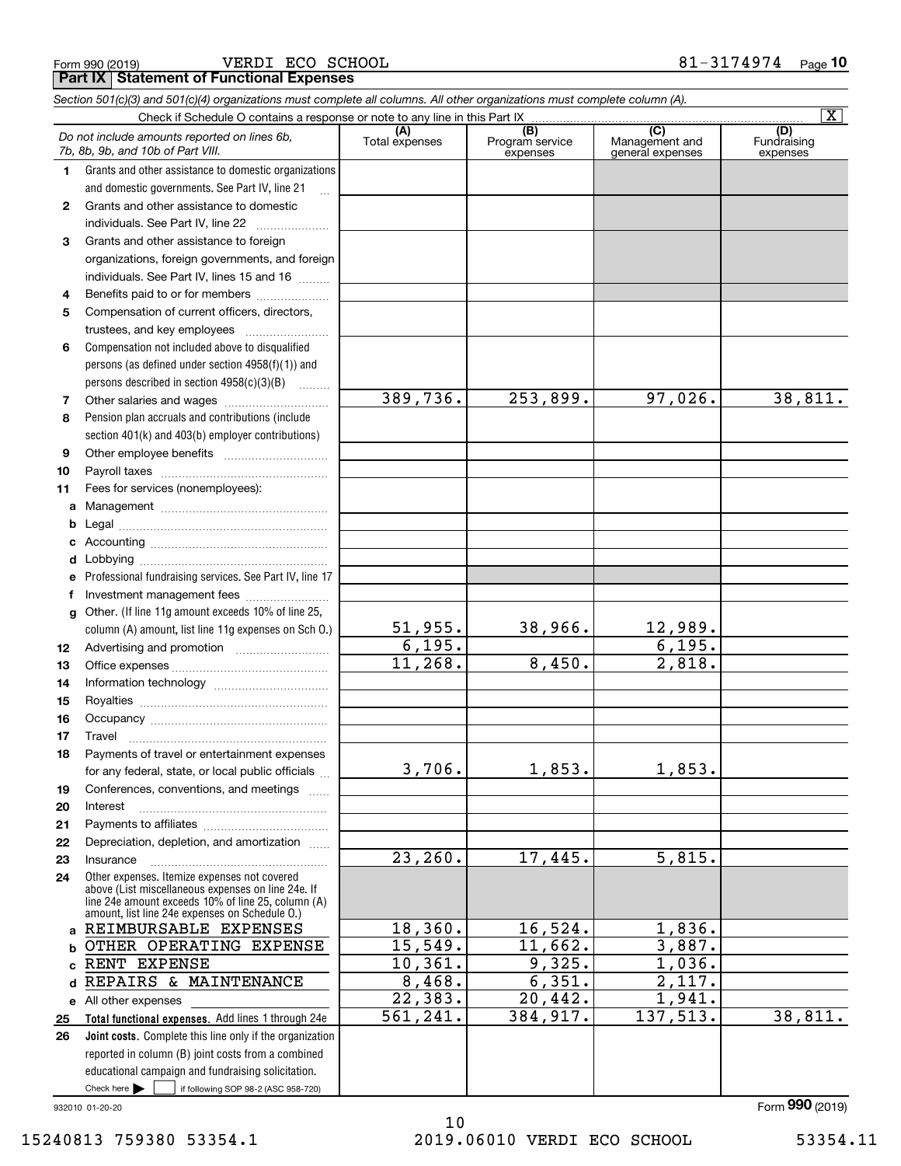Form 990 (2019) VERDI ECO SCHOOL 8 $1$  –  $3174974$  Page **Part IX Statement of Functional Expenses**

|              | Section 501(c)(3) and 501(c)(4) organizations must complete all columns. All other organizations must complete column (A). |                        |                                    |                                           |                                |
|--------------|----------------------------------------------------------------------------------------------------------------------------|------------------------|------------------------------------|-------------------------------------------|--------------------------------|
|              |                                                                                                                            |                        |                                    |                                           | $\overline{\mathbf{x}}$        |
|              | Do not include amounts reported on lines 6b,<br>7b, 8b, 9b, and 10b of Part VIII.                                          | (A)<br>Total expenses  | (B)<br>Program service<br>expenses | (C)<br>Management and<br>general expenses | (D)<br>Fundraising<br>expenses |
| 1.           | Grants and other assistance to domestic organizations                                                                      |                        |                                    |                                           |                                |
|              | and domestic governments. See Part IV, line 21                                                                             |                        |                                    |                                           |                                |
| $\mathbf{2}$ | Grants and other assistance to domestic                                                                                    |                        |                                    |                                           |                                |
|              | individuals. See Part IV, line 22                                                                                          |                        |                                    |                                           |                                |
| 3            | Grants and other assistance to foreign                                                                                     |                        |                                    |                                           |                                |
|              | organizations, foreign governments, and foreign                                                                            |                        |                                    |                                           |                                |
|              | individuals. See Part IV, lines 15 and 16                                                                                  |                        |                                    |                                           |                                |
| 4            | Benefits paid to or for members                                                                                            |                        |                                    |                                           |                                |
| 5            | Compensation of current officers, directors,                                                                               |                        |                                    |                                           |                                |
|              | trustees, and key employees                                                                                                |                        |                                    |                                           |                                |
| 6            | Compensation not included above to disqualified                                                                            |                        |                                    |                                           |                                |
|              | persons (as defined under section 4958(f)(1)) and                                                                          |                        |                                    |                                           |                                |
|              | persons described in section 4958(c)(3)(B)                                                                                 |                        |                                    |                                           |                                |
| 7            | Other salaries and wages                                                                                                   | 389,736.               | 253,899.                           | 97,026.                                   | 38,811.                        |
| 8            | Pension plan accruals and contributions (include                                                                           |                        |                                    |                                           |                                |
|              | section 401(k) and 403(b) employer contributions)                                                                          |                        |                                    |                                           |                                |
| 9            |                                                                                                                            |                        |                                    |                                           |                                |
| 10           |                                                                                                                            |                        |                                    |                                           |                                |
| 11           | Fees for services (nonemployees):                                                                                          |                        |                                    |                                           |                                |
| a            |                                                                                                                            |                        |                                    |                                           |                                |
| b            |                                                                                                                            |                        |                                    |                                           |                                |
| с            |                                                                                                                            |                        |                                    |                                           |                                |
| d            |                                                                                                                            |                        |                                    |                                           |                                |
| е            | Professional fundraising services. See Part IV, line 17                                                                    |                        |                                    |                                           |                                |
| f            | Investment management fees                                                                                                 |                        |                                    |                                           |                                |
| g            | Other. (If line 11g amount exceeds 10% of line 25,                                                                         |                        |                                    |                                           |                                |
|              | column (A) amount, list line 11g expenses on Sch O.)                                                                       | 51,955.                | 38,966.                            | $\frac{12,989.}{6,195.}$                  |                                |
| 12           |                                                                                                                            | 6,195.                 |                                    |                                           |                                |
| 13           |                                                                                                                            | 11,268.                | 8,450.                             | 2,818.                                    |                                |
| 14           |                                                                                                                            |                        |                                    |                                           |                                |
| 15           |                                                                                                                            |                        |                                    |                                           |                                |
| 16           |                                                                                                                            |                        |                                    |                                           |                                |
| 17           |                                                                                                                            |                        |                                    |                                           |                                |
| 18           | Payments of travel or entertainment expenses                                                                               |                        |                                    |                                           |                                |
|              | for any federal, state, or local public officials                                                                          | 3,706.                 | 1,853.                             | 1,853.                                    |                                |
| 19           | Conferences, conventions, and meetings                                                                                     |                        |                                    |                                           |                                |
| 20           | Interest                                                                                                                   |                        |                                    |                                           |                                |
| 21           |                                                                                                                            |                        |                                    |                                           |                                |
| 22           | Depreciation, depletion, and amortization                                                                                  | 23, 260.               | 17,445.                            | 5,815.                                    |                                |
| 23           | Insurance<br>Other expenses. Itemize expenses not covered                                                                  |                        |                                    |                                           |                                |
| 24           | above (List miscellaneous expenses on line 24e. If<br>line 24e amount exceeds 10% of line 25, column (A)                   |                        |                                    |                                           |                                |
|              | amount, list line 24e expenses on Schedule O.)                                                                             |                        |                                    |                                           |                                |
|              | a REIMBURSABLE EXPENSES                                                                                                    | 18,360.                | 16,524.                            | 1,836.                                    |                                |
| b            | OTHER OPERATING EXPENSE                                                                                                    | 15,549.                | 11,662.                            | 3,887.                                    |                                |
| c            | RENT EXPENSE                                                                                                               | 10, 361.               | 9,325.                             | 1,036.                                    |                                |
| d            | REPAIRS & MAINTENANCE                                                                                                      | 8,468.                 | 6,351.                             | $\overline{2,117}$ .                      |                                |
|              | e All other expenses                                                                                                       | 22, 383.               | $\overline{20, 442.}$              | 1,941.                                    |                                |
| 25           | Total functional expenses. Add lines 1 through 24e                                                                         | $\overline{561,241}$ . | 384,917.                           | 137,513.                                  | 38,811.                        |
| 26           | Joint costs. Complete this line only if the organization                                                                   |                        |                                    |                                           |                                |
|              | reported in column (B) joint costs from a combined                                                                         |                        |                                    |                                           |                                |
|              | educational campaign and fundraising solicitation.                                                                         |                        |                                    |                                           |                                |
|              | Check here $\blacktriangleright$<br>if following SOP 98-2 (ASC 958-720)                                                    |                        |                                    |                                           |                                |

932010 01-20-20

Form (2019) **990**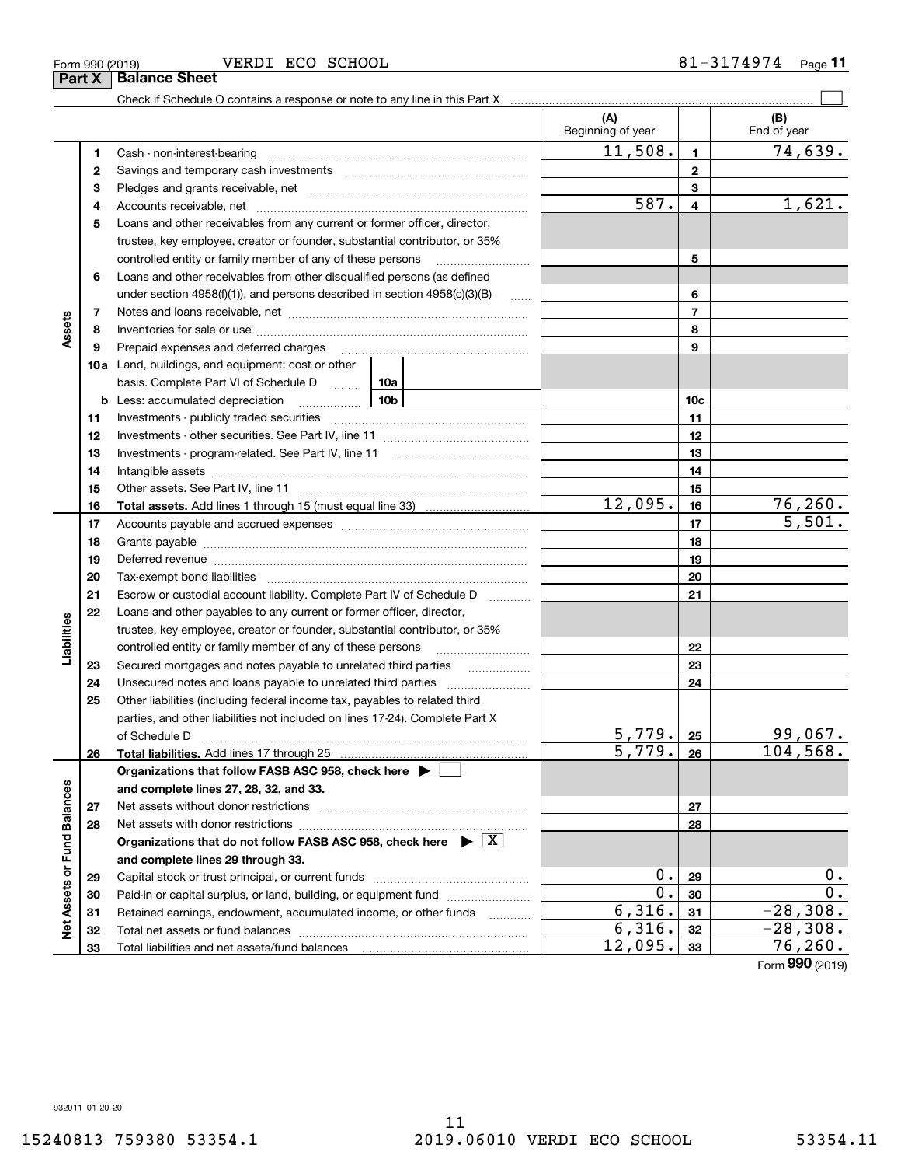### Form 990 (2019) VERDI ECO SCHOOL 8 $1$  –  $3174974$  Page

**Part X Balance Sheet**

Check if Schedule O contains a response or note to any line in this Part X

|                             |    |                                                                                                                                                                                                                                |                   | (A)<br>Beginning of year |                | (B)<br>End of year |
|-----------------------------|----|--------------------------------------------------------------------------------------------------------------------------------------------------------------------------------------------------------------------------------|-------------------|--------------------------|----------------|--------------------|
|                             | 1  |                                                                                                                                                                                                                                |                   | 11,508.                  | $\mathbf{1}$   | 74,639.            |
|                             | 2  |                                                                                                                                                                                                                                |                   |                          | $\mathbf 2$    |                    |
|                             | з  |                                                                                                                                                                                                                                |                   |                          | 3              |                    |
|                             | 4  |                                                                                                                                                                                                                                |                   | 587.                     | 4              | 1,621.             |
|                             | 5  | Loans and other receivables from any current or former officer, director,                                                                                                                                                      |                   |                          |                |                    |
|                             |    | trustee, key employee, creator or founder, substantial contributor, or 35%                                                                                                                                                     |                   |                          |                |                    |
|                             |    | controlled entity or family member of any of these persons                                                                                                                                                                     |                   |                          | 5              |                    |
|                             | 6  | Loans and other receivables from other disqualified persons (as defined                                                                                                                                                        |                   |                          |                |                    |
|                             |    | under section 4958(f)(1)), and persons described in section 4958(c)(3)(B)                                                                                                                                                      |                   | 6                        |                |                    |
|                             | 7  |                                                                                                                                                                                                                                |                   |                          | $\overline{7}$ |                    |
| Assets                      | 8  |                                                                                                                                                                                                                                |                   |                          | 8              |                    |
|                             | 9  | Prepaid expenses and deferred charges                                                                                                                                                                                          |                   |                          | 9              |                    |
|                             |    | <b>10a</b> Land, buildings, and equipment: cost or other                                                                                                                                                                       |                   |                          |                |                    |
|                             |    | basis. Complete Part VI of Schedule D  10a                                                                                                                                                                                     |                   |                          |                |                    |
|                             |    | <u>10b</u><br><b>b</b> Less: accumulated depreciation                                                                                                                                                                          |                   |                          | 10c            |                    |
|                             | 11 |                                                                                                                                                                                                                                |                   |                          | 11             |                    |
|                             | 12 |                                                                                                                                                                                                                                |                   |                          | 12             |                    |
|                             | 13 |                                                                                                                                                                                                                                |                   |                          | 13             |                    |
|                             | 14 |                                                                                                                                                                                                                                |                   |                          | 14             |                    |
|                             | 15 |                                                                                                                                                                                                                                |                   |                          | 15             |                    |
|                             | 16 |                                                                                                                                                                                                                                |                   | 12,095.                  | 16             | 76, 260.           |
|                             | 17 |                                                                                                                                                                                                                                |                   |                          | 17             | 5,501.             |
|                             | 18 |                                                                                                                                                                                                                                |                   |                          | 18             |                    |
|                             | 19 | Deferred revenue manual contracts and contracts are all the manual contracts and contracts are contracted and contracts are contracted and contract are contracted and contract are contracted and contract are contracted and |                   |                          | 19             |                    |
|                             | 20 |                                                                                                                                                                                                                                |                   | 20                       |                |                    |
|                             | 21 | Escrow or custodial account liability. Complete Part IV of Schedule D                                                                                                                                                          | 1.1.1.1.1.1.1.1.1 |                          | 21             |                    |
|                             | 22 | Loans and other payables to any current or former officer, director,                                                                                                                                                           |                   |                          |                |                    |
| Liabilities                 |    | trustee, key employee, creator or founder, substantial contributor, or 35%                                                                                                                                                     |                   |                          |                |                    |
|                             |    | controlled entity or family member of any of these persons                                                                                                                                                                     |                   |                          | 22             |                    |
|                             | 23 | Secured mortgages and notes payable to unrelated third parties                                                                                                                                                                 |                   |                          | 23             |                    |
|                             | 24 |                                                                                                                                                                                                                                |                   |                          | 24             |                    |
|                             | 25 | Other liabilities (including federal income tax, payables to related third                                                                                                                                                     |                   |                          |                |                    |
|                             |    | parties, and other liabilities not included on lines 17-24). Complete Part X                                                                                                                                                   |                   |                          |                |                    |
|                             |    | of Schedule D                                                                                                                                                                                                                  |                   | 5,779.                   | 25             | 99,067.            |
|                             | 26 |                                                                                                                                                                                                                                |                   | $\overline{5,779}$ .     | 26             | 104, 568.          |
|                             |    | Organizations that follow FASB ASC 958, check here $\blacktriangleright$                                                                                                                                                       |                   |                          |                |                    |
|                             |    | and complete lines 27, 28, 32, and 33.                                                                                                                                                                                         |                   |                          |                |                    |
|                             | 27 |                                                                                                                                                                                                                                |                   |                          | 27             |                    |
|                             | 28 |                                                                                                                                                                                                                                |                   |                          | 28             |                    |
|                             |    | Organizations that do not follow FASB ASC 958, check here $\triangleright \lfloor X \rfloor$                                                                                                                                   |                   |                          |                |                    |
|                             |    | and complete lines 29 through 33.                                                                                                                                                                                              |                   |                          |                |                    |
| Net Assets or Fund Balances | 29 |                                                                                                                                                                                                                                | $0$ .             | 29                       | 0.             |                    |
|                             | 30 | Paid-in or capital surplus, or land, building, or equipment fund                                                                                                                                                               |                   | $0$ .                    | 30             | 0.                 |
|                             | 31 | Retained earnings, endowment, accumulated income, or other funds                                                                                                                                                               |                   | 6,316.                   | 31             | $-28,308.$         |
|                             | 32 |                                                                                                                                                                                                                                |                   | 6,316.                   | 32             | $-28,308.$         |
|                             | 33 |                                                                                                                                                                                                                                |                   | 12,095.                  | 33             | 76,260.            |

 $\mathcal{L}^{\text{max}}$ 

Form (2019) **990**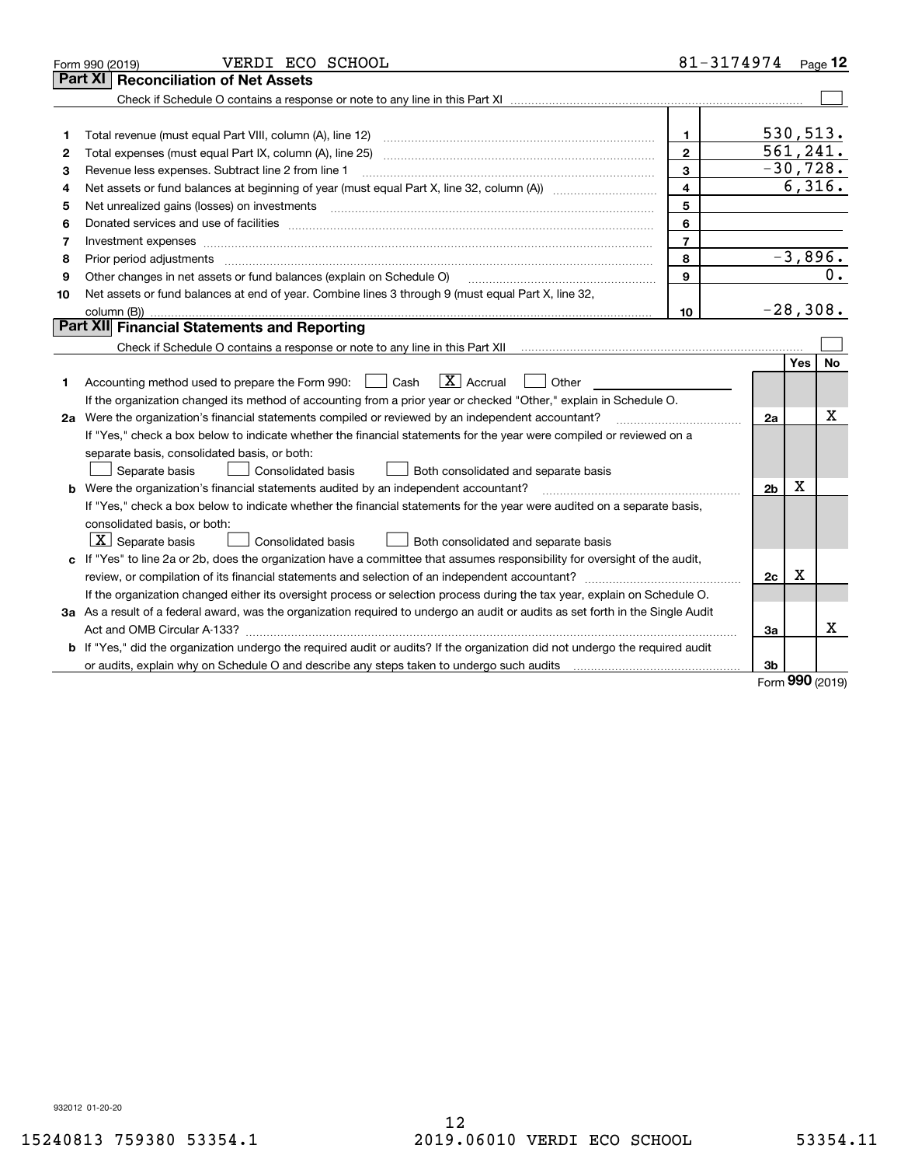|    | VERDI ECO SCHOOL<br>Form 990 (2019)                                                                                                                                                                                                                                                                                                                                                                                                                                          | $81 - 3174974$ Page 12 |                |            |            |
|----|------------------------------------------------------------------------------------------------------------------------------------------------------------------------------------------------------------------------------------------------------------------------------------------------------------------------------------------------------------------------------------------------------------------------------------------------------------------------------|------------------------|----------------|------------|------------|
|    | <b>Reconciliation of Net Assets</b><br>Part XI                                                                                                                                                                                                                                                                                                                                                                                                                               |                        |                |            |            |
|    |                                                                                                                                                                                                                                                                                                                                                                                                                                                                              |                        |                |            |            |
|    |                                                                                                                                                                                                                                                                                                                                                                                                                                                                              |                        |                |            |            |
| 1  | Total revenue (must equal Part VIII, column (A), line 12)                                                                                                                                                                                                                                                                                                                                                                                                                    | $\mathbf{1}$           |                |            | 530, 513.  |
| 2  | Total expenses (must equal Part IX, column (A), line 25)                                                                                                                                                                                                                                                                                                                                                                                                                     | $\overline{2}$         |                |            | 561, 241.  |
| 3  | Revenue less expenses. Subtract line 2 from line 1                                                                                                                                                                                                                                                                                                                                                                                                                           | 3                      |                |            | $-30,728.$ |
| 4  |                                                                                                                                                                                                                                                                                                                                                                                                                                                                              | 4                      |                |            | 6,316.     |
| 5  | Net unrealized gains (losses) on investments                                                                                                                                                                                                                                                                                                                                                                                                                                 | 5                      |                |            |            |
| 6  |                                                                                                                                                                                                                                                                                                                                                                                                                                                                              | 6                      |                |            |            |
| 7  | Investment expenses www.communication.communication.com/www.communication.com/www.communication.com                                                                                                                                                                                                                                                                                                                                                                          | $\overline{7}$         |                |            |            |
| 8  | Prior period adjustments<br>$\begin{minipage}{0.5\textwidth} \begin{tabular}{ l l l } \hline \multicolumn{1}{ l l l } \hline \multicolumn{1}{ l l } \hline \multicolumn{1}{ l } \multicolumn{1}{ l } \hline \multicolumn{1}{ l } \multicolumn{1}{ l } \multicolumn{1}{ l } \hline \multicolumn{1}{ l } \multicolumn{1}{ l } \multicolumn{1}{ l } \hline \multicolumn{1}{ l } \multicolumn{1}{ l } \hline \multicolumn{1}{ l } \multicolumn{1}{ l } \hline \multicolumn{1}{ $ | 8                      |                |            | $-3,896.$  |
| 9  | Other changes in net assets or fund balances (explain on Schedule O)                                                                                                                                                                                                                                                                                                                                                                                                         | $\mathbf{9}$           |                |            | 0.         |
| 10 | Net assets or fund balances at end of year. Combine lines 3 through 9 (must equal Part X, line 32,                                                                                                                                                                                                                                                                                                                                                                           |                        |                |            |            |
|    |                                                                                                                                                                                                                                                                                                                                                                                                                                                                              | 10                     |                |            | $-28,308.$ |
|    | Part XII Financial Statements and Reporting                                                                                                                                                                                                                                                                                                                                                                                                                                  |                        |                |            |            |
|    | Check if Schedule O contains a response or note to any line in this Part XII [11] [12] Check if Schedule O contains a response or note to any line in this Part XII                                                                                                                                                                                                                                                                                                          |                        |                |            |            |
|    |                                                                                                                                                                                                                                                                                                                                                                                                                                                                              |                        |                | <b>Yes</b> | No         |
| 1  | $\boxed{\mathbf{X}}$ Accrual<br>Accounting method used to prepare the Form 990: <u>II</u> Cash<br>Other                                                                                                                                                                                                                                                                                                                                                                      |                        |                |            |            |
|    | If the organization changed its method of accounting from a prior year or checked "Other," explain in Schedule O.                                                                                                                                                                                                                                                                                                                                                            |                        |                |            |            |
|    | 2a Were the organization's financial statements compiled or reviewed by an independent accountant?                                                                                                                                                                                                                                                                                                                                                                           |                        | 2a             |            | X          |
|    | If "Yes," check a box below to indicate whether the financial statements for the year were compiled or reviewed on a                                                                                                                                                                                                                                                                                                                                                         |                        |                |            |            |
|    | separate basis, consolidated basis, or both:                                                                                                                                                                                                                                                                                                                                                                                                                                 |                        |                |            |            |
|    | Separate basis<br><b>Consolidated basis</b><br>Both consolidated and separate basis                                                                                                                                                                                                                                                                                                                                                                                          |                        |                |            |            |
|    | b Were the organization's financial statements audited by an independent accountant?                                                                                                                                                                                                                                                                                                                                                                                         |                        | 2 <sub>b</sub> | Χ          |            |
|    | If "Yes," check a box below to indicate whether the financial statements for the year were audited on a separate basis,                                                                                                                                                                                                                                                                                                                                                      |                        |                |            |            |
|    | consolidated basis, or both:                                                                                                                                                                                                                                                                                                                                                                                                                                                 |                        |                |            |            |
|    | $ \mathbf{X} $ Separate basis<br><b>Consolidated basis</b><br>Both consolidated and separate basis                                                                                                                                                                                                                                                                                                                                                                           |                        |                |            |            |
|    | c If "Yes" to line 2a or 2b, does the organization have a committee that assumes responsibility for oversight of the audit,                                                                                                                                                                                                                                                                                                                                                  |                        |                |            |            |
|    | review, or compilation of its financial statements and selection of an independent accountant?                                                                                                                                                                                                                                                                                                                                                                               |                        | 2c             | x          |            |
|    | If the organization changed either its oversight process or selection process during the tax year, explain on Schedule O.                                                                                                                                                                                                                                                                                                                                                    |                        |                |            |            |
|    | 3a As a result of a federal award, was the organization required to undergo an audit or audits as set forth in the Single Audit                                                                                                                                                                                                                                                                                                                                              |                        |                |            |            |
|    |                                                                                                                                                                                                                                                                                                                                                                                                                                                                              |                        | 3a             |            | x          |
|    | b If "Yes," did the organization undergo the required audit or audits? If the organization did not undergo the required audit                                                                                                                                                                                                                                                                                                                                                |                        |                |            |            |
|    | or audits, explain why on Schedule O and describe any steps taken to undergo such audits                                                                                                                                                                                                                                                                                                                                                                                     |                        | 3b             | <b>nnn</b> |            |

Form (2019) **990**

932012 01-20-20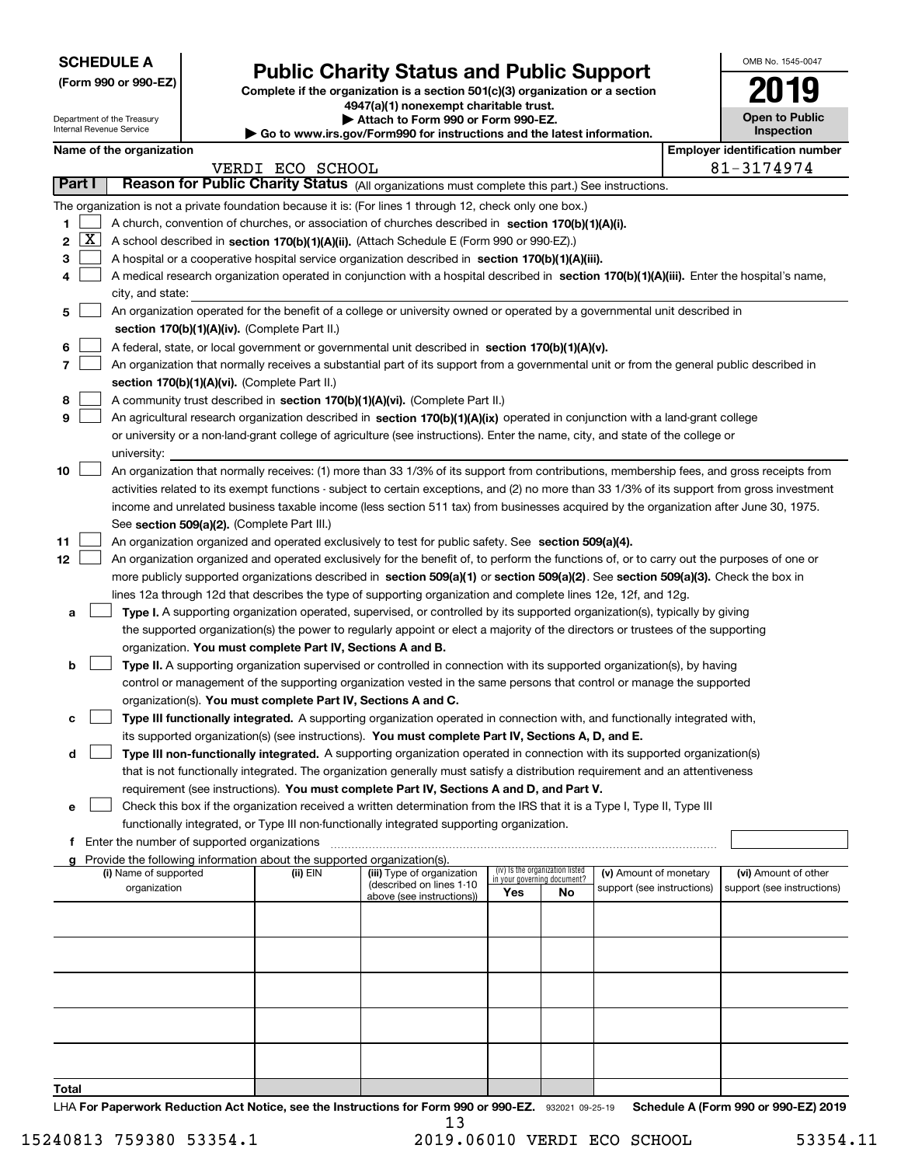| <b>SCHEDULE A</b> |  |
|-------------------|--|
|-------------------|--|

| (Form 990 or 990-EZ) |  |  |  |  |
|----------------------|--|--|--|--|
|----------------------|--|--|--|--|

## **Public Charity Status and Public Support**

**Complete if the organization is a section 501(c)(3) organization or a section 4947(a)(1) nonexempt charitable trust. | Attach to Form 990 or Form 990-EZ.** 

| OMB No. 1545-0047          |
|----------------------------|
| 2019                       |
| <b>Open to Public</b><br>. |

|       |              | Department of the Treasury<br>Internal Revenue Service |                                                                        | Attach to Form 990 or Form 990-EZ.<br>$\blacktriangleright$ Go to www.irs.gov/Form990 for instructions and the latest information.                                                                                  |     |                                                                |                            |                                       | <b>Open to Public</b><br>Inspection |
|-------|--------------|--------------------------------------------------------|------------------------------------------------------------------------|---------------------------------------------------------------------------------------------------------------------------------------------------------------------------------------------------------------------|-----|----------------------------------------------------------------|----------------------------|---------------------------------------|-------------------------------------|
|       |              | Name of the organization                               |                                                                        |                                                                                                                                                                                                                     |     |                                                                |                            | <b>Employer identification number</b> |                                     |
|       |              |                                                        | VERDI ECO SCHOOL                                                       |                                                                                                                                                                                                                     |     |                                                                |                            | 81-3174974                            |                                     |
|       | Part I       |                                                        |                                                                        | Reason for Public Charity Status (All organizations must complete this part.) See instructions.                                                                                                                     |     |                                                                |                            |                                       |                                     |
|       |              |                                                        |                                                                        | The organization is not a private foundation because it is: (For lines 1 through 12, check only one box.)                                                                                                           |     |                                                                |                            |                                       |                                     |
| 1     |              |                                                        |                                                                        | A church, convention of churches, or association of churches described in section 170(b)(1)(A)(i).                                                                                                                  |     |                                                                |                            |                                       |                                     |
| 2     | $\mathbf{X}$ |                                                        |                                                                        | A school described in section 170(b)(1)(A)(ii). (Attach Schedule E (Form 990 or 990-EZ).)                                                                                                                           |     |                                                                |                            |                                       |                                     |
| з     |              |                                                        |                                                                        | A hospital or a cooperative hospital service organization described in section 170(b)(1)(A)(iii).                                                                                                                   |     |                                                                |                            |                                       |                                     |
| 4     |              |                                                        |                                                                        | A medical research organization operated in conjunction with a hospital described in section 170(b)(1)(A)(iii). Enter the hospital's name,                                                                          |     |                                                                |                            |                                       |                                     |
|       |              | city, and state:                                       |                                                                        |                                                                                                                                                                                                                     |     |                                                                |                            |                                       |                                     |
| 5     |              |                                                        |                                                                        | An organization operated for the benefit of a college or university owned or operated by a governmental unit described in                                                                                           |     |                                                                |                            |                                       |                                     |
|       |              |                                                        | section 170(b)(1)(A)(iv). (Complete Part II.)                          |                                                                                                                                                                                                                     |     |                                                                |                            |                                       |                                     |
| 6     |              |                                                        |                                                                        | A federal, state, or local government or governmental unit described in section 170(b)(1)(A)(v).                                                                                                                    |     |                                                                |                            |                                       |                                     |
| 7     |              |                                                        |                                                                        | An organization that normally receives a substantial part of its support from a governmental unit or from the general public described in                                                                           |     |                                                                |                            |                                       |                                     |
|       |              |                                                        | section 170(b)(1)(A)(vi). (Complete Part II.)                          |                                                                                                                                                                                                                     |     |                                                                |                            |                                       |                                     |
| 8     |              |                                                        |                                                                        | A community trust described in section 170(b)(1)(A)(vi). (Complete Part II.)                                                                                                                                        |     |                                                                |                            |                                       |                                     |
| 9     |              |                                                        |                                                                        | An agricultural research organization described in section 170(b)(1)(A)(ix) operated in conjunction with a land-grant college                                                                                       |     |                                                                |                            |                                       |                                     |
|       |              |                                                        |                                                                        | or university or a non-land-grant college of agriculture (see instructions). Enter the name, city, and state of the college or                                                                                      |     |                                                                |                            |                                       |                                     |
|       |              | university:                                            |                                                                        |                                                                                                                                                                                                                     |     |                                                                |                            |                                       |                                     |
| 10    |              |                                                        |                                                                        | An organization that normally receives: (1) more than 33 1/3% of its support from contributions, membership fees, and gross receipts from                                                                           |     |                                                                |                            |                                       |                                     |
|       |              |                                                        |                                                                        | activities related to its exempt functions - subject to certain exceptions, and (2) no more than 33 1/3% of its support from gross investment                                                                       |     |                                                                |                            |                                       |                                     |
|       |              |                                                        |                                                                        | income and unrelated business taxable income (less section 511 tax) from businesses acquired by the organization after June 30, 1975.                                                                               |     |                                                                |                            |                                       |                                     |
|       |              |                                                        | See section 509(a)(2). (Complete Part III.)                            |                                                                                                                                                                                                                     |     |                                                                |                            |                                       |                                     |
| 11    |              |                                                        |                                                                        | An organization organized and operated exclusively to test for public safety. See section 509(a)(4).                                                                                                                |     |                                                                |                            |                                       |                                     |
| 12    |              |                                                        |                                                                        | An organization organized and operated exclusively for the benefit of, to perform the functions of, or to carry out the purposes of one or                                                                          |     |                                                                |                            |                                       |                                     |
|       |              |                                                        |                                                                        | more publicly supported organizations described in section 509(a)(1) or section 509(a)(2). See section 509(a)(3). Check the box in                                                                                  |     |                                                                |                            |                                       |                                     |
|       |              |                                                        |                                                                        | lines 12a through 12d that describes the type of supporting organization and complete lines 12e, 12f, and 12g.                                                                                                      |     |                                                                |                            |                                       |                                     |
| а     |              |                                                        |                                                                        | Type I. A supporting organization operated, supervised, or controlled by its supported organization(s), typically by giving                                                                                         |     |                                                                |                            |                                       |                                     |
|       |              |                                                        |                                                                        | the supported organization(s) the power to regularly appoint or elect a majority of the directors or trustees of the supporting                                                                                     |     |                                                                |                            |                                       |                                     |
|       |              |                                                        | organization. You must complete Part IV, Sections A and B.             |                                                                                                                                                                                                                     |     |                                                                |                            |                                       |                                     |
| b     |              |                                                        |                                                                        | Type II. A supporting organization supervised or controlled in connection with its supported organization(s), by having                                                                                             |     |                                                                |                            |                                       |                                     |
|       |              |                                                        |                                                                        | control or management of the supporting organization vested in the same persons that control or manage the supported                                                                                                |     |                                                                |                            |                                       |                                     |
|       |              |                                                        |                                                                        | organization(s). You must complete Part IV, Sections A and C.                                                                                                                                                       |     |                                                                |                            |                                       |                                     |
| с     |              |                                                        |                                                                        | Type III functionally integrated. A supporting organization operated in connection with, and functionally integrated with,                                                                                          |     |                                                                |                            |                                       |                                     |
|       |              |                                                        |                                                                        | its supported organization(s) (see instructions). You must complete Part IV, Sections A, D, and E.                                                                                                                  |     |                                                                |                            |                                       |                                     |
| d     |              |                                                        |                                                                        | Type III non-functionally integrated. A supporting organization operated in connection with its supported organization(s)                                                                                           |     |                                                                |                            |                                       |                                     |
|       |              |                                                        |                                                                        | that is not functionally integrated. The organization generally must satisfy a distribution requirement and an attentiveness                                                                                        |     |                                                                |                            |                                       |                                     |
|       |              |                                                        |                                                                        | requirement (see instructions). You must complete Part IV, Sections A and D, and Part V.<br>Check this box if the organization received a written determination from the IRS that it is a Type I, Type II, Type III |     |                                                                |                            |                                       |                                     |
| е     |              |                                                        |                                                                        | functionally integrated, or Type III non-functionally integrated supporting organization.                                                                                                                           |     |                                                                |                            |                                       |                                     |
|       |              | f Enter the number of supported organizations          |                                                                        |                                                                                                                                                                                                                     |     |                                                                |                            |                                       |                                     |
|       |              |                                                        | Provide the following information about the supported organization(s). |                                                                                                                                                                                                                     |     |                                                                |                            |                                       |                                     |
|       |              | (i) Name of supported                                  | (ii) EIN                                                               | (iii) Type of organization                                                                                                                                                                                          |     | (iv) Is the organization listed<br>in your governing document? | (v) Amount of monetary     |                                       | (vi) Amount of other                |
|       |              | organization                                           |                                                                        | (described on lines 1-10<br>above (see instructions))                                                                                                                                                               | Yes | No                                                             | support (see instructions) |                                       | support (see instructions)          |
|       |              |                                                        |                                                                        |                                                                                                                                                                                                                     |     |                                                                |                            |                                       |                                     |
|       |              |                                                        |                                                                        |                                                                                                                                                                                                                     |     |                                                                |                            |                                       |                                     |
|       |              |                                                        |                                                                        |                                                                                                                                                                                                                     |     |                                                                |                            |                                       |                                     |
|       |              |                                                        |                                                                        |                                                                                                                                                                                                                     |     |                                                                |                            |                                       |                                     |
|       |              |                                                        |                                                                        |                                                                                                                                                                                                                     |     |                                                                |                            |                                       |                                     |
|       |              |                                                        |                                                                        |                                                                                                                                                                                                                     |     |                                                                |                            |                                       |                                     |
|       |              |                                                        |                                                                        |                                                                                                                                                                                                                     |     |                                                                |                            |                                       |                                     |
|       |              |                                                        |                                                                        |                                                                                                                                                                                                                     |     |                                                                |                            |                                       |                                     |
|       |              |                                                        |                                                                        |                                                                                                                                                                                                                     |     |                                                                |                            |                                       |                                     |
|       |              |                                                        |                                                                        |                                                                                                                                                                                                                     |     |                                                                |                            |                                       |                                     |
| Total |              |                                                        |                                                                        |                                                                                                                                                                                                                     |     |                                                                |                            |                                       |                                     |

LHA For Paperwork Reduction Act Notice, see the Instructions for Form 990 or 990-EZ. 932021 09-25-19 Schedule A (Form 990 or 990-EZ) 2019 13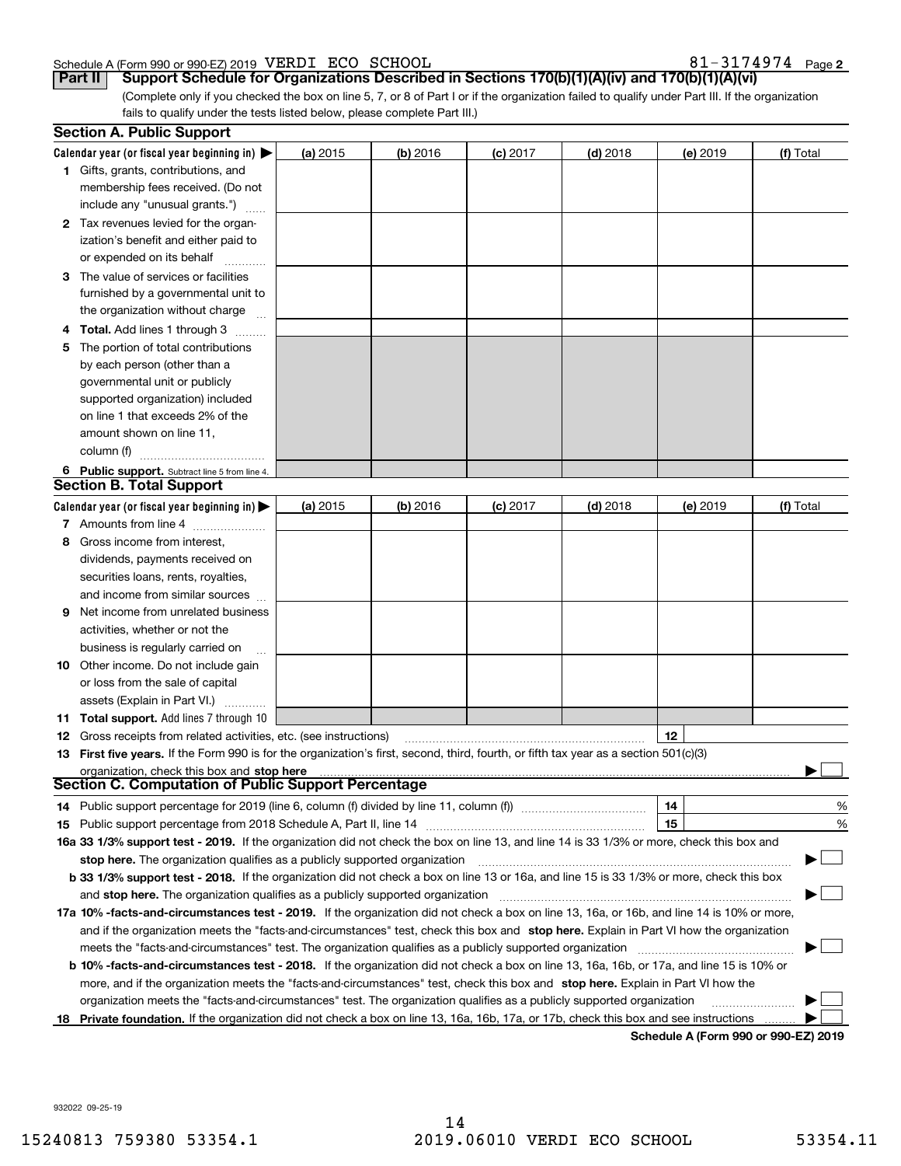### Schedule A (Form 990 or 990-EZ) 2019 Page VERDI ECO SCHOOL 81-3174974

81-3174974 Page 2

(Complete only if you checked the box on line 5, 7, or 8 of Part I or if the organization failed to qualify under Part III. If the organization fails to qualify under the tests listed below, please complete Part III.) **Part II Support Schedule for Organizations Described in Sections 170(b)(1)(A)(iv) and 170(b)(1)(A)(vi)**

|    | <b>Section A. Public Support</b>                                                                                                                             |          |          |            |            |          |           |
|----|--------------------------------------------------------------------------------------------------------------------------------------------------------------|----------|----------|------------|------------|----------|-----------|
|    | Calendar year (or fiscal year beginning in) $\blacktriangleright$                                                                                            | (a) 2015 | (b) 2016 | $(c)$ 2017 | $(d)$ 2018 | (e) 2019 | (f) Total |
|    | <b>1</b> Gifts, grants, contributions, and<br>membership fees received. (Do not                                                                              |          |          |            |            |          |           |
|    | include any "unusual grants.")                                                                                                                               |          |          |            |            |          |           |
|    | 2 Tax revenues levied for the organ-                                                                                                                         |          |          |            |            |          |           |
|    | ization's benefit and either paid to                                                                                                                         |          |          |            |            |          |           |
|    | or expended on its behalf                                                                                                                                    |          |          |            |            |          |           |
|    | 3 The value of services or facilities                                                                                                                        |          |          |            |            |          |           |
|    | furnished by a governmental unit to                                                                                                                          |          |          |            |            |          |           |
|    | the organization without charge                                                                                                                              |          |          |            |            |          |           |
|    | <b>Total.</b> Add lines 1 through 3                                                                                                                          |          |          |            |            |          |           |
| 5. | The portion of total contributions                                                                                                                           |          |          |            |            |          |           |
|    | by each person (other than a                                                                                                                                 |          |          |            |            |          |           |
|    | governmental unit or publicly                                                                                                                                |          |          |            |            |          |           |
|    | supported organization) included                                                                                                                             |          |          |            |            |          |           |
|    | on line 1 that exceeds 2% of the                                                                                                                             |          |          |            |            |          |           |
|    | amount shown on line 11,                                                                                                                                     |          |          |            |            |          |           |
|    | column (f)                                                                                                                                                   |          |          |            |            |          |           |
|    | 6 Public support. Subtract line 5 from line 4.                                                                                                               |          |          |            |            |          |           |
|    | <b>Section B. Total Support</b>                                                                                                                              |          |          |            |            |          |           |
|    | Calendar year (or fiscal year beginning in) $\blacktriangleright$                                                                                            | (a) 2015 | (b) 2016 | $(c)$ 2017 | $(d)$ 2018 | (e) 2019 | (f) Total |
|    | 7 Amounts from line 4                                                                                                                                        |          |          |            |            |          |           |
| 8  | Gross income from interest,                                                                                                                                  |          |          |            |            |          |           |
|    | dividends, payments received on                                                                                                                              |          |          |            |            |          |           |
|    | securities loans, rents, royalties,                                                                                                                          |          |          |            |            |          |           |
|    | and income from similar sources                                                                                                                              |          |          |            |            |          |           |
| 9  | Net income from unrelated business                                                                                                                           |          |          |            |            |          |           |
|    | activities, whether or not the                                                                                                                               |          |          |            |            |          |           |
|    | business is regularly carried on                                                                                                                             |          |          |            |            |          |           |
|    | 10 Other income. Do not include gain                                                                                                                         |          |          |            |            |          |           |
|    | or loss from the sale of capital                                                                                                                             |          |          |            |            |          |           |
|    | assets (Explain in Part VI.)                                                                                                                                 |          |          |            |            |          |           |
|    | 11 Total support. Add lines 7 through 10                                                                                                                     |          |          |            |            |          |           |
|    | 12 Gross receipts from related activities, etc. (see instructions)                                                                                           |          |          |            |            | 12       |           |
|    | 13 First five years. If the Form 990 is for the organization's first, second, third, fourth, or fifth tax year as a section 501(c)(3)                        |          |          |            |            |          |           |
|    | organization, cneck this box and stop here <b>Community and a construct of Public Support Percentage</b> Section C. Computation of Public Support Percentage |          |          |            |            |          |           |
|    |                                                                                                                                                              |          |          |            |            |          |           |
|    | 14 Public support percentage for 2019 (line 6, column (f) divided by line 11, column (f) <i>manumanomeron</i>                                                |          |          |            |            | 14       | %         |
|    | <b>15</b> Public support percentage from 2018 Schedule A, Part II, line 14                                                                                   |          |          |            |            | 15       | %         |
|    | 16a 33 1/3% support test - 2019. If the organization did not check the box on line 13, and line 14 is 33 1/3% or more, check this box and                    |          |          |            |            |          |           |
|    | stop here. The organization qualifies as a publicly supported organization                                                                                   |          |          |            |            |          |           |
|    | b 33 1/3% support test - 2018. If the organization did not check a box on line 13 or 16a, and line 15 is 33 1/3% or more, check this box                     |          |          |            |            |          |           |
|    | and stop here. The organization qualifies as a publicly supported organization                                                                               |          |          |            |            |          |           |
|    | 17a 10% -facts-and-circumstances test - 2019. If the organization did not check a box on line 13, 16a, or 16b, and line 14 is 10% or more,                   |          |          |            |            |          |           |
|    | and if the organization meets the "facts-and-circumstances" test, check this box and stop here. Explain in Part VI how the organization                      |          |          |            |            |          |           |
|    | meets the "facts-and-circumstances" test. The organization qualifies as a publicly supported organization                                                    |          |          |            |            |          |           |
|    | <b>b 10% -facts-and-circumstances test - 2018.</b> If the organization did not check a box on line 13, 16a, 16b, or 17a, and line 15 is 10% or               |          |          |            |            |          |           |
|    | more, and if the organization meets the "facts-and-circumstances" test, check this box and stop here. Explain in Part VI how the                             |          |          |            |            |          |           |
|    | organization meets the "facts-and-circumstances" test. The organization qualifies as a publicly supported organization                                       |          |          |            |            |          |           |
| 18 | Private foundation. If the organization did not check a box on line 13, 16a, 16b, 17a, or 17b, check this box and see instructions                           |          |          |            |            |          |           |
|    |                                                                                                                                                              |          |          |            |            |          |           |

**Schedule A (Form 990 or 990-EZ) 2019**

932022 09-25-19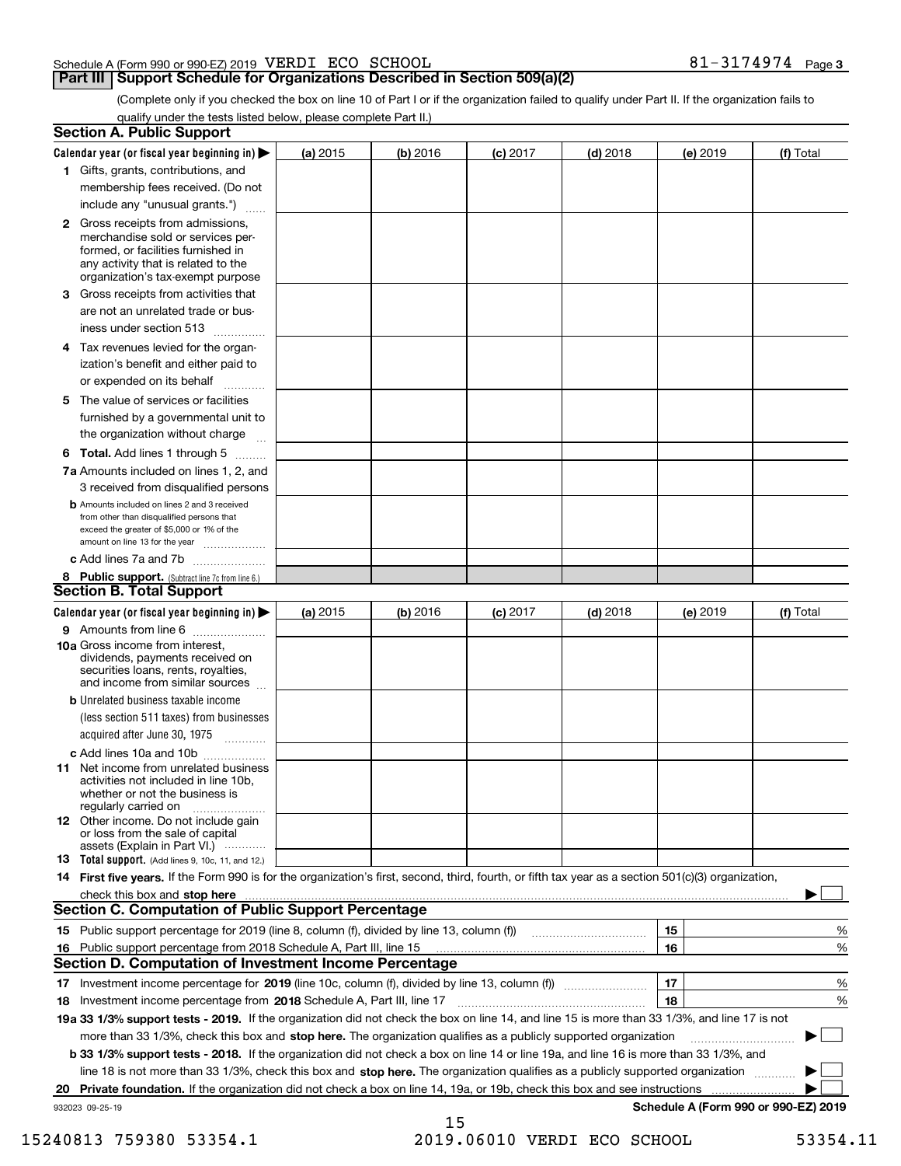### Schedule A (Form 990 or 990-EZ) 2019 Page VERDI ECO SCHOOL 81-3174974

### **Part III** | Support Schedule for Organizations Described in Section 509(a)(2)

**3**

(Complete only if you checked the box on line 10 of Part I or if the organization failed to qualify under Part II. If the organization fails to qualify under the tests listed below, please complete Part II.)

|    | <b>Section A. Public Support</b>                                                                                                                                                                                               |            |          |                 |            |          |                                      |
|----|--------------------------------------------------------------------------------------------------------------------------------------------------------------------------------------------------------------------------------|------------|----------|-----------------|------------|----------|--------------------------------------|
|    | Calendar year (or fiscal year beginning in) $\blacktriangleright$                                                                                                                                                              | (a) 2015   | (b) 2016 | <b>(c)</b> 2017 | $(d)$ 2018 | (e) 2019 | (f) Total                            |
|    | 1 Gifts, grants, contributions, and                                                                                                                                                                                            |            |          |                 |            |          |                                      |
|    | membership fees received. (Do not                                                                                                                                                                                              |            |          |                 |            |          |                                      |
|    | include any "unusual grants.")                                                                                                                                                                                                 |            |          |                 |            |          |                                      |
|    | <b>2</b> Gross receipts from admissions,<br>merchandise sold or services per-<br>formed, or facilities furnished in<br>any activity that is related to the<br>organization's tax-exempt purpose                                |            |          |                 |            |          |                                      |
|    | 3 Gross receipts from activities that                                                                                                                                                                                          |            |          |                 |            |          |                                      |
|    | are not an unrelated trade or bus-                                                                                                                                                                                             |            |          |                 |            |          |                                      |
|    | iness under section 513                                                                                                                                                                                                        |            |          |                 |            |          |                                      |
|    | 4 Tax revenues levied for the organ-                                                                                                                                                                                           |            |          |                 |            |          |                                      |
|    | ization's benefit and either paid to<br>or expended on its behalf<br>.                                                                                                                                                         |            |          |                 |            |          |                                      |
|    | 5 The value of services or facilities                                                                                                                                                                                          |            |          |                 |            |          |                                      |
|    | furnished by a governmental unit to                                                                                                                                                                                            |            |          |                 |            |          |                                      |
|    | the organization without charge                                                                                                                                                                                                |            |          |                 |            |          |                                      |
|    | <b>6 Total.</b> Add lines 1 through 5                                                                                                                                                                                          |            |          |                 |            |          |                                      |
|    | 7a Amounts included on lines 1, 2, and<br>3 received from disqualified persons                                                                                                                                                 |            |          |                 |            |          |                                      |
|    | <b>b</b> Amounts included on lines 2 and 3 received<br>from other than disqualified persons that<br>exceed the greater of \$5,000 or 1% of the<br>amount on line 13 for the year                                               |            |          |                 |            |          |                                      |
|    | c Add lines 7a and 7b                                                                                                                                                                                                          |            |          |                 |            |          |                                      |
|    | 8 Public support. (Subtract line 7c from line 6.)<br><b>Section B. Total Support</b>                                                                                                                                           |            |          |                 |            |          |                                      |
|    | Calendar year (or fiscal year beginning in)                                                                                                                                                                                    | (a) $2015$ | (b) 2016 | <b>(c)</b> 2017 | $(d)$ 2018 | (e) 2019 | (f) Total                            |
|    | 9 Amounts from line 6                                                                                                                                                                                                          |            |          |                 |            |          |                                      |
|    | 10a Gross income from interest,<br>dividends, payments received on<br>securities loans, rents, royalties,<br>and income from similar sources                                                                                   |            |          |                 |            |          |                                      |
|    | <b>b</b> Unrelated business taxable income                                                                                                                                                                                     |            |          |                 |            |          |                                      |
|    | (less section 511 taxes) from businesses<br>acquired after June 30, 1975 [10001]                                                                                                                                               |            |          |                 |            |          |                                      |
|    | c Add lines 10a and 10b                                                                                                                                                                                                        |            |          |                 |            |          |                                      |
|    | 11 Net income from unrelated business<br>activities not included in line 10b,<br>whether or not the business is<br>regularly carried on                                                                                        |            |          |                 |            |          |                                      |
|    | <b>12</b> Other income. Do not include gain<br>or loss from the sale of capital<br>assets (Explain in Part VI.)                                                                                                                |            |          |                 |            |          |                                      |
|    | 13 Total support. (Add lines 9, 10c, 11, and 12.)                                                                                                                                                                              |            |          |                 |            |          |                                      |
|    | 14 First five years. If the Form 990 is for the organization's first, second, third, fourth, or fifth tax year as a section 501(c)(3) organization,                                                                            |            |          |                 |            |          |                                      |
|    | check this box and stop here communication and content to the state of the state of the state of the state of the state of the state of the state of the state of the state of the state of the state of the state of the stat |            |          |                 |            |          |                                      |
|    | <b>Section C. Computation of Public Support Percentage</b>                                                                                                                                                                     |            |          |                 |            |          |                                      |
|    |                                                                                                                                                                                                                                |            |          |                 |            | 15       | %                                    |
| 16 | Public support percentage from 2018 Schedule A, Part III, line 15                                                                                                                                                              |            |          |                 |            | 16       | %                                    |
|    | <b>Section D. Computation of Investment Income Percentage</b>                                                                                                                                                                  |            |          |                 |            |          |                                      |
|    | 17 Investment income percentage for 2019 (line 10c, column (f), divided by line 13, column (f))                                                                                                                                |            |          |                 |            | 17       | %                                    |
|    | 18 Investment income percentage from 2018 Schedule A, Part III, line 17                                                                                                                                                        |            |          |                 |            | 18       | %                                    |
|    | 19a 33 1/3% support tests - 2019. If the organization did not check the box on line 14, and line 15 is more than 33 1/3%, and line 17 is not                                                                                   |            |          |                 |            |          |                                      |
|    | more than 33 1/3%, check this box and stop here. The organization qualifies as a publicly supported organization                                                                                                               |            |          |                 |            |          | $\sim$ 1                             |
|    | b 33 1/3% support tests - 2018. If the organization did not check a box on line 14 or line 19a, and line 16 is more than 33 1/3%, and                                                                                          |            |          |                 |            |          |                                      |
|    | line 18 is not more than 33 1/3%, check this box and stop here. The organization qualifies as a publicly supported organization                                                                                                |            |          |                 |            |          |                                      |
| 20 | Private foundation. If the organization did not check a box on line 14, 19a, or 19b, check this box and see instructions                                                                                                       |            |          |                 |            |          |                                      |
|    | 932023 09-25-19                                                                                                                                                                                                                |            | 15       |                 |            |          | Schedule A (Form 990 or 990-EZ) 2019 |

 <sup>15240813 759380 53354.1 2019.06010</sup> VERDI ECO SCHOOL 53354.11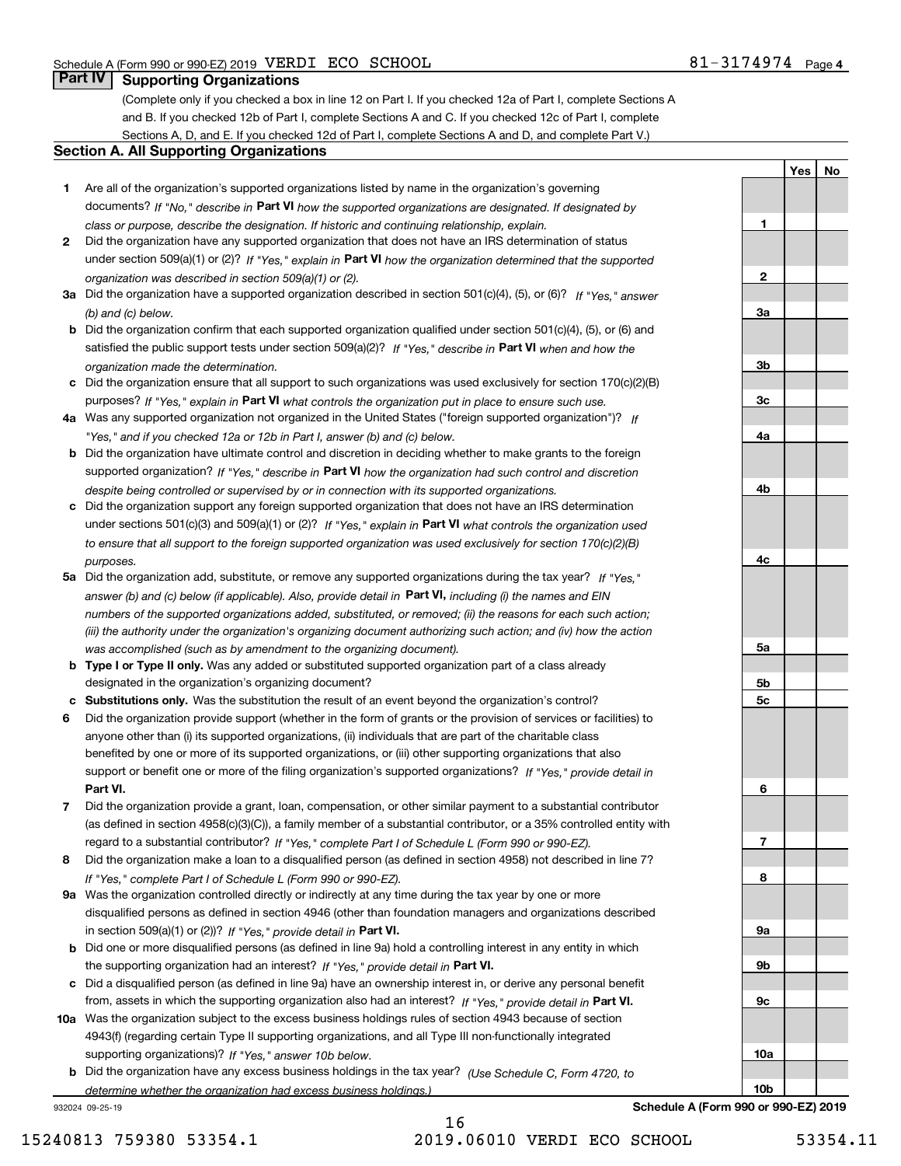**1**

**2**

**3a**

**3b**

**3c**

**4a**

**4b**

**4c**

**5a**

**5b5c**

**6**

**7**

**8**

**9a**

**9b**

**YesNo**

### **Part IV Supporting Organizations**

(Complete only if you checked a box in line 12 on Part I. If you checked 12a of Part I, complete Sections A and B. If you checked 12b of Part I, complete Sections A and C. If you checked 12c of Part I, complete Sections A, D, and E. If you checked 12d of Part I, complete Sections A and D, and complete Part V.)

### **Section A. All Supporting Organizations**

- **1** Are all of the organization's supported organizations listed by name in the organization's governing documents? If "No," describe in **Part VI** how the supported organizations are designated. If designated by *class or purpose, describe the designation. If historic and continuing relationship, explain.*
- **2** Did the organization have any supported organization that does not have an IRS determination of status under section 509(a)(1) or (2)? If "Yes," explain in Part VI how the organization determined that the supported *organization was described in section 509(a)(1) or (2).*
- **3a** Did the organization have a supported organization described in section 501(c)(4), (5), or (6)? If "Yes," answer *(b) and (c) below.*
- **b** Did the organization confirm that each supported organization qualified under section 501(c)(4), (5), or (6) and satisfied the public support tests under section 509(a)(2)? If "Yes," describe in **Part VI** when and how the *organization made the determination.*
- **c**Did the organization ensure that all support to such organizations was used exclusively for section 170(c)(2)(B) purposes? If "Yes," explain in **Part VI** what controls the organization put in place to ensure such use.
- **4a***If* Was any supported organization not organized in the United States ("foreign supported organization")? *"Yes," and if you checked 12a or 12b in Part I, answer (b) and (c) below.*
- **b** Did the organization have ultimate control and discretion in deciding whether to make grants to the foreign supported organization? If "Yes," describe in **Part VI** how the organization had such control and discretion *despite being controlled or supervised by or in connection with its supported organizations.*
- **c** Did the organization support any foreign supported organization that does not have an IRS determination under sections 501(c)(3) and 509(a)(1) or (2)? If "Yes," explain in **Part VI** what controls the organization used *to ensure that all support to the foreign supported organization was used exclusively for section 170(c)(2)(B) purposes.*
- **5a** Did the organization add, substitute, or remove any supported organizations during the tax year? If "Yes," answer (b) and (c) below (if applicable). Also, provide detail in **Part VI,** including (i) the names and EIN *numbers of the supported organizations added, substituted, or removed; (ii) the reasons for each such action; (iii) the authority under the organization's organizing document authorizing such action; and (iv) how the action was accomplished (such as by amendment to the organizing document).*
- **b** Type I or Type II only. Was any added or substituted supported organization part of a class already designated in the organization's organizing document?
- **cSubstitutions only.**  Was the substitution the result of an event beyond the organization's control?
- **6** Did the organization provide support (whether in the form of grants or the provision of services or facilities) to **Part VI.** *If "Yes," provide detail in* support or benefit one or more of the filing organization's supported organizations? anyone other than (i) its supported organizations, (ii) individuals that are part of the charitable class benefited by one or more of its supported organizations, or (iii) other supporting organizations that also
- **7**Did the organization provide a grant, loan, compensation, or other similar payment to a substantial contributor *If "Yes," complete Part I of Schedule L (Form 990 or 990-EZ).* regard to a substantial contributor? (as defined in section 4958(c)(3)(C)), a family member of a substantial contributor, or a 35% controlled entity with
- **8** Did the organization make a loan to a disqualified person (as defined in section 4958) not described in line 7? *If "Yes," complete Part I of Schedule L (Form 990 or 990-EZ).*
- **9a** Was the organization controlled directly or indirectly at any time during the tax year by one or more in section 509(a)(1) or (2))? If "Yes," *provide detail in* <code>Part VI.</code> disqualified persons as defined in section 4946 (other than foundation managers and organizations described
- **b** Did one or more disqualified persons (as defined in line 9a) hold a controlling interest in any entity in which the supporting organization had an interest? If "Yes," provide detail in P**art VI**.
- **c**Did a disqualified person (as defined in line 9a) have an ownership interest in, or derive any personal benefit from, assets in which the supporting organization also had an interest? If "Yes," provide detail in P**art VI.**
- **10a** Was the organization subject to the excess business holdings rules of section 4943 because of section supporting organizations)? If "Yes," answer 10b below. 4943(f) (regarding certain Type II supporting organizations, and all Type III non-functionally integrated
- **b** Did the organization have any excess business holdings in the tax year? (Use Schedule C, Form 4720, to *determine whether the organization had excess business holdings.)*

932024 09-25-19

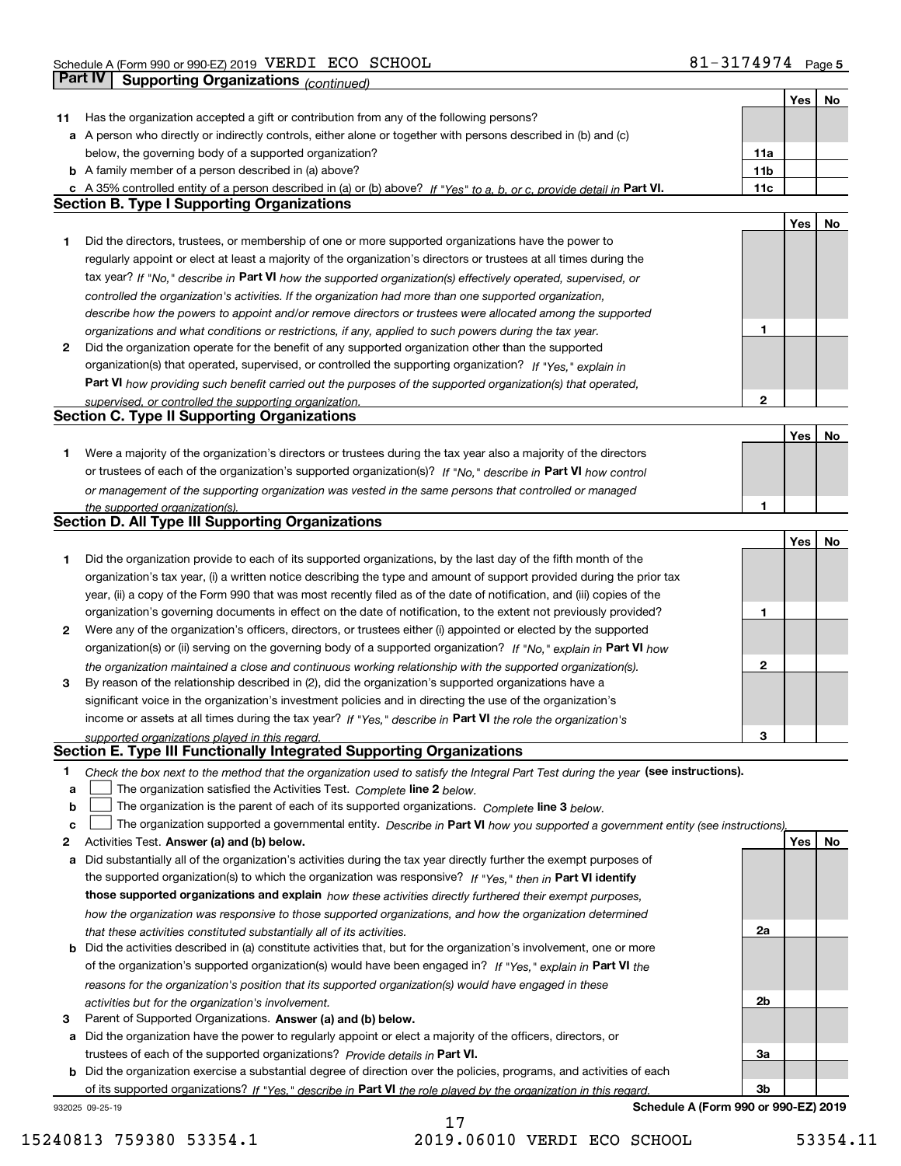|    |                                                                                                                                                                                                                                                 |              | Yes | No |
|----|-------------------------------------------------------------------------------------------------------------------------------------------------------------------------------------------------------------------------------------------------|--------------|-----|----|
| 11 | Has the organization accepted a gift or contribution from any of the following persons?                                                                                                                                                         |              |     |    |
|    | a A person who directly or indirectly controls, either alone or together with persons described in (b) and (c)                                                                                                                                  |              |     |    |
|    | below, the governing body of a supported organization?                                                                                                                                                                                          | 11a          |     |    |
|    | <b>b</b> A family member of a person described in (a) above?                                                                                                                                                                                    | 11b          |     |    |
|    | c A 35% controlled entity of a person described in (a) or (b) above? If "Yes" to a, b, or c, provide detail in Part VI.                                                                                                                         | 11c          |     |    |
|    | <b>Section B. Type I Supporting Organizations</b>                                                                                                                                                                                               |              |     |    |
|    |                                                                                                                                                                                                                                                 |              | Yes | No |
| 1  | Did the directors, trustees, or membership of one or more supported organizations have the power to                                                                                                                                             |              |     |    |
|    | regularly appoint or elect at least a majority of the organization's directors or trustees at all times during the                                                                                                                              |              |     |    |
|    | tax year? If "No," describe in Part VI how the supported organization(s) effectively operated, supervised, or                                                                                                                                   |              |     |    |
|    | controlled the organization's activities. If the organization had more than one supported organization,                                                                                                                                         |              |     |    |
|    | describe how the powers to appoint and/or remove directors or trustees were allocated among the supported                                                                                                                                       |              |     |    |
|    | organizations and what conditions or restrictions, if any, applied to such powers during the tax year.                                                                                                                                          | 1            |     |    |
| 2  | Did the organization operate for the benefit of any supported organization other than the supported                                                                                                                                             |              |     |    |
|    | organization(s) that operated, supervised, or controlled the supporting organization? If "Yes," explain in                                                                                                                                      |              |     |    |
|    | Part VI how providing such benefit carried out the purposes of the supported organization(s) that operated,                                                                                                                                     |              |     |    |
|    | supervised, or controlled the supporting organization.                                                                                                                                                                                          | $\mathbf{2}$ |     |    |
|    | <b>Section C. Type II Supporting Organizations</b>                                                                                                                                                                                              |              |     |    |
|    |                                                                                                                                                                                                                                                 |              | Yes | No |
| 1. | Were a majority of the organization's directors or trustees during the tax year also a majority of the directors                                                                                                                                |              |     |    |
|    | or trustees of each of the organization's supported organization(s)? If "No," describe in Part VI how control                                                                                                                                   |              |     |    |
|    | or management of the supporting organization was vested in the same persons that controlled or managed                                                                                                                                          |              |     |    |
|    | the supported organization(s).<br><b>Section D. All Type III Supporting Organizations</b>                                                                                                                                                       | 1            |     |    |
|    |                                                                                                                                                                                                                                                 |              |     |    |
|    |                                                                                                                                                                                                                                                 |              | Yes | No |
| 1  | Did the organization provide to each of its supported organizations, by the last day of the fifth month of the                                                                                                                                  |              |     |    |
|    | organization's tax year, (i) a written notice describing the type and amount of support provided during the prior tax<br>year, (ii) a copy of the Form 990 that was most recently filed as of the date of notification, and (iii) copies of the |              |     |    |
|    | organization's governing documents in effect on the date of notification, to the extent not previously provided?                                                                                                                                | 1            |     |    |
| 2  | Were any of the organization's officers, directors, or trustees either (i) appointed or elected by the supported                                                                                                                                |              |     |    |
|    | organization(s) or (ii) serving on the governing body of a supported organization? If "No," explain in Part VI how                                                                                                                              |              |     |    |
|    |                                                                                                                                                                                                                                                 | $\mathbf{2}$ |     |    |
| 3  | the organization maintained a close and continuous working relationship with the supported organization(s).<br>By reason of the relationship described in (2), did the organization's supported organizations have a                            |              |     |    |
|    | significant voice in the organization's investment policies and in directing the use of the organization's                                                                                                                                      |              |     |    |
|    | income or assets at all times during the tax year? If "Yes," describe in Part VI the role the organization's                                                                                                                                    |              |     |    |
|    | supported organizations played in this regard.                                                                                                                                                                                                  | 3            |     |    |
|    | Section E. Type III Functionally Integrated Supporting Organizations                                                                                                                                                                            |              |     |    |
| 1  | Check the box next to the method that the organization used to satisfy the Integral Part Test during the year (see instructions).                                                                                                               |              |     |    |
| a  | The organization satisfied the Activities Test. Complete line 2 below.                                                                                                                                                                          |              |     |    |
| b  | The organization is the parent of each of its supported organizations. Complete line 3 below.                                                                                                                                                   |              |     |    |
| c  | The organization supported a governmental entity. Describe in Part VI how you supported a government entity (see instructions),                                                                                                                 |              |     |    |
| 2  | Activities Test. Answer (a) and (b) below.                                                                                                                                                                                                      |              | Yes | No |
| a  | Did substantially all of the organization's activities during the tax year directly further the exempt purposes of                                                                                                                              |              |     |    |
|    | the supported organization(s) to which the organization was responsive? If "Yes," then in Part VI identify                                                                                                                                      |              |     |    |
|    | those supported organizations and explain how these activities directly furthered their exempt purposes,                                                                                                                                        |              |     |    |
|    | how the organization was responsive to those supported organizations, and how the organization determined                                                                                                                                       |              |     |    |
|    | that these activities constituted substantially all of its activities.                                                                                                                                                                          | 2a           |     |    |
|    | <b>b</b> Did the activities described in (a) constitute activities that, but for the organization's involvement, one or more                                                                                                                    |              |     |    |
|    | of the organization's supported organization(s) would have been engaged in? If "Yes," explain in Part VI the                                                                                                                                    |              |     |    |
|    | reasons for the organization's position that its supported organization(s) would have engaged in these                                                                                                                                          |              |     |    |
|    | activities but for the organization's involvement.                                                                                                                                                                                              | 2b           |     |    |
| з  | Parent of Supported Organizations. Answer (a) and (b) below.                                                                                                                                                                                    |              |     |    |
| а  | Did the organization have the power to regularly appoint or elect a majority of the officers, directors, or                                                                                                                                     |              |     |    |
|    | trustees of each of the supported organizations? Provide details in Part VI.                                                                                                                                                                    | За           |     |    |
|    | <b>b</b> Did the organization exercise a substantial degree of direction over the policies, programs, and activities of each                                                                                                                    |              |     |    |
|    | of its supported organizations? If "Yes," describe in Part VI the role played by the organization in this regard.                                                                                                                               | 3b           |     |    |
|    | Schedule A (Form 990 or 990-EZ) 2019<br>932025 09-25-19                                                                                                                                                                                         |              |     |    |

15240813 759380 53354.1 2019.06010 VERDI ECO SCHOOL 53354.11

17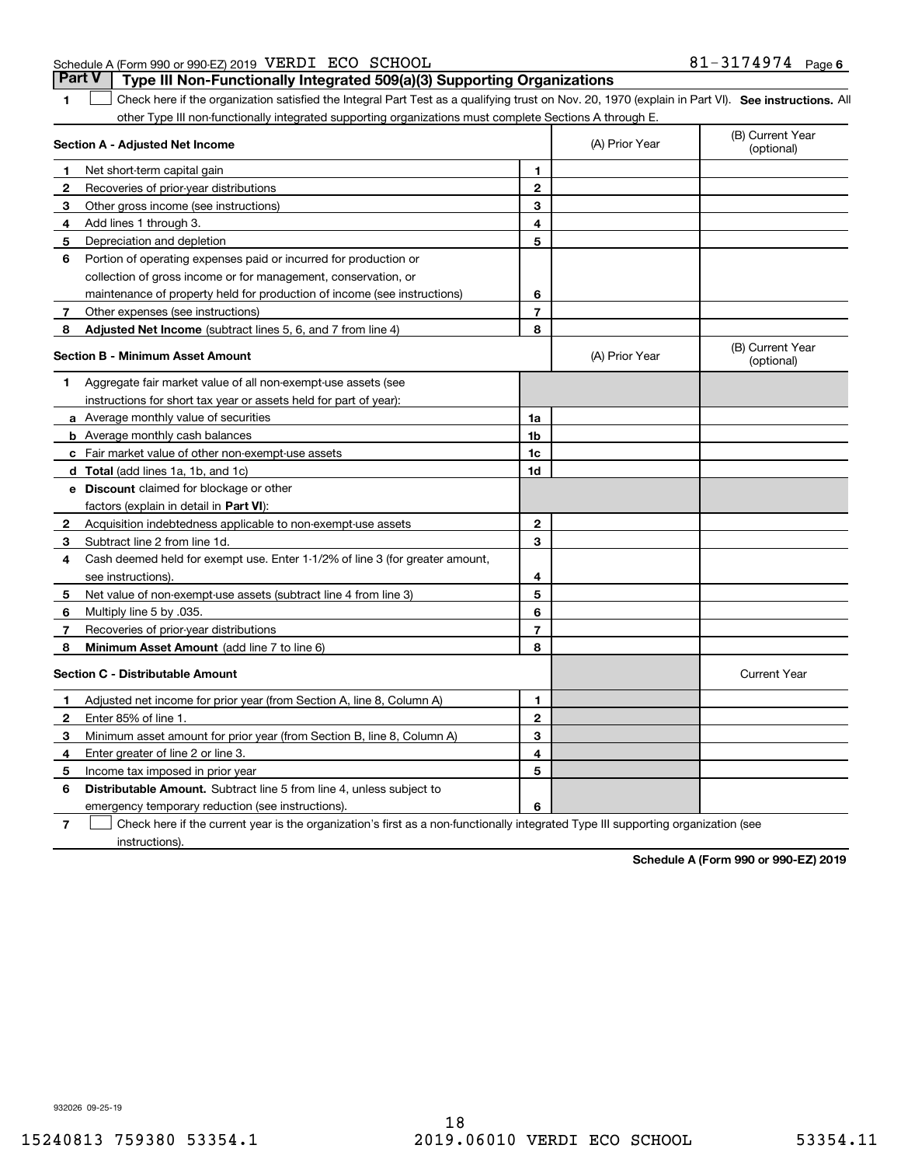### Schedule A (Form 990 or 990-EZ) 2019 Page VERDI ECO SCHOOL 81-3174974 **Part V Type III Non-Functionally Integrated 509(a)(3) Supporting Organizations**

**1**

1 Check here if the organization satisfied the Integral Part Test as a qualifying trust on Nov. 20, 1970 (explain in Part VI). See instructions. All other Type III non-functionally integrated supporting organizations must complete Sections A through E.

|    | Section A - Adjusted Net Income                                              |                | (A) Prior Year | (B) Current Year<br>(optional) |
|----|------------------------------------------------------------------------------|----------------|----------------|--------------------------------|
| 1. | Net short-term capital gain                                                  | 1              |                |                                |
| 2  | Recoveries of prior-year distributions                                       | $\overline{2}$ |                |                                |
| 3  | Other gross income (see instructions)                                        | 3              |                |                                |
| 4  | Add lines 1 through 3.                                                       | 4              |                |                                |
| 5  | Depreciation and depletion                                                   | 5              |                |                                |
| 6  | Portion of operating expenses paid or incurred for production or             |                |                |                                |
|    | collection of gross income or for management, conservation, or               |                |                |                                |
|    | maintenance of property held for production of income (see instructions)     | 6              |                |                                |
| 7  | Other expenses (see instructions)                                            | $\overline{7}$ |                |                                |
| 8  | Adjusted Net Income (subtract lines 5, 6, and 7 from line 4)                 | 8              |                |                                |
|    | <b>Section B - Minimum Asset Amount</b>                                      |                | (A) Prior Year | (B) Current Year<br>(optional) |
| 1  | Aggregate fair market value of all non-exempt-use assets (see                |                |                |                                |
|    | instructions for short tax year or assets held for part of year):            |                |                |                                |
|    | a Average monthly value of securities                                        | 1a             |                |                                |
|    | <b>b</b> Average monthly cash balances                                       | 1b             |                |                                |
|    | c Fair market value of other non-exempt-use assets                           | 1c             |                |                                |
|    | d Total (add lines 1a, 1b, and 1c)                                           | 1d             |                |                                |
|    | <b>e</b> Discount claimed for blockage or other                              |                |                |                                |
|    | factors (explain in detail in Part VI):                                      |                |                |                                |
| 2  | Acquisition indebtedness applicable to non-exempt-use assets                 | $\mathbf{2}$   |                |                                |
| 3  | Subtract line 2 from line 1d.                                                | 3              |                |                                |
| 4  | Cash deemed held for exempt use. Enter 1-1/2% of line 3 (for greater amount, |                |                |                                |
|    | see instructions).                                                           | 4              |                |                                |
| 5  | Net value of non-exempt-use assets (subtract line 4 from line 3)             | 5              |                |                                |
| 6  | Multiply line 5 by .035.                                                     | 6              |                |                                |
| 7  | Recoveries of prior-year distributions                                       | $\overline{7}$ |                |                                |
| 8  | Minimum Asset Amount (add line 7 to line 6)                                  | 8              |                |                                |
|    | <b>Section C - Distributable Amount</b>                                      |                |                | <b>Current Year</b>            |
| 1  | Adjusted net income for prior year (from Section A, line 8, Column A)        | 1              |                |                                |
| 2  | Enter 85% of line 1.                                                         | $\mathbf{2}$   |                |                                |
| 3  | Minimum asset amount for prior year (from Section B, line 8, Column A)       | 3              |                |                                |
| 4  | Enter greater of line 2 or line 3.                                           | 4              |                |                                |
| 5  | Income tax imposed in prior year                                             | 5              |                |                                |
| 6  | <b>Distributable Amount.</b> Subtract line 5 from line 4, unless subject to  |                |                |                                |
|    | emergency temporary reduction (see instructions).                            | 6              |                |                                |
|    |                                                                              |                |                |                                |

**7** Check here if the current year is the organization's first as a non-functionally integrated Type III supporting organization (see instructions).

**Schedule A (Form 990 or 990-EZ) 2019**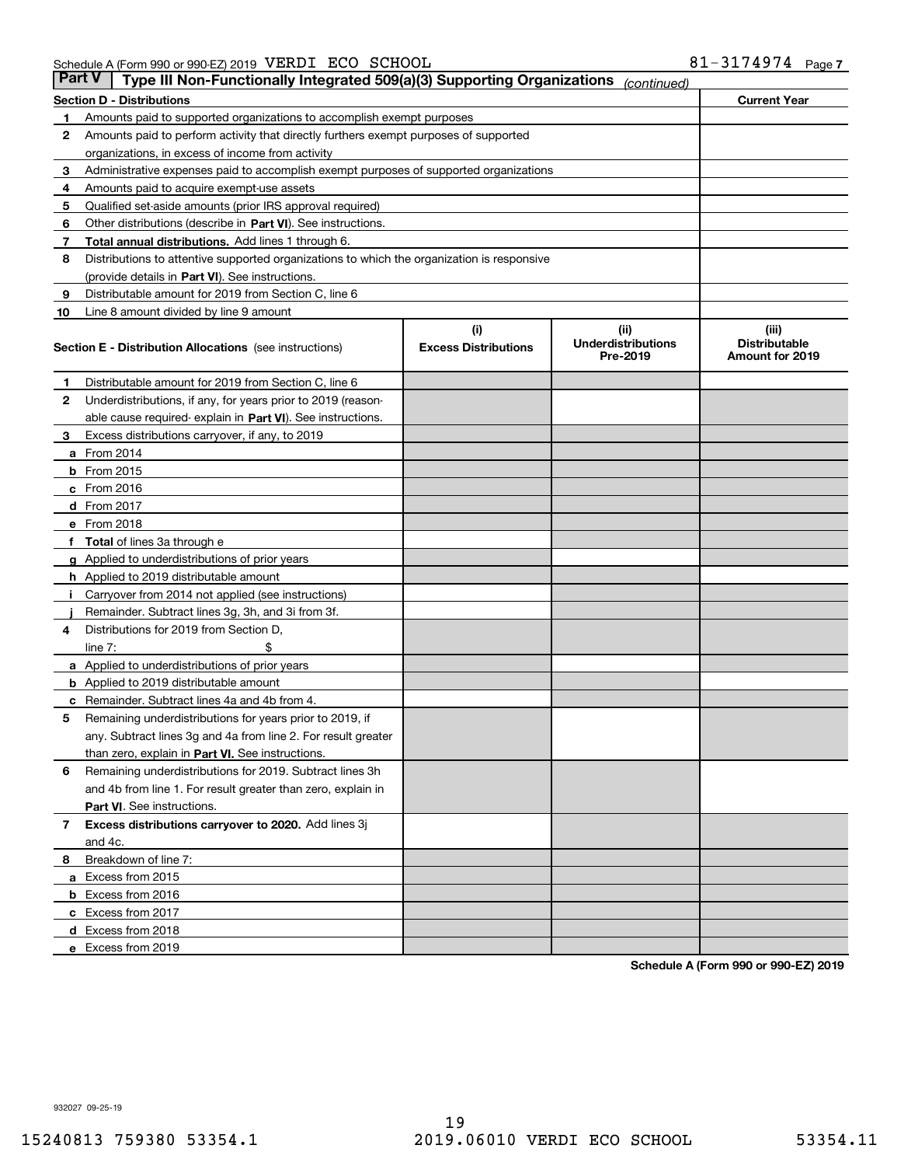| Part V | Type III Non-Functionally Integrated 509(a)(3) Supporting Organizations                    |                                    | (continued)                                   |                                                  |  |  |  |  |  |  |  |
|--------|--------------------------------------------------------------------------------------------|------------------------------------|-----------------------------------------------|--------------------------------------------------|--|--|--|--|--|--|--|
|        | <b>Section D - Distributions</b>                                                           |                                    |                                               | <b>Current Year</b>                              |  |  |  |  |  |  |  |
| 1      | Amounts paid to supported organizations to accomplish exempt purposes                      |                                    |                                               |                                                  |  |  |  |  |  |  |  |
| 2      | Amounts paid to perform activity that directly furthers exempt purposes of supported       |                                    |                                               |                                                  |  |  |  |  |  |  |  |
|        | organizations, in excess of income from activity                                           |                                    |                                               |                                                  |  |  |  |  |  |  |  |
| з      | Administrative expenses paid to accomplish exempt purposes of supported organizations      |                                    |                                               |                                                  |  |  |  |  |  |  |  |
| 4      | Amounts paid to acquire exempt-use assets                                                  |                                    |                                               |                                                  |  |  |  |  |  |  |  |
| 5      | Qualified set-aside amounts (prior IRS approval required)                                  |                                    |                                               |                                                  |  |  |  |  |  |  |  |
| 6      | Other distributions (describe in Part VI). See instructions.                               |                                    |                                               |                                                  |  |  |  |  |  |  |  |
| 7      | Total annual distributions. Add lines 1 through 6.                                         |                                    |                                               |                                                  |  |  |  |  |  |  |  |
| 8      | Distributions to attentive supported organizations to which the organization is responsive |                                    |                                               |                                                  |  |  |  |  |  |  |  |
|        | (provide details in Part VI). See instructions.                                            |                                    |                                               |                                                  |  |  |  |  |  |  |  |
| 9      | Distributable amount for 2019 from Section C, line 6                                       |                                    |                                               |                                                  |  |  |  |  |  |  |  |
| 10     | Line 8 amount divided by line 9 amount                                                     |                                    |                                               |                                                  |  |  |  |  |  |  |  |
|        | Section E - Distribution Allocations (see instructions)                                    | (i)<br><b>Excess Distributions</b> | (ii)<br><b>Underdistributions</b><br>Pre-2019 | (iii)<br><b>Distributable</b><br>Amount for 2019 |  |  |  |  |  |  |  |
| 1      | Distributable amount for 2019 from Section C, line 6                                       |                                    |                                               |                                                  |  |  |  |  |  |  |  |
| 2      | Underdistributions, if any, for years prior to 2019 (reason-                               |                                    |                                               |                                                  |  |  |  |  |  |  |  |
|        | able cause required-explain in Part VI). See instructions.                                 |                                    |                                               |                                                  |  |  |  |  |  |  |  |
| з      | Excess distributions carryover, if any, to 2019                                            |                                    |                                               |                                                  |  |  |  |  |  |  |  |
|        | <b>a</b> From 2014                                                                         |                                    |                                               |                                                  |  |  |  |  |  |  |  |
|        | <b>b</b> From $2015$                                                                       |                                    |                                               |                                                  |  |  |  |  |  |  |  |
|        | $c$ From 2016                                                                              |                                    |                                               |                                                  |  |  |  |  |  |  |  |
|        | d From 2017                                                                                |                                    |                                               |                                                  |  |  |  |  |  |  |  |
|        | e From 2018                                                                                |                                    |                                               |                                                  |  |  |  |  |  |  |  |
|        | Total of lines 3a through e                                                                |                                    |                                               |                                                  |  |  |  |  |  |  |  |
|        | <b>g</b> Applied to underdistributions of prior years                                      |                                    |                                               |                                                  |  |  |  |  |  |  |  |
|        | <b>h</b> Applied to 2019 distributable amount                                              |                                    |                                               |                                                  |  |  |  |  |  |  |  |
|        | Carryover from 2014 not applied (see instructions)                                         |                                    |                                               |                                                  |  |  |  |  |  |  |  |
|        | Remainder. Subtract lines 3g, 3h, and 3i from 3f.                                          |                                    |                                               |                                                  |  |  |  |  |  |  |  |
| 4      | Distributions for 2019 from Section D,                                                     |                                    |                                               |                                                  |  |  |  |  |  |  |  |
|        | line $7:$                                                                                  |                                    |                                               |                                                  |  |  |  |  |  |  |  |
|        | <b>a</b> Applied to underdistributions of prior years                                      |                                    |                                               |                                                  |  |  |  |  |  |  |  |
|        | <b>b</b> Applied to 2019 distributable amount                                              |                                    |                                               |                                                  |  |  |  |  |  |  |  |
| с      | Remainder. Subtract lines 4a and 4b from 4.                                                |                                    |                                               |                                                  |  |  |  |  |  |  |  |
| 5      | Remaining underdistributions for years prior to 2019, if                                   |                                    |                                               |                                                  |  |  |  |  |  |  |  |
|        | any. Subtract lines 3g and 4a from line 2. For result greater                              |                                    |                                               |                                                  |  |  |  |  |  |  |  |
|        | than zero, explain in Part VI. See instructions.                                           |                                    |                                               |                                                  |  |  |  |  |  |  |  |
| 6      | Remaining underdistributions for 2019. Subtract lines 3h                                   |                                    |                                               |                                                  |  |  |  |  |  |  |  |
|        | and 4b from line 1. For result greater than zero, explain in                               |                                    |                                               |                                                  |  |  |  |  |  |  |  |
|        | Part VI. See instructions.                                                                 |                                    |                                               |                                                  |  |  |  |  |  |  |  |
| 7      | Excess distributions carryover to 2020. Add lines 3j                                       |                                    |                                               |                                                  |  |  |  |  |  |  |  |
|        | and 4c.                                                                                    |                                    |                                               |                                                  |  |  |  |  |  |  |  |
| 8      | Breakdown of line 7:                                                                       |                                    |                                               |                                                  |  |  |  |  |  |  |  |
|        | a Excess from 2015                                                                         |                                    |                                               |                                                  |  |  |  |  |  |  |  |
|        | <b>b</b> Excess from 2016                                                                  |                                    |                                               |                                                  |  |  |  |  |  |  |  |
|        | c Excess from 2017                                                                         |                                    |                                               |                                                  |  |  |  |  |  |  |  |
|        | d Excess from 2018                                                                         |                                    |                                               |                                                  |  |  |  |  |  |  |  |
|        | e Excess from 2019                                                                         |                                    |                                               |                                                  |  |  |  |  |  |  |  |

**Schedule A (Form 990 or 990-EZ) 2019**

932027 09-25-19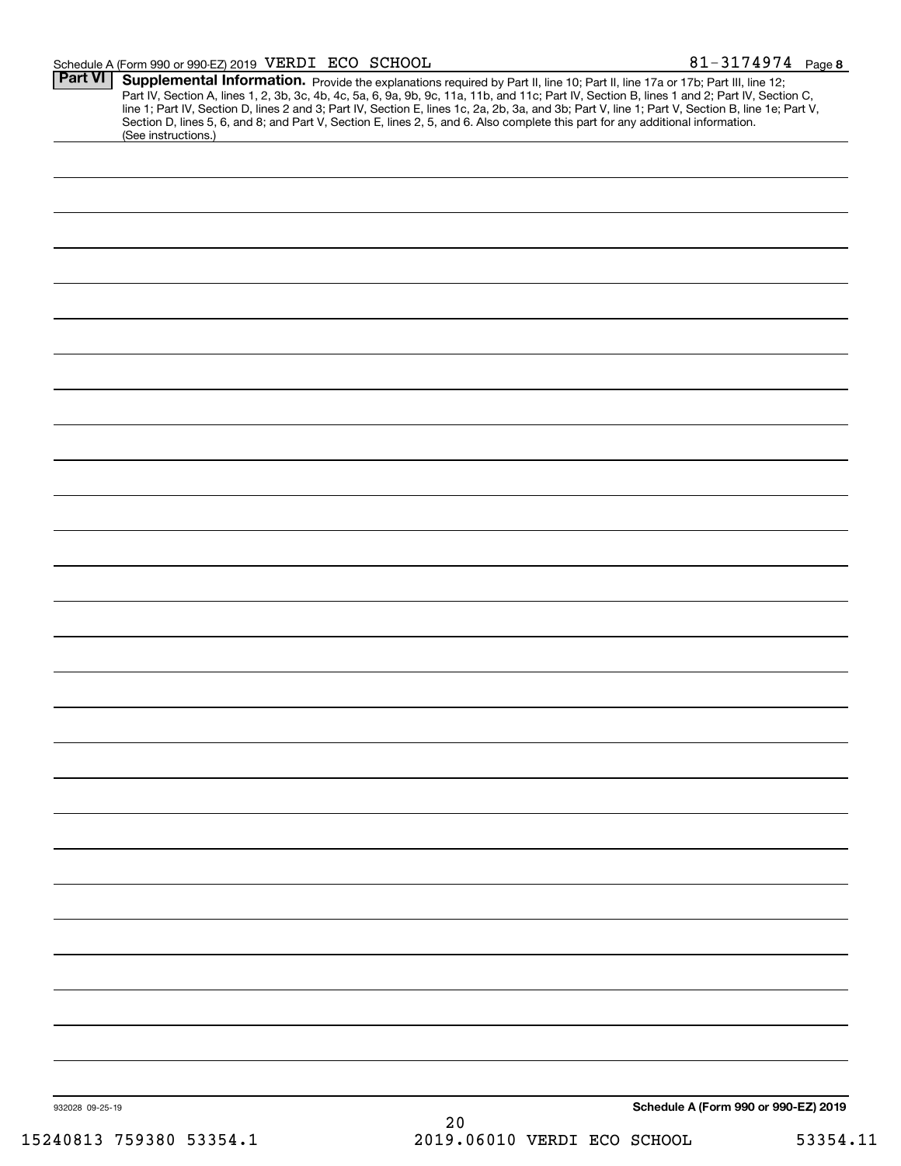### Schedule A (Form 990 or 990-EZ) 2019 Page VERDI ECO SCHOOL 81-3174974

| Schedule A (Form 990 or 990-EZ) 2019<br>932028 09-25-19<br>20<br>2019.06010 VERDI ECO SCHOOL<br>15240813 759380 53354.1<br>53354.11 | <b>Part VI</b> | (See instructions.) | Supplemental Information. Provide the explanations required by Part II, line 10; Part II, line 17a or 17b; Part III, line 12;<br>Part IV, Section A, lines 1, 2, 3b, 3c, 4b, 4c, 5a, 6, 9a, 9b, 9c, 11a, 11b, and 11c; Part IV, Section B, lines 1 and 2; Part IV, Section C,<br>line 1; Part IV, Section D, lines 2 and 3; Part IV, Section E, lines 1c, 2a, 2b, 3a, and 3b; Part V, line 1; Part V, Section B, line 1e; Part V,<br>Section D, lines 5, 6, and 8; and Part V, Section E, lines 2, 5, and 6. Also complete this part for any additional information. |  |
|-------------------------------------------------------------------------------------------------------------------------------------|----------------|---------------------|----------------------------------------------------------------------------------------------------------------------------------------------------------------------------------------------------------------------------------------------------------------------------------------------------------------------------------------------------------------------------------------------------------------------------------------------------------------------------------------------------------------------------------------------------------------------|--|
|                                                                                                                                     |                |                     |                                                                                                                                                                                                                                                                                                                                                                                                                                                                                                                                                                      |  |
|                                                                                                                                     |                |                     |                                                                                                                                                                                                                                                                                                                                                                                                                                                                                                                                                                      |  |
|                                                                                                                                     |                |                     |                                                                                                                                                                                                                                                                                                                                                                                                                                                                                                                                                                      |  |
|                                                                                                                                     |                |                     |                                                                                                                                                                                                                                                                                                                                                                                                                                                                                                                                                                      |  |
|                                                                                                                                     |                |                     |                                                                                                                                                                                                                                                                                                                                                                                                                                                                                                                                                                      |  |
|                                                                                                                                     |                |                     |                                                                                                                                                                                                                                                                                                                                                                                                                                                                                                                                                                      |  |
|                                                                                                                                     |                |                     |                                                                                                                                                                                                                                                                                                                                                                                                                                                                                                                                                                      |  |
|                                                                                                                                     |                |                     |                                                                                                                                                                                                                                                                                                                                                                                                                                                                                                                                                                      |  |
|                                                                                                                                     |                |                     |                                                                                                                                                                                                                                                                                                                                                                                                                                                                                                                                                                      |  |
|                                                                                                                                     |                |                     |                                                                                                                                                                                                                                                                                                                                                                                                                                                                                                                                                                      |  |
|                                                                                                                                     |                |                     |                                                                                                                                                                                                                                                                                                                                                                                                                                                                                                                                                                      |  |
|                                                                                                                                     |                |                     |                                                                                                                                                                                                                                                                                                                                                                                                                                                                                                                                                                      |  |
|                                                                                                                                     |                |                     |                                                                                                                                                                                                                                                                                                                                                                                                                                                                                                                                                                      |  |
|                                                                                                                                     |                |                     |                                                                                                                                                                                                                                                                                                                                                                                                                                                                                                                                                                      |  |
|                                                                                                                                     |                |                     |                                                                                                                                                                                                                                                                                                                                                                                                                                                                                                                                                                      |  |
|                                                                                                                                     |                |                     |                                                                                                                                                                                                                                                                                                                                                                                                                                                                                                                                                                      |  |
|                                                                                                                                     |                |                     |                                                                                                                                                                                                                                                                                                                                                                                                                                                                                                                                                                      |  |
|                                                                                                                                     |                |                     |                                                                                                                                                                                                                                                                                                                                                                                                                                                                                                                                                                      |  |
|                                                                                                                                     |                |                     |                                                                                                                                                                                                                                                                                                                                                                                                                                                                                                                                                                      |  |
|                                                                                                                                     |                |                     |                                                                                                                                                                                                                                                                                                                                                                                                                                                                                                                                                                      |  |
|                                                                                                                                     |                |                     |                                                                                                                                                                                                                                                                                                                                                                                                                                                                                                                                                                      |  |
|                                                                                                                                     |                |                     |                                                                                                                                                                                                                                                                                                                                                                                                                                                                                                                                                                      |  |
|                                                                                                                                     |                |                     |                                                                                                                                                                                                                                                                                                                                                                                                                                                                                                                                                                      |  |
|                                                                                                                                     |                |                     |                                                                                                                                                                                                                                                                                                                                                                                                                                                                                                                                                                      |  |
|                                                                                                                                     |                |                     |                                                                                                                                                                                                                                                                                                                                                                                                                                                                                                                                                                      |  |
|                                                                                                                                     |                |                     |                                                                                                                                                                                                                                                                                                                                                                                                                                                                                                                                                                      |  |
|                                                                                                                                     |                |                     |                                                                                                                                                                                                                                                                                                                                                                                                                                                                                                                                                                      |  |
|                                                                                                                                     |                |                     |                                                                                                                                                                                                                                                                                                                                                                                                                                                                                                                                                                      |  |
|                                                                                                                                     |                |                     |                                                                                                                                                                                                                                                                                                                                                                                                                                                                                                                                                                      |  |
|                                                                                                                                     |                |                     |                                                                                                                                                                                                                                                                                                                                                                                                                                                                                                                                                                      |  |
|                                                                                                                                     |                |                     |                                                                                                                                                                                                                                                                                                                                                                                                                                                                                                                                                                      |  |
|                                                                                                                                     |                |                     |                                                                                                                                                                                                                                                                                                                                                                                                                                                                                                                                                                      |  |
|                                                                                                                                     |                |                     |                                                                                                                                                                                                                                                                                                                                                                                                                                                                                                                                                                      |  |
|                                                                                                                                     |                |                     |                                                                                                                                                                                                                                                                                                                                                                                                                                                                                                                                                                      |  |
|                                                                                                                                     |                |                     |                                                                                                                                                                                                                                                                                                                                                                                                                                                                                                                                                                      |  |
|                                                                                                                                     |                |                     |                                                                                                                                                                                                                                                                                                                                                                                                                                                                                                                                                                      |  |
|                                                                                                                                     |                |                     |                                                                                                                                                                                                                                                                                                                                                                                                                                                                                                                                                                      |  |
|                                                                                                                                     |                |                     |                                                                                                                                                                                                                                                                                                                                                                                                                                                                                                                                                                      |  |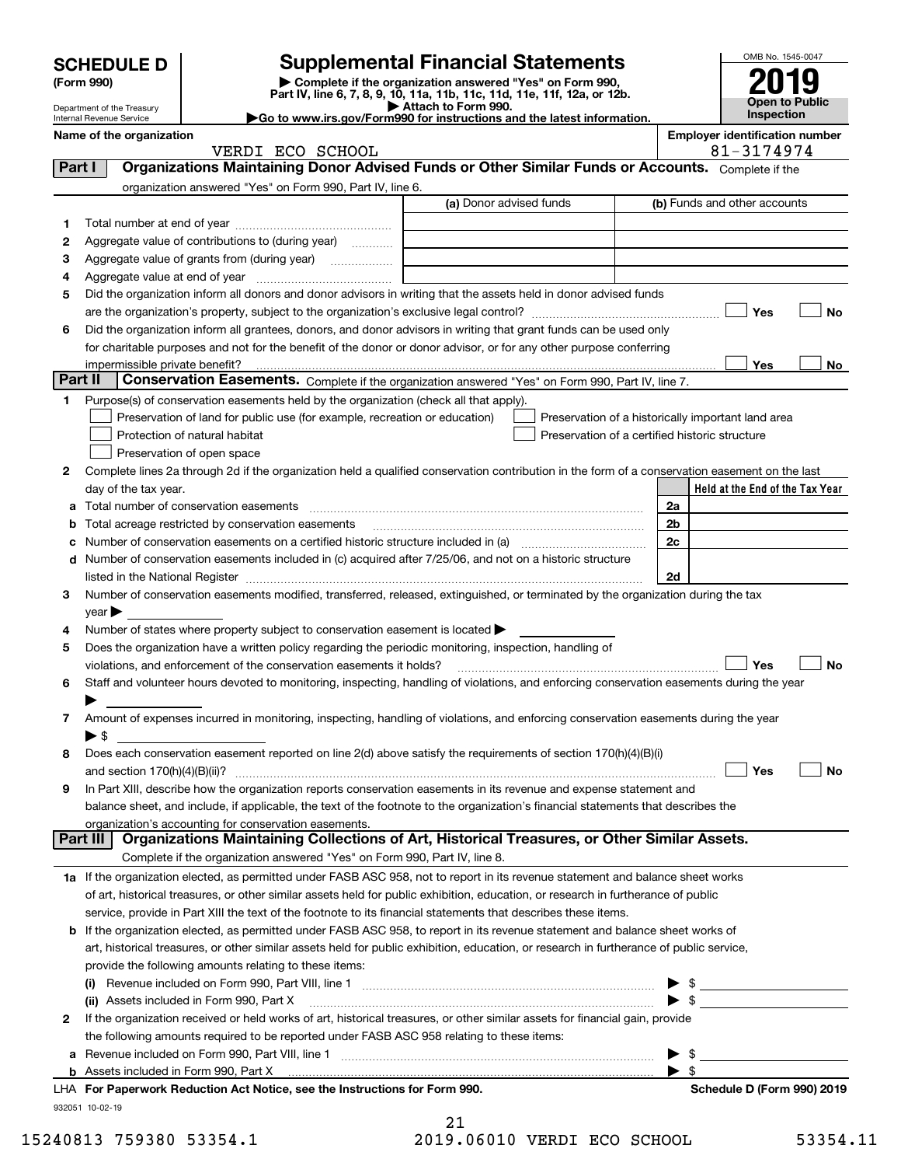|         | <b>SCHEDULE D</b><br>(Form 990)                      |                                                                                                        | OMB No. 1545-0047                                                                                                                                           |    |                                       |    |
|---------|------------------------------------------------------|--------------------------------------------------------------------------------------------------------|-------------------------------------------------------------------------------------------------------------------------------------------------------------|----|---------------------------------------|----|
|         | Department of the Treasury                           |                                                                                                        | Complete if the organization answered "Yes" on Form 990,<br>Part IV, line 6, 7, 8, 9, 10, 11a, 11b, 11c, 11d, 11e, 11f, 12a, or 12b.<br>Attach to Form 990. |    | <b>Open to Public</b><br>Inspection   |    |
|         | Internal Revenue Service<br>Name of the organization |                                                                                                        | Go to www.irs.gov/Form990 for instructions and the latest information.                                                                                      |    | <b>Employer identification number</b> |    |
|         |                                                      | VERDI ECO SCHOOL                                                                                       |                                                                                                                                                             |    | 81-3174974                            |    |
| Part I  |                                                      |                                                                                                        | Organizations Maintaining Donor Advised Funds or Other Similar Funds or Accounts. Complete if the                                                           |    |                                       |    |
|         |                                                      | organization answered "Yes" on Form 990, Part IV, line 6.                                              |                                                                                                                                                             |    |                                       |    |
|         |                                                      |                                                                                                        | (a) Donor advised funds                                                                                                                                     |    | (b) Funds and other accounts          |    |
| 1       |                                                      |                                                                                                        |                                                                                                                                                             |    |                                       |    |
| 2       |                                                      | Aggregate value of contributions to (during year)                                                      |                                                                                                                                                             |    |                                       |    |
| З       |                                                      |                                                                                                        |                                                                                                                                                             |    |                                       |    |
| 4       |                                                      |                                                                                                        |                                                                                                                                                             |    |                                       |    |
| 5       |                                                      |                                                                                                        | Did the organization inform all donors and donor advisors in writing that the assets held in donor advised funds                                            |    |                                       |    |
|         |                                                      |                                                                                                        |                                                                                                                                                             |    | Yes                                   | No |
| 6       |                                                      |                                                                                                        | Did the organization inform all grantees, donors, and donor advisors in writing that grant funds can be used only                                           |    |                                       |    |
|         |                                                      |                                                                                                        | for charitable purposes and not for the benefit of the donor or donor advisor, or for any other purpose conferring                                          |    |                                       |    |
| Part II | impermissible private benefit?                       |                                                                                                        |                                                                                                                                                             |    | Yes                                   | No |
|         |                                                      |                                                                                                        | Conservation Easements. Complete if the organization answered "Yes" on Form 990, Part IV, line 7.                                                           |    |                                       |    |
| 1       |                                                      | Purpose(s) of conservation easements held by the organization (check all that apply).                  |                                                                                                                                                             |    |                                       |    |
|         |                                                      | Preservation of land for public use (for example, recreation or education)                             | Preservation of a historically important land area                                                                                                          |    |                                       |    |
|         |                                                      | Protection of natural habitat                                                                          | Preservation of a certified historic structure                                                                                                              |    |                                       |    |
| 2       |                                                      | Preservation of open space                                                                             | Complete lines 2a through 2d if the organization held a qualified conservation contribution in the form of a conservation easement on the last              |    |                                       |    |
|         | day of the tax year.                                 |                                                                                                        |                                                                                                                                                             |    | Held at the End of the Tax Year       |    |
|         |                                                      |                                                                                                        |                                                                                                                                                             | 2a |                                       |    |
|         |                                                      | Total acreage restricted by conservation easements                                                     |                                                                                                                                                             | 2b |                                       |    |
|         |                                                      |                                                                                                        | Number of conservation easements on a certified historic structure included in (a) manufacture included in (a)                                              | 2c |                                       |    |
| d       |                                                      |                                                                                                        | Number of conservation easements included in (c) acquired after 7/25/06, and not on a historic structure                                                    |    |                                       |    |
|         |                                                      |                                                                                                        |                                                                                                                                                             | 2d |                                       |    |
| З       |                                                      |                                                                                                        | Number of conservation easements modified, transferred, released, extinguished, or terminated by the organization during the tax                            |    |                                       |    |
|         | $\vee$ ear                                           |                                                                                                        |                                                                                                                                                             |    |                                       |    |
| 4       |                                                      | Number of states where property subject to conservation easement is located $\blacktriangleright$      |                                                                                                                                                             |    |                                       |    |
| 5       |                                                      | Does the organization have a written policy regarding the periodic monitoring, inspection, handling of |                                                                                                                                                             |    |                                       |    |
|         |                                                      | violations, and enforcement of the conservation easements it holds?                                    |                                                                                                                                                             |    | Yes                                   | No |
| 6       |                                                      |                                                                                                        | Staff and volunteer hours devoted to monitoring, inspecting, handling of violations, and enforcing conservation easements during the year                   |    |                                       |    |
|         |                                                      |                                                                                                        |                                                                                                                                                             |    |                                       |    |
|         |                                                      |                                                                                                        | Amount of expenses incurred in monitoring, inspecting, handling of violations, and enforcing conservation easements during the year                         |    |                                       |    |
|         | $\blacktriangleright$ \$                             |                                                                                                        |                                                                                                                                                             |    |                                       |    |
| 8       |                                                      |                                                                                                        | Does each conservation easement reported on line 2(d) above satisfy the requirements of section 170(h)(4)(B)(i)                                             |    |                                       |    |
|         | and section $170(h)(4)(B)(ii)$ ?                     |                                                                                                        |                                                                                                                                                             |    | Yes                                   | No |
| 9       |                                                      |                                                                                                        | In Part XIII, describe how the organization reports conservation easements in its revenue and expense statement and                                         |    |                                       |    |
|         |                                                      |                                                                                                        | balance sheet, and include, if applicable, the text of the footnote to the organization's financial statements that describes the                           |    |                                       |    |
|         | Part III                                             | organization's accounting for conservation easements.                                                  | Organizations Maintaining Collections of Art, Historical Treasures, or Other Similar Assets.                                                                |    |                                       |    |
|         |                                                      | Complete if the organization answered "Yes" on Form 990, Part IV, line 8.                              |                                                                                                                                                             |    |                                       |    |
|         |                                                      |                                                                                                        | 1a If the organization elected, as permitted under FASB ASC 958, not to report in its revenue statement and balance sheet works                             |    |                                       |    |
|         |                                                      |                                                                                                        | of art, historical treasures, or other similar assets held for public exhibition, education, or research in furtherance of public                           |    |                                       |    |
|         |                                                      |                                                                                                        | service, provide in Part XIII the text of the footnote to its financial statements that describes these items.                                              |    |                                       |    |
| b       |                                                      |                                                                                                        | If the organization elected, as permitted under FASB ASC 958, to report in its revenue statement and balance sheet works of                                 |    |                                       |    |
|         |                                                      |                                                                                                        | art, historical treasures, or other similar assets held for public exhibition, education, or research in furtherance of public service,                     |    |                                       |    |
|         |                                                      | provide the following amounts relating to these items:                                                 |                                                                                                                                                             |    |                                       |    |
|         |                                                      |                                                                                                        |                                                                                                                                                             |    |                                       |    |
|         |                                                      | (ii) Assets included in Form 990, Part X                                                               |                                                                                                                                                             |    |                                       |    |
| 2       |                                                      |                                                                                                        | If the organization received or held works of art, historical treasures, or other similar assets for financial gain, provide                                |    |                                       |    |
|         |                                                      | the following amounts required to be reported under FASB ASC 958 relating to these items:              |                                                                                                                                                             |    |                                       |    |
| а       |                                                      |                                                                                                        |                                                                                                                                                             |    | \$                                    |    |
|         |                                                      |                                                                                                        |                                                                                                                                                             | \$ |                                       |    |
|         |                                                      | <b>LHA, For Panerwork Reduction Act Notice, see the Instructions for Form 990</b>                      |                                                                                                                                                             |    | Schedule D (Form 990) 2019            |    |

932051 10-02-19 **For Paperwork Reduction Act Notice, see the Instructions for Form 990. Schedule D (Form 990) 2019** LHA

21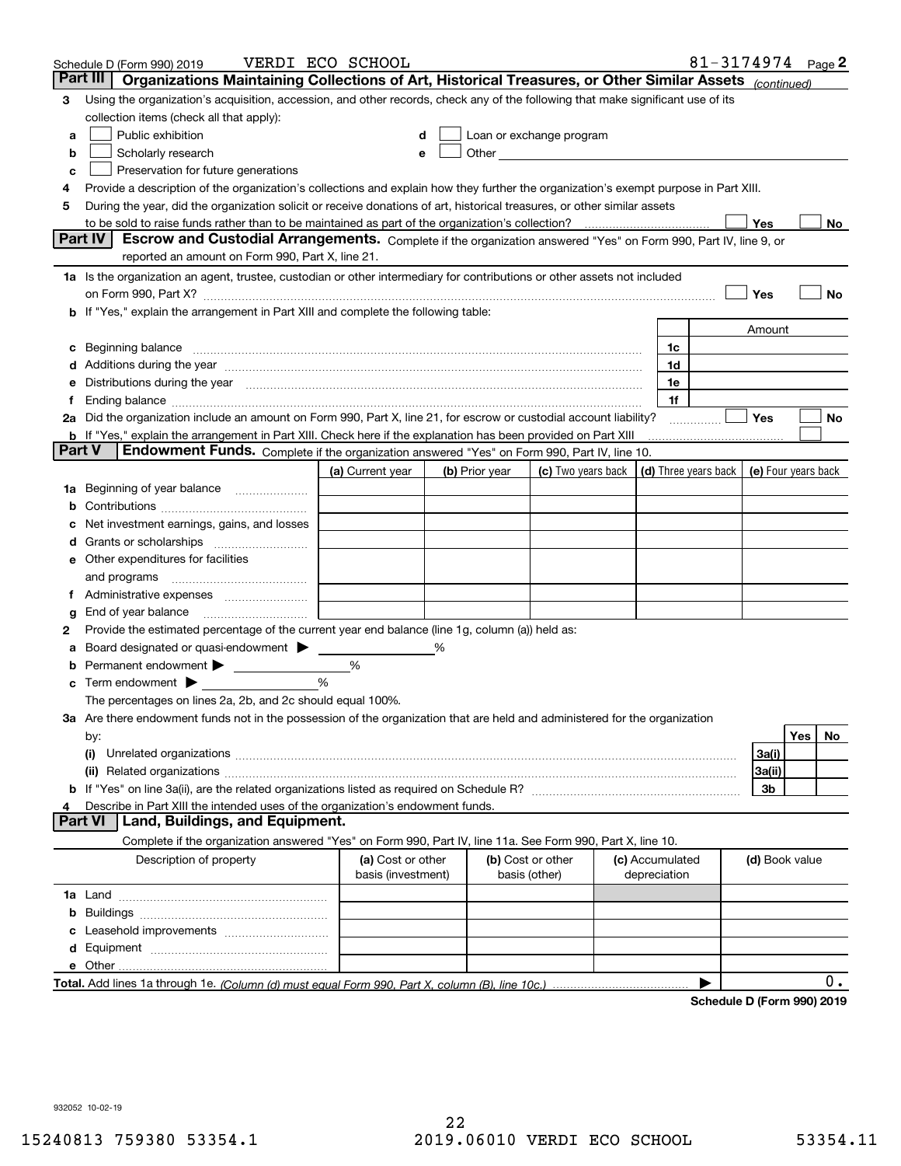|               | Schedule D (Form 990) 2019                                                                                                                                                                                                           | VERDI ECO SCHOOL                        |   |                |                                                                                                                                                                                                                                |                                 | 81-3174974 Page 2 |                     |     |     |
|---------------|--------------------------------------------------------------------------------------------------------------------------------------------------------------------------------------------------------------------------------------|-----------------------------------------|---|----------------|--------------------------------------------------------------------------------------------------------------------------------------------------------------------------------------------------------------------------------|---------------------------------|-------------------|---------------------|-----|-----|
|               | Part III<br>Organizations Maintaining Collections of Art, Historical Treasures, or Other Similar Assets (continued)                                                                                                                  |                                         |   |                |                                                                                                                                                                                                                                |                                 |                   |                     |     |     |
| 3             | Using the organization's acquisition, accession, and other records, check any of the following that make significant use of its                                                                                                      |                                         |   |                |                                                                                                                                                                                                                                |                                 |                   |                     |     |     |
|               | collection items (check all that apply):                                                                                                                                                                                             |                                         |   |                |                                                                                                                                                                                                                                |                                 |                   |                     |     |     |
| а             | Public exhibition                                                                                                                                                                                                                    |                                         |   |                | Loan or exchange program                                                                                                                                                                                                       |                                 |                   |                     |     |     |
| b             | Scholarly research                                                                                                                                                                                                                   |                                         |   |                | Other the contract of the contract of the contract of the contract of the contract of the contract of the contract of the contract of the contract of the contract of the contract of the contract of the contract of the cont |                                 |                   |                     |     |     |
| с             | Preservation for future generations                                                                                                                                                                                                  |                                         |   |                |                                                                                                                                                                                                                                |                                 |                   |                     |     |     |
| 4             | Provide a description of the organization's collections and explain how they further the organization's exempt purpose in Part XIII.                                                                                                 |                                         |   |                |                                                                                                                                                                                                                                |                                 |                   |                     |     |     |
| 5             | During the year, did the organization solicit or receive donations of art, historical treasures, or other similar assets                                                                                                             |                                         |   |                |                                                                                                                                                                                                                                |                                 |                   |                     |     |     |
|               |                                                                                                                                                                                                                                      |                                         |   |                |                                                                                                                                                                                                                                |                                 |                   | <b>Yes</b>          |     | No  |
|               | Escrow and Custodial Arrangements. Complete if the organization answered "Yes" on Form 990, Part IV, line 9, or<br>Part IV                                                                                                           |                                         |   |                |                                                                                                                                                                                                                                |                                 |                   |                     |     |     |
|               | reported an amount on Form 990, Part X, line 21.                                                                                                                                                                                     |                                         |   |                |                                                                                                                                                                                                                                |                                 |                   |                     |     |     |
|               | 1a Is the organization an agent, trustee, custodian or other intermediary for contributions or other assets not included                                                                                                             |                                         |   |                |                                                                                                                                                                                                                                |                                 |                   |                     |     |     |
|               | on Form 990, Part X? [11] matter contracts and contracts and contracts are contracted as a form 990, Part X?                                                                                                                         |                                         |   |                |                                                                                                                                                                                                                                |                                 |                   | Yes                 |     | No  |
|               | <b>b</b> If "Yes," explain the arrangement in Part XIII and complete the following table:                                                                                                                                            |                                         |   |                |                                                                                                                                                                                                                                |                                 |                   |                     |     |     |
|               |                                                                                                                                                                                                                                      |                                         |   |                |                                                                                                                                                                                                                                |                                 |                   | Amount              |     |     |
| c             | Beginning balance <b>with the contract of the contract of the contract of the contract of the contract of the contract of the contract of the contract of the contract of the contract of the contract of the contract of the co</b> |                                         |   |                |                                                                                                                                                                                                                                | 1c<br>1d                        |                   |                     |     |     |
|               | Additions during the year manufactured and an account of the year manufactured and account of the year manufactured and account of the state of the state of the state of the state of the state of the state of the state of        |                                         |   |                |                                                                                                                                                                                                                                | 1e                              |                   |                     |     |     |
| е<br>Ť.       | Distributions during the year manufactured and continuum control of the state of the control of the year manufactured and the year manufactured and the year manufactured and the state of the state of the state of the state       |                                         |   |                |                                                                                                                                                                                                                                | 1f                              |                   |                     |     |     |
|               | 2a Did the organization include an amount on Form 990, Part X, line 21, for escrow or custodial account liability?                                                                                                                   |                                         |   |                |                                                                                                                                                                                                                                |                                 |                   | Yes                 |     | No  |
|               | <b>b</b> If "Yes," explain the arrangement in Part XIII. Check here if the explanation has been provided on Part XIII                                                                                                                |                                         |   |                |                                                                                                                                                                                                                                |                                 | .                 |                     |     |     |
| <b>Part V</b> | Endowment Funds. Complete if the organization answered "Yes" on Form 990, Part IV, line 10.                                                                                                                                          |                                         |   |                |                                                                                                                                                                                                                                |                                 |                   |                     |     |     |
|               |                                                                                                                                                                                                                                      | (a) Current year                        |   | (b) Prior year | (c) Two years back $\vert$ (d) Three years back $\vert$ (e) Four years back                                                                                                                                                    |                                 |                   |                     |     |     |
| 1a            | Beginning of year balance                                                                                                                                                                                                            |                                         |   |                |                                                                                                                                                                                                                                |                                 |                   |                     |     |     |
| b             |                                                                                                                                                                                                                                      |                                         |   |                |                                                                                                                                                                                                                                |                                 |                   |                     |     |     |
|               | Net investment earnings, gains, and losses                                                                                                                                                                                           |                                         |   |                |                                                                                                                                                                                                                                |                                 |                   |                     |     |     |
|               |                                                                                                                                                                                                                                      |                                         |   |                |                                                                                                                                                                                                                                |                                 |                   |                     |     |     |
|               | e Other expenditures for facilities                                                                                                                                                                                                  |                                         |   |                |                                                                                                                                                                                                                                |                                 |                   |                     |     |     |
|               | and programs                                                                                                                                                                                                                         |                                         |   |                |                                                                                                                                                                                                                                |                                 |                   |                     |     |     |
|               | f Administrative expenses                                                                                                                                                                                                            |                                         |   |                |                                                                                                                                                                                                                                |                                 |                   |                     |     |     |
| g             |                                                                                                                                                                                                                                      |                                         |   |                |                                                                                                                                                                                                                                |                                 |                   |                     |     |     |
| 2             | Provide the estimated percentage of the current year end balance (line 1g, column (a)) held as:                                                                                                                                      |                                         |   |                |                                                                                                                                                                                                                                |                                 |                   |                     |     |     |
| а             | Board designated or quasi-endowment                                                                                                                                                                                                  |                                         | % |                |                                                                                                                                                                                                                                |                                 |                   |                     |     |     |
|               | Permanent endowment > 1                                                                                                                                                                                                              | %                                       |   |                |                                                                                                                                                                                                                                |                                 |                   |                     |     |     |
|               | <b>c</b> Term endowment $\blacktriangleright$                                                                                                                                                                                        | %                                       |   |                |                                                                                                                                                                                                                                |                                 |                   |                     |     |     |
|               | The percentages on lines 2a, 2b, and 2c should equal 100%.                                                                                                                                                                           |                                         |   |                |                                                                                                                                                                                                                                |                                 |                   |                     |     |     |
|               | 3a Are there endowment funds not in the possession of the organization that are held and administered for the organization                                                                                                           |                                         |   |                |                                                                                                                                                                                                                                |                                 |                   |                     |     |     |
|               | by:                                                                                                                                                                                                                                  |                                         |   |                |                                                                                                                                                                                                                                |                                 |                   |                     | Yes | No. |
|               | (i)                                                                                                                                                                                                                                  |                                         |   |                |                                                                                                                                                                                                                                |                                 |                   | 3a(i)               |     |     |
|               |                                                                                                                                                                                                                                      |                                         |   |                |                                                                                                                                                                                                                                |                                 |                   | 3a(ii)              |     |     |
|               |                                                                                                                                                                                                                                      |                                         |   |                |                                                                                                                                                                                                                                |                                 |                   | 3b                  |     |     |
|               | Describe in Part XIII the intended uses of the organization's endowment funds.<br>Land, Buildings, and Equipment.<br><b>Part VI</b>                                                                                                  |                                         |   |                |                                                                                                                                                                                                                                |                                 |                   |                     |     |     |
|               |                                                                                                                                                                                                                                      |                                         |   |                |                                                                                                                                                                                                                                |                                 |                   |                     |     |     |
|               | Complete if the organization answered "Yes" on Form 990, Part IV, line 11a. See Form 990, Part X, line 10.                                                                                                                           |                                         |   |                |                                                                                                                                                                                                                                |                                 |                   |                     |     |     |
|               | Description of property                                                                                                                                                                                                              | (a) Cost or other<br>basis (investment) |   |                | (b) Cost or other<br>basis (other)                                                                                                                                                                                             | (c) Accumulated<br>depreciation |                   | (d) Book value      |     |     |
|               |                                                                                                                                                                                                                                      |                                         |   |                |                                                                                                                                                                                                                                |                                 |                   |                     |     |     |
| b             |                                                                                                                                                                                                                                      |                                         |   |                |                                                                                                                                                                                                                                |                                 |                   |                     |     |     |
| c             |                                                                                                                                                                                                                                      |                                         |   |                |                                                                                                                                                                                                                                |                                 |                   |                     |     |     |
| d             |                                                                                                                                                                                                                                      |                                         |   |                |                                                                                                                                                                                                                                |                                 |                   |                     |     |     |
|               |                                                                                                                                                                                                                                      |                                         |   |                |                                                                                                                                                                                                                                |                                 |                   |                     |     |     |
|               |                                                                                                                                                                                                                                      |                                         |   |                |                                                                                                                                                                                                                                |                                 |                   |                     |     | 0.  |
|               |                                                                                                                                                                                                                                      |                                         |   |                |                                                                                                                                                                                                                                |                                 |                   | D. (Ferma 000) 0040 |     |     |

**Schedule D (Form 990) 2019**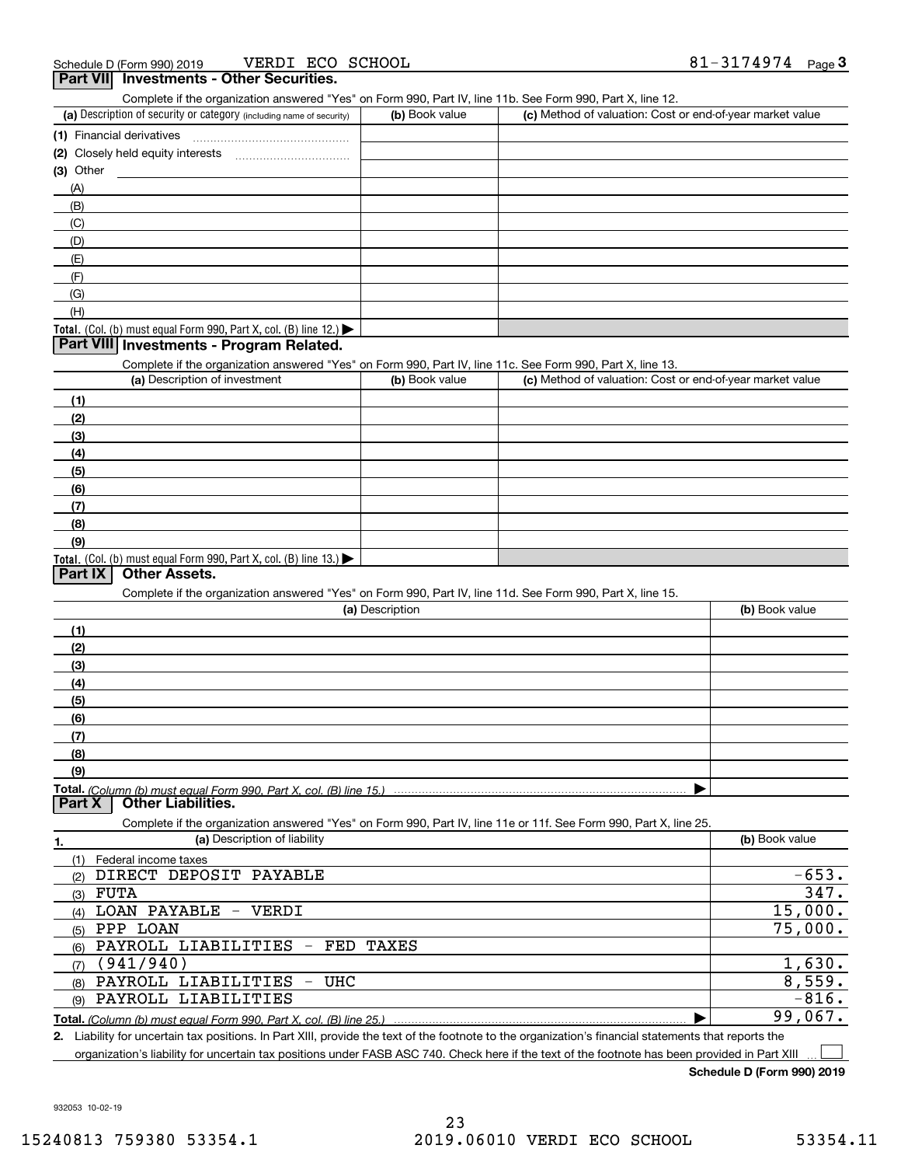| VERDI ECO SCHOOL<br>Schedule D (Form 990) 2019<br>Part VII Investments - Other Securities.                                                                                                                                 |                 |                                                           | 81-3174974 $_{Page}$ 3 |
|----------------------------------------------------------------------------------------------------------------------------------------------------------------------------------------------------------------------------|-----------------|-----------------------------------------------------------|------------------------|
| Complete if the organization answered "Yes" on Form 990, Part IV, line 11b. See Form 990, Part X, line 12.                                                                                                                 |                 |                                                           |                        |
| (a) Description of security or category (including name of security)                                                                                                                                                       | (b) Book value  | (c) Method of valuation: Cost or end-of-year market value |                        |
|                                                                                                                                                                                                                            |                 |                                                           |                        |
| (2) Closely held equity interests [11] [2] Closely held equity interests                                                                                                                                                   |                 |                                                           |                        |
| $(3)$ Other                                                                                                                                                                                                                |                 |                                                           |                        |
| (A)                                                                                                                                                                                                                        |                 |                                                           |                        |
| (B)                                                                                                                                                                                                                        |                 |                                                           |                        |
| (C)                                                                                                                                                                                                                        |                 |                                                           |                        |
| (D)                                                                                                                                                                                                                        |                 |                                                           |                        |
| (E)                                                                                                                                                                                                                        |                 |                                                           |                        |
| (F)                                                                                                                                                                                                                        |                 |                                                           |                        |
| (G)                                                                                                                                                                                                                        |                 |                                                           |                        |
| (H)                                                                                                                                                                                                                        |                 |                                                           |                        |
| Total. (Col. (b) must equal Form 990, Part X, col. (B) line 12.) $\blacktriangleright$                                                                                                                                     |                 |                                                           |                        |
| Part VIII Investments - Program Related.                                                                                                                                                                                   |                 |                                                           |                        |
| Complete if the organization answered "Yes" on Form 990, Part IV, line 11c. See Form 990, Part X, line 13.                                                                                                                 |                 |                                                           |                        |
| (a) Description of investment                                                                                                                                                                                              | (b) Book value  | (c) Method of valuation: Cost or end-of-year market value |                        |
| (1)                                                                                                                                                                                                                        |                 |                                                           |                        |
| (2)                                                                                                                                                                                                                        |                 |                                                           |                        |
|                                                                                                                                                                                                                            |                 |                                                           |                        |
| (3)                                                                                                                                                                                                                        |                 |                                                           |                        |
| (4)                                                                                                                                                                                                                        |                 |                                                           |                        |
| (5)                                                                                                                                                                                                                        |                 |                                                           |                        |
| (6)                                                                                                                                                                                                                        |                 |                                                           |                        |
| (7)<br>(8)                                                                                                                                                                                                                 |                 |                                                           |                        |
| (9)                                                                                                                                                                                                                        |                 |                                                           |                        |
| Total. (Col. (b) must equal Form 990, Part X, col. (B) line 13.)                                                                                                                                                           |                 |                                                           |                        |
| <b>Other Assets.</b><br>Part IX                                                                                                                                                                                            |                 |                                                           |                        |
| Complete if the organization answered "Yes" on Form 990, Part IV, line 11d. See Form 990, Part X, line 15.                                                                                                                 |                 |                                                           |                        |
|                                                                                                                                                                                                                            | (a) Description |                                                           | (b) Book value         |
| (1)                                                                                                                                                                                                                        |                 |                                                           |                        |
| (2)                                                                                                                                                                                                                        |                 |                                                           |                        |
| (3)                                                                                                                                                                                                                        |                 |                                                           |                        |
| (4)                                                                                                                                                                                                                        |                 |                                                           |                        |
|                                                                                                                                                                                                                            |                 |                                                           |                        |
| (5)<br>(6)                                                                                                                                                                                                                 |                 |                                                           |                        |
|                                                                                                                                                                                                                            |                 |                                                           |                        |
| (7)                                                                                                                                                                                                                        |                 |                                                           |                        |
| (8)                                                                                                                                                                                                                        |                 |                                                           |                        |
| (9)                                                                                                                                                                                                                        |                 |                                                           |                        |
| Total. (Column (b) must equal Form 990. Part X, col. (B) line 15.) ………………………………………………………………………<br><b>Other Liabilities.</b><br>Part X                                                                                      |                 |                                                           |                        |
| Complete if the organization answered "Yes" on Form 990, Part IV, line 11e or 11f. See Form 990, Part X, line 25.                                                                                                          |                 |                                                           |                        |
| (a) Description of liability                                                                                                                                                                                               |                 |                                                           | (b) Book value         |
| 1.<br>(1)<br>Federal income taxes                                                                                                                                                                                          |                 |                                                           |                        |
| DIRECT DEPOSIT PAYABLE<br>(2)                                                                                                                                                                                              |                 |                                                           | $-653.$                |
| $(3)$ FUTA                                                                                                                                                                                                                 |                 |                                                           | 347.                   |
| LOAN PAYABLE - VERDI                                                                                                                                                                                                       |                 |                                                           | 15,000.                |
| (4)<br>PPP LOAN                                                                                                                                                                                                            |                 |                                                           | 75,000.                |
| (5)<br>PAYROLL LIABILITIES                                                                                                                                                                                                 | - FED TAXES     |                                                           |                        |
| (6)<br>(941/940)                                                                                                                                                                                                           |                 |                                                           | 1,630.                 |
| (7)<br>PAYROLL LIABILITIES<br>- UHC                                                                                                                                                                                        |                 |                                                           | 8,559.                 |
| (8)<br>PAYROLL LIABILITIES                                                                                                                                                                                                 |                 |                                                           | $-816.$                |
| (9)                                                                                                                                                                                                                        |                 |                                                           | 99,067.                |
| Total. (Column (b) must equal Form 990, Part X, col. (B) line 25.)<br>2. Liability for uncertain tax positions. In Part XIII, provide the text of the footnote to the organization's financial statements that reports the |                 |                                                           |                        |

Liability for uncertain tax positions. In Part XIII, provide the text of the footnote to the organization's financial statements that reports the organization's liability for uncertain tax positions under FASB ASC 740. Check here if the text of the footnote has been provided in Part XIII

**Schedule D (Form 990) 2019**

932053 10-02-19

 $\mathcal{L}^{\text{max}}$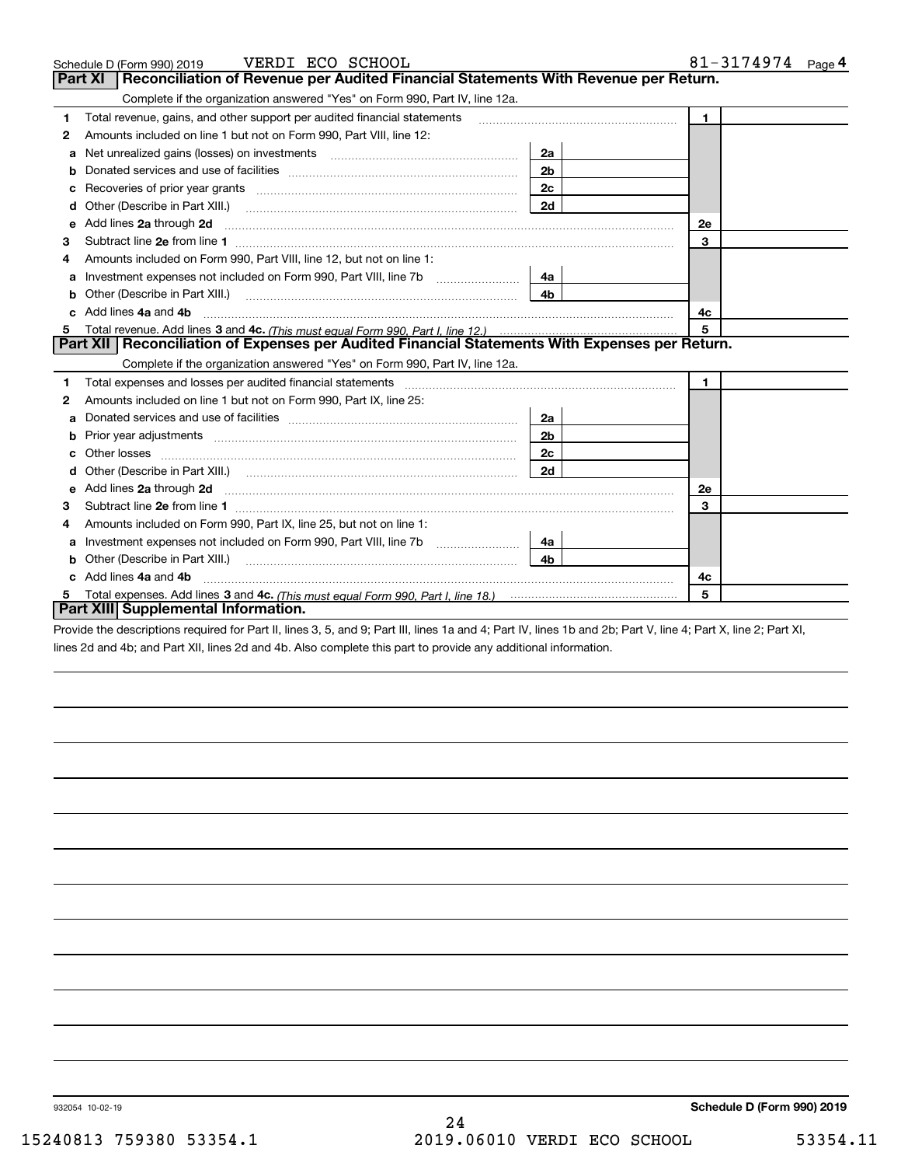|   | Schedule D (Form 990) 2019    VERDI ECO SCHOOL                                                                                                                                                                                      |                | 81-3174974 $_{Page}$ 4 |  |
|---|-------------------------------------------------------------------------------------------------------------------------------------------------------------------------------------------------------------------------------------|----------------|------------------------|--|
|   | Part XI<br>Reconciliation of Revenue per Audited Financial Statements With Revenue per Return.                                                                                                                                      |                |                        |  |
|   | Complete if the organization answered "Yes" on Form 990, Part IV, line 12a.                                                                                                                                                         |                |                        |  |
| 1 | Total revenue, gains, and other support per audited financial statements                                                                                                                                                            | $\blacksquare$ |                        |  |
| 2 | Amounts included on line 1 but not on Form 990, Part VIII, line 12:                                                                                                                                                                 |                |                        |  |
| a | Net unrealized gains (losses) on investments [11] [12] matter and all the unrealized gains (losses) on investments                                                                                                                  | 2a             |                        |  |
|   |                                                                                                                                                                                                                                     | 2 <sub>b</sub> |                        |  |
|   | Recoveries of prior year grants [11,111] Recoveries of prior year grants [11,111] Recoveries of prior year grants                                                                                                                   | 2c             |                        |  |
| d | Other (Describe in Part XIII.) <b>2006</b> 2007 2010 2010 2010 2010 2011 2012 2013 2014 2014 2015 2016 2017 2018 2019 2016 2017 2018 2019 2016 2017 2018 2019 2016 2017 2018 2019 2018 2019 2019 2016 2017 2018 2019 2018 2019 2019 | 2d             |                        |  |
| е | Add lines 2a through 2d                                                                                                                                                                                                             |                | <b>2e</b>              |  |
| 3 |                                                                                                                                                                                                                                     |                | 3                      |  |
| 4 | Amounts included on Form 990. Part VIII, line 12, but not on line 1:                                                                                                                                                                |                |                        |  |
|   | Investment expenses not included on Form 990, Part VIII, line 7b [111] [11] Investment expenses not included on Form 990, Part VIII, line 7b                                                                                        | 4a             |                        |  |
| b |                                                                                                                                                                                                                                     | 4 <sub>b</sub> |                        |  |
|   | Add lines 4a and 4b                                                                                                                                                                                                                 |                | 4c                     |  |
|   |                                                                                                                                                                                                                                     |                | 5                      |  |
|   | Part XII   Reconciliation of Expenses per Audited Financial Statements With Expenses per Return.                                                                                                                                    |                |                        |  |
|   | Complete if the organization answered "Yes" on Form 990, Part IV, line 12a.                                                                                                                                                         |                |                        |  |
| 1 |                                                                                                                                                                                                                                     |                | $\mathbf{1}$           |  |
| 2 | Amounts included on line 1 but not on Form 990, Part IX, line 25:                                                                                                                                                                   |                |                        |  |
| a |                                                                                                                                                                                                                                     | 2a             |                        |  |
|   |                                                                                                                                                                                                                                     | 2 <sub>b</sub> |                        |  |
| с |                                                                                                                                                                                                                                     | 2 <sub>c</sub> |                        |  |
|   |                                                                                                                                                                                                                                     | 2d             |                        |  |
|   | Add lines 2a through 2d                                                                                                                                                                                                             |                | 2e                     |  |
| 3 |                                                                                                                                                                                                                                     |                | 3                      |  |
| 4 | Amounts included on Form 990, Part IX, line 25, but not on line 1:                                                                                                                                                                  |                |                        |  |
| а | Investment expenses not included on Form 990, Part VIII, line 7b [111] [11] Investment expenses not included on Form 990, Part VIII, line 7b                                                                                        | 4a             |                        |  |
|   |                                                                                                                                                                                                                                     | 4b             |                        |  |
|   | Add lines 4a and 4b                                                                                                                                                                                                                 |                | 4c                     |  |
| 5 | 5                                                                                                                                                                                                                                   |                |                        |  |
|   | Part XIII Supplemental Information.                                                                                                                                                                                                 |                |                        |  |

Provide the descriptions required for Part II, lines 3, 5, and 9; Part III, lines 1a and 4; Part IV, lines 1b and 2b; Part V, line 4; Part X, line 2; Part XI, lines 2d and 4b; and Part XII, lines 2d and 4b. Also complete this part to provide any additional information.

932054 10-02-19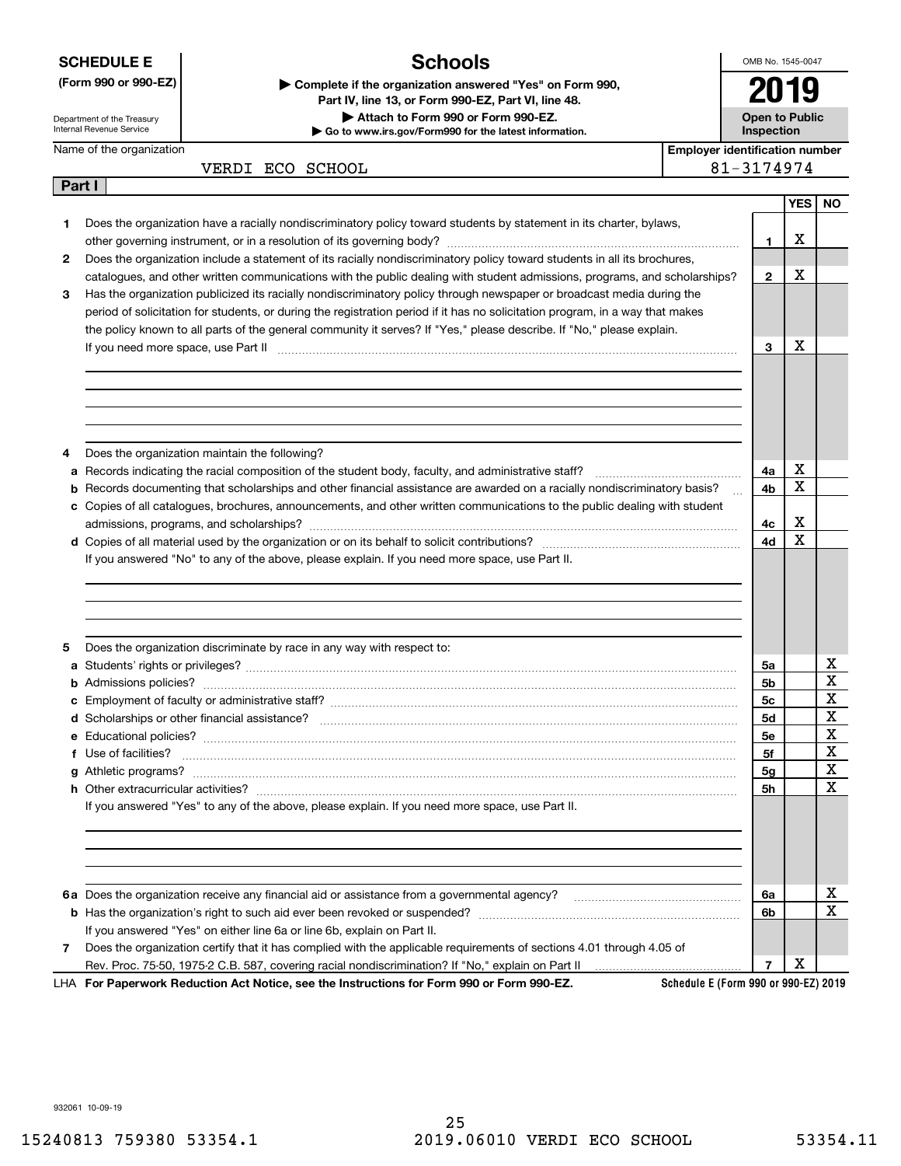**SCHEDULE E**

### **(Form 990 or 990-EZ)**

Name of the organization

Department of the Treasury Internal Revenue Service

**Part I**

**Schools**

OMB No. 1545-0047 **2019**

**Open to Public**

| Complete if the organization answered "Yes" on Form 990, |  |
|----------------------------------------------------------|--|
| Part IV, line 13, or Form 990-EZ, Part VI, line 48,      |  |
| Attach to Form 990 or Form 990-EZ.                       |  |
| Go to www.irs.gov/Form990 for the latest information.    |  |

**InspectionEmployer identification number**

| VERDI ECO SCHO |  |  |
|----------------|--|--|
|----------------|--|--|

 $\overline{0}$ 

|   |                                                                                                                                                  |                | <b>YES</b> | <b>NO</b>   |
|---|--------------------------------------------------------------------------------------------------------------------------------------------------|----------------|------------|-------------|
| 1 | Does the organization have a racially nondiscriminatory policy toward students by statement in its charter, bylaws,                              |                |            |             |
|   |                                                                                                                                                  | $\mathbf{1}$   | Х          |             |
| 2 | Does the organization include a statement of its racially nondiscriminatory policy toward students in all its brochures,                         |                |            |             |
|   | catalogues, and other written communications with the public dealing with student admissions, programs, and scholarships?                        | $\mathbf{2}$   | Х          |             |
| 3 | Has the organization publicized its racially nondiscriminatory policy through newspaper or broadcast media during the                            |                |            |             |
|   | period of solicitation for students, or during the registration period if it has no solicitation program, in a way that makes                    |                |            |             |
|   | the policy known to all parts of the general community it serves? If "Yes," please describe. If "No," please explain.                            |                |            |             |
|   | If you need more space, use Part II manufactured and continuum contracts and all the Part II manufactured and t                                  | 3              | Х          |             |
|   |                                                                                                                                                  |                |            |             |
|   |                                                                                                                                                  |                |            |             |
|   |                                                                                                                                                  |                |            |             |
|   |                                                                                                                                                  |                |            |             |
|   |                                                                                                                                                  |                |            |             |
|   | Does the organization maintain the following?                                                                                                    |                |            |             |
| а |                                                                                                                                                  | 4a             | х          |             |
|   | <b>b</b> Records documenting that scholarships and other financial assistance are awarded on a racially nondiscriminatory basis?<br>$\mathbf{r}$ | 4b             | х          |             |
|   | c Copies of all catalogues, brochures, announcements, and other written communications to the public dealing with student                        |                |            |             |
|   |                                                                                                                                                  | 4с             | X          |             |
|   |                                                                                                                                                  | 4d             | X          |             |
|   | If you answered "No" to any of the above, please explain. If you need more space, use Part II.                                                   |                |            |             |
|   |                                                                                                                                                  |                |            |             |
|   |                                                                                                                                                  |                |            |             |
|   |                                                                                                                                                  |                |            |             |
|   |                                                                                                                                                  |                |            |             |
| 5 | Does the organization discriminate by race in any way with respect to:                                                                           |                |            |             |
|   |                                                                                                                                                  | 5a             |            | х           |
|   |                                                                                                                                                  | 5b             |            | $\mathbf X$ |
|   |                                                                                                                                                  | 5c             |            | X           |
|   |                                                                                                                                                  | 5d             |            | $\mathbf X$ |
|   |                                                                                                                                                  | 5е             |            | X           |
|   |                                                                                                                                                  | 5f             |            | $\mathbf X$ |
|   |                                                                                                                                                  | 5g             |            | $\mathbf X$ |
|   |                                                                                                                                                  | 5h             |            | $\mathbf x$ |
|   | If you answered "Yes" to any of the above, please explain. If you need more space, use Part II.                                                  |                |            |             |
|   |                                                                                                                                                  |                |            |             |
|   |                                                                                                                                                  |                |            |             |
|   |                                                                                                                                                  |                |            |             |
|   |                                                                                                                                                  |                |            |             |
|   | 6a Does the organization receive any financial aid or assistance from a governmental agency?                                                     | 6a             |            | х           |
|   |                                                                                                                                                  | 6b             |            | $\mathbf X$ |
|   | If you answered "Yes" on either line 6a or line 6b, explain on Part II.                                                                          |                |            |             |
| 7 | Does the organization certify that it has complied with the applicable requirements of sections 4.01 through 4.05 of                             |                |            |             |
|   | Rev. Proc. 75-50, 1975-2 C.B. 587, covering racial nondiscrimination? If "No," explain on Part II                                                | $\overline{7}$ | х          |             |
|   |                                                                                                                                                  |                |            |             |

**For Paperwork Reduction Act Notice, see the Instructions for Form 990 or Form 990-EZ.** LHA

**Schedule E (Form 990 or 990-EZ) 2019**

932061 10-09-19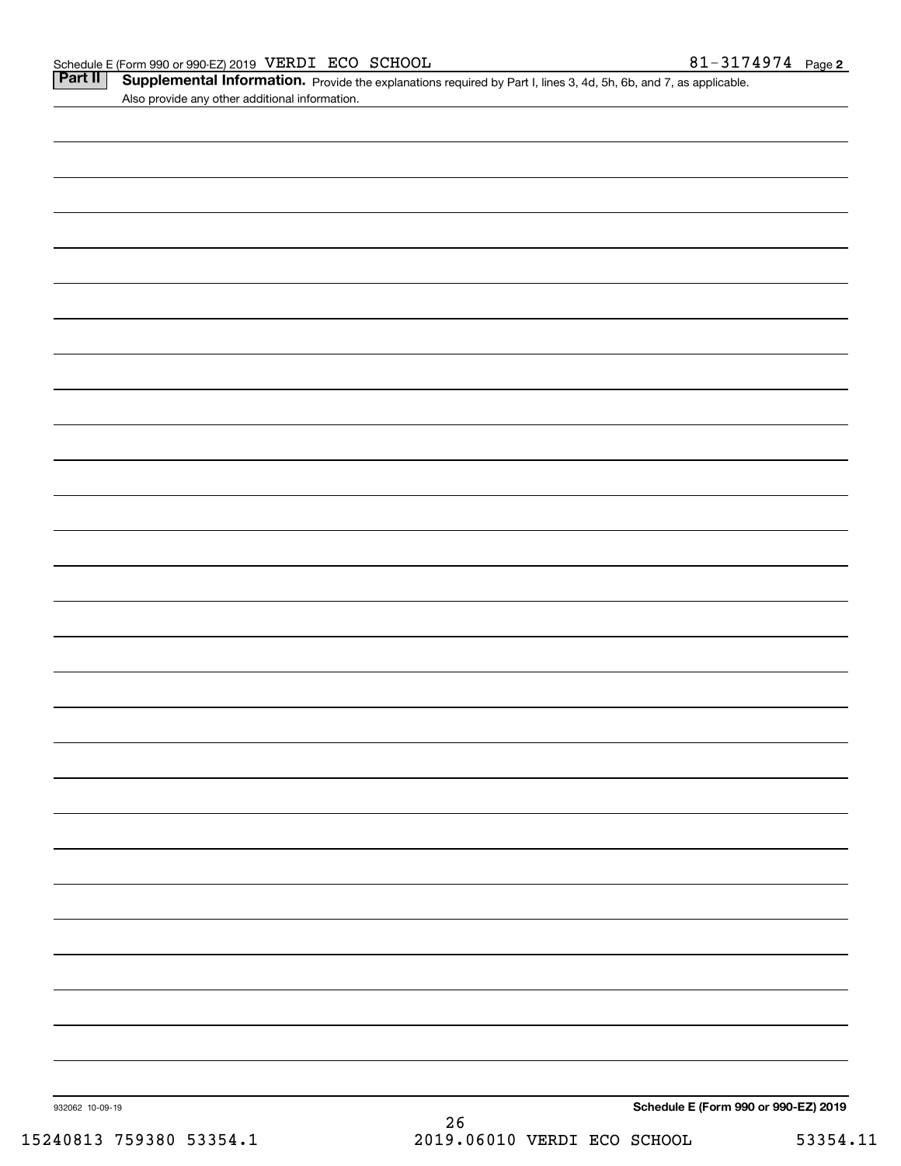|  | <b>Part II</b>   Supplemental Information. Provide the explanations required by Part I, lines 3, 4d, 5h, 6b, and 7, as applicable |  |
|--|-----------------------------------------------------------------------------------------------------------------------------------|--|
|  | Also provide any other additional information.                                                                                    |  |

| 932062 10-09-19 | $26\,$ | Schedule E (Form 990 or 990-EZ) 2019 |  |
|-----------------|--------|--------------------------------------|--|
|                 |        |                                      |  |
|                 |        |                                      |  |
|                 |        |                                      |  |
|                 |        |                                      |  |
|                 |        |                                      |  |
|                 |        |                                      |  |
|                 |        |                                      |  |
|                 |        |                                      |  |
|                 |        |                                      |  |
|                 |        |                                      |  |
|                 |        |                                      |  |
|                 |        |                                      |  |
|                 |        |                                      |  |
|                 |        |                                      |  |
|                 |        |                                      |  |
|                 |        |                                      |  |
|                 |        |                                      |  |
|                 |        |                                      |  |
|                 |        |                                      |  |
|                 |        |                                      |  |
|                 |        |                                      |  |
|                 |        |                                      |  |
|                 |        |                                      |  |
|                 |        |                                      |  |
|                 |        |                                      |  |
|                 |        |                                      |  |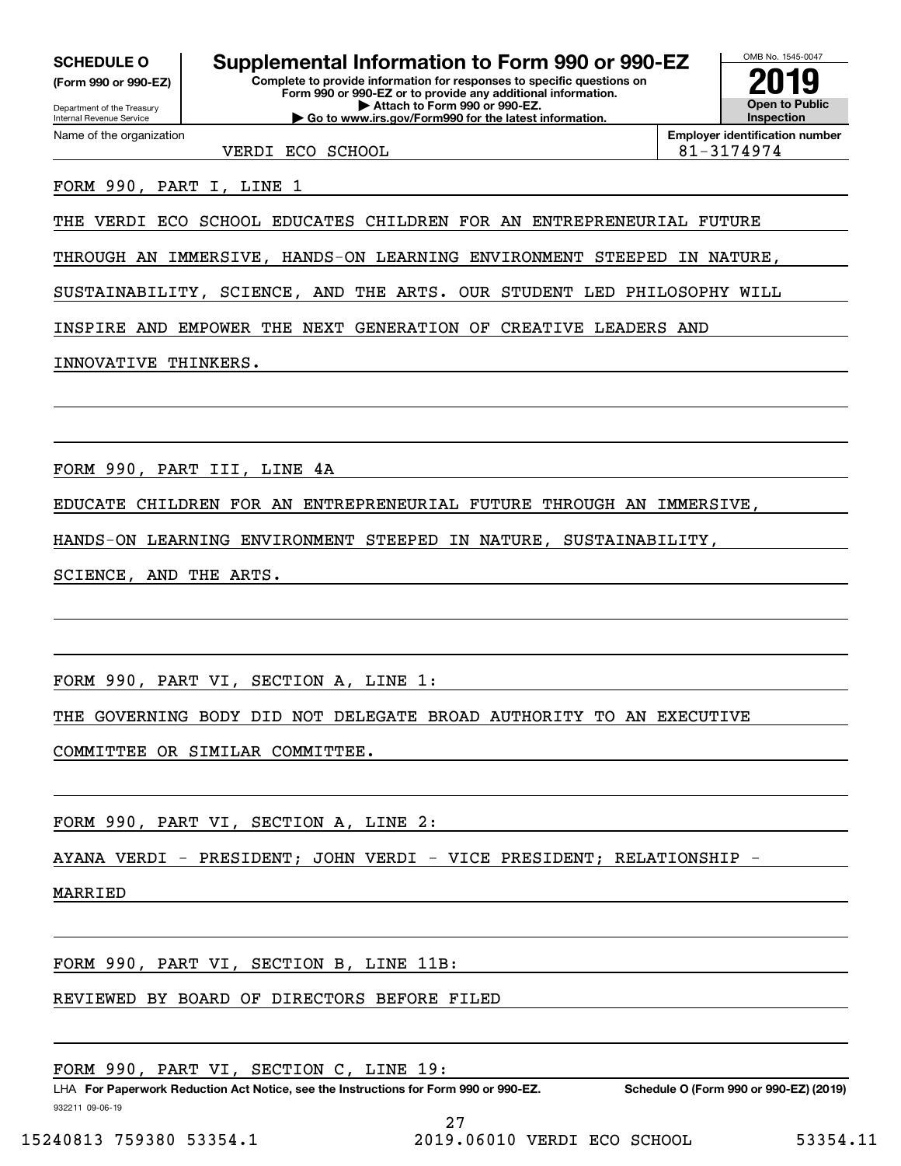**(Form 990 or 990-EZ)**

Department of the Treasury Internal Revenue Service Name of the organization

# **SCHEDULE O Supplemental Information to Form 990 or 990-EZ**

**Complete to provide information for responses to specific questions on Form 990 or 990-EZ or to provide any additional information. | Attach to Form 990 or 990-EZ. | Go to www.irs.gov/Form990 for the latest information.**



**Employer identification number**

VERDI ECO SCHOOL 81-3174974

FORM 990, PART I, LINE 1

THE VERDI ECO SCHOOL EDUCATES CHILDREN FOR AN ENTREPRENEURIAL FUTURE

THROUGH AN IMMERSIVE, HANDS-ON LEARNING ENVIRONMENT STEEPED IN NATURE,

SUSTAINABILITY, SCIENCE, AND THE ARTS. OUR STUDENT LED PHILOSOPHY WILL

INSPIRE AND EMPOWER THE NEXT GENERATION OF CREATIVE LEADERS AND

### INNOVATIVE THINKERS.

FORM 990, PART III, LINE 4A

EDUCATE CHILDREN FOR AN ENTREPRENEURIAL FUTURE THROUGH AN IMMERSIVE,

HANDS-ON LEARNING ENVIRONMENT STEEPED IN NATURE, SUSTAINABILITY,

SCIENCE, AND THE ARTS.

FORM 990, PART VI, SECTION A, LINE 1:

THE GOVERNING BODY DID NOT DELEGATE BROAD AUTHORITY TO AN EXECUTIVE

COMMITTEE OR SIMILAR COMMITTEE.

FORM 990, PART VI, SECTION A, LINE 2:

AYANA VERDI - PRESIDENT; JOHN VERDI - VICE PRESIDENT; RELATIONSHIP

MARRIED

FORM 990, PART VI, SECTION B, LINE 11B:

REVIEWED BY BOARD OF DIRECTORS BEFORE FILED

FORM 990, PART VI, SECTION C, LINE 19:

932211 09-06-19 LHA For Paperwork Reduction Act Notice, see the Instructions for Form 990 or 990-EZ. Schedule O (Form 990 or 990-EZ) (2019) 27

15240813 759380 53354.1 2019.06010 VERDI ECO SCHOOL 53354.11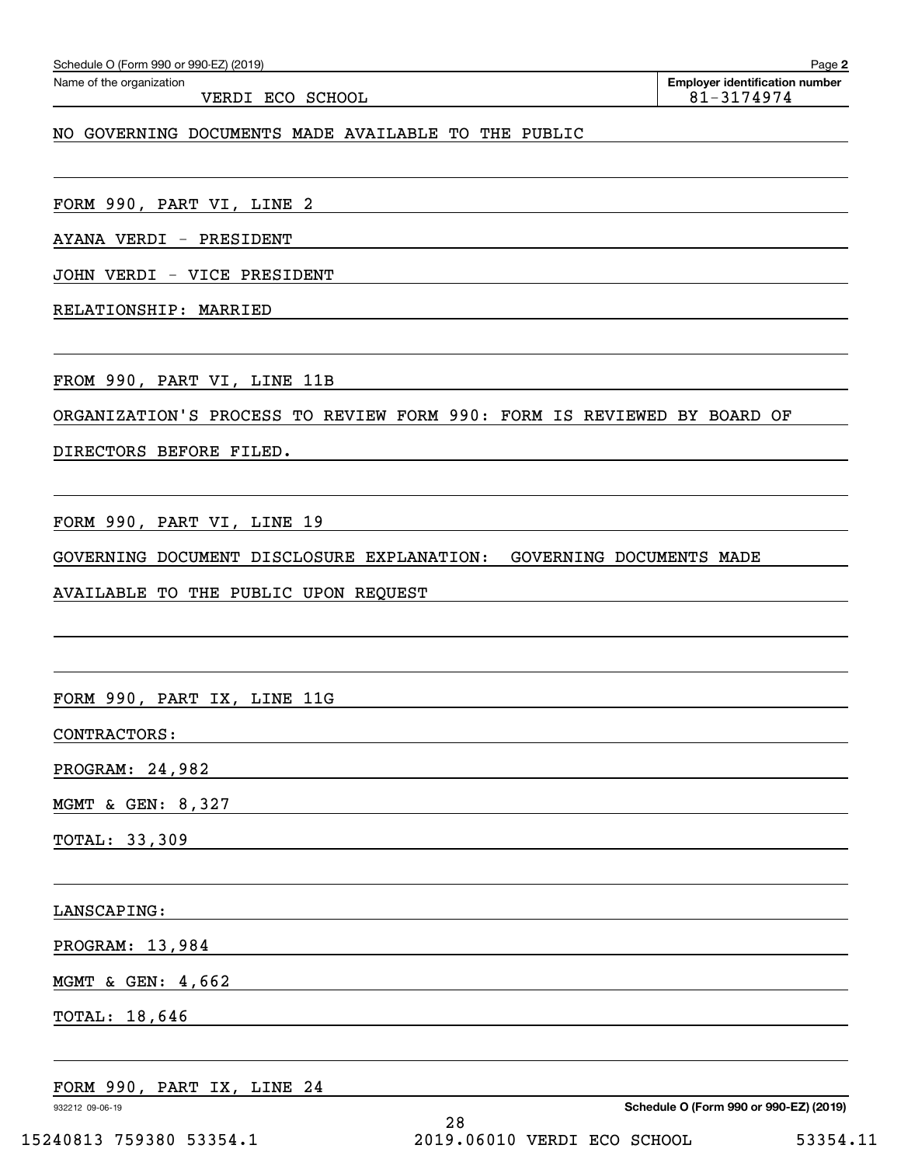| AYANA VERDI - PRESIDENT              |                                                                                                                      |
|--------------------------------------|----------------------------------------------------------------------------------------------------------------------|
| JOHN VERDI - VICE PRESIDENT          |                                                                                                                      |
| RELATIONSHIP: MARRIED                |                                                                                                                      |
|                                      |                                                                                                                      |
| FROM 990, PART VI, LINE 11B          |                                                                                                                      |
|                                      | ORGANIZATION'S PROCESS TO REVIEW FORM 990: FORM IS REVIEWED BY BOARD OF                                              |
|                                      |                                                                                                                      |
|                                      |                                                                                                                      |
| FORM 990, PART VI, LINE 19           |                                                                                                                      |
|                                      | GOVERNING DOCUMENT DISCLOSURE EXPLANATION: GOVERNING DOCUMENTS MADE                                                  |
| AVAILABLE TO THE PUBLIC UPON REQUEST |                                                                                                                      |
|                                      |                                                                                                                      |
|                                      |                                                                                                                      |
| FORM 990, PART IX, LINE 11G          | <u> 1989 - Johann Stein, mars an deutscher Stein und der Stein und der Stein und der Stein und der Stein und der</u> |
| CONTRACTORS:                         | <u> 1989 - Johann Stein, mars an deus Amerikaansk kommunister (* 1958)</u>                                           |
| PROGRAM: 24,982                      | <u> 1980 - Andrea Andrew Maria (h. 1980).</u>                                                                        |
| MGMT & GEN: 8,327                    |                                                                                                                      |
| TOTAL: 33,309                        |                                                                                                                      |
|                                      |                                                                                                                      |
| LANSCAPING:                          |                                                                                                                      |
| PROGRAM: 13,984                      |                                                                                                                      |
| MGMT & GEN: 4,662                    |                                                                                                                      |
| TOTAL: 18,646                        |                                                                                                                      |
|                                      |                                                                                                                      |
| FORM 990, PART IX, LINE 24           |                                                                                                                      |
| 932212 09-06-19                      | Schedule O (Form 990 or 990-EZ) (2019)                                                                               |

VERDI ECO SCHOOL 81-3174974

NO GOVERNING DOCUMENTS MADE AVAILABLE TO THE PUBLIC

**2** Echedule O (Form 990 or 990-EZ) (2019)<br>Name of the organization **number** Name of the organization **page Name of the organization number**